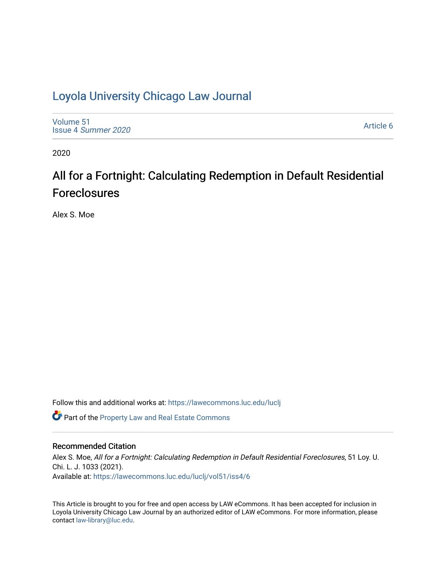# [Loyola University Chicago Law Journal](https://lawecommons.luc.edu/luclj)

[Volume 51](https://lawecommons.luc.edu/luclj/vol51) Issue 4 [Summer 2020](https://lawecommons.luc.edu/luclj/vol51/iss4) 

[Article 6](https://lawecommons.luc.edu/luclj/vol51/iss4/6) 

2020

# All for a Fortnight: Calculating Redemption in Default Residential Foreclosures

Alex S. Moe

Follow this and additional works at: [https://lawecommons.luc.edu/luclj](https://lawecommons.luc.edu/luclj?utm_source=lawecommons.luc.edu%2Fluclj%2Fvol51%2Fiss4%2F6&utm_medium=PDF&utm_campaign=PDFCoverPages) 

Part of the [Property Law and Real Estate Commons](http://network.bepress.com/hgg/discipline/897?utm_source=lawecommons.luc.edu%2Fluclj%2Fvol51%2Fiss4%2F6&utm_medium=PDF&utm_campaign=PDFCoverPages) 

### Recommended Citation

Alex S. Moe, All for a Fortnight: Calculating Redemption in Default Residential Foreclosures, 51 Loy. U. Chi. L. J. 1033 (2021). Available at: [https://lawecommons.luc.edu/luclj/vol51/iss4/6](https://lawecommons.luc.edu/luclj/vol51/iss4/6?utm_source=lawecommons.luc.edu%2Fluclj%2Fvol51%2Fiss4%2F6&utm_medium=PDF&utm_campaign=PDFCoverPages) 

This Article is brought to you for free and open access by LAW eCommons. It has been accepted for inclusion in Loyola University Chicago Law Journal by an authorized editor of LAW eCommons. For more information, please contact [law-library@luc.edu.](mailto:law-library@luc.edu)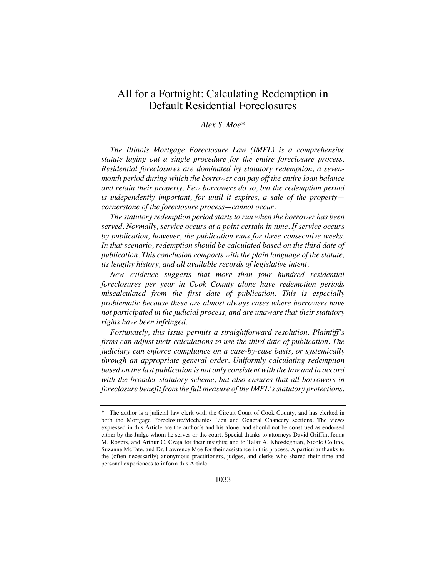## All for a Fortnight: Calculating Redemption in Default Residential Foreclosures

### *Alex S. Moe\**

*The Illinois Mortgage Foreclosure Law (IMFL) is a comprehensive statute laying out a single procedure for the entire foreclosure process. Residential foreclosures are dominated by statutory redemption, a sevenmonth period during which the borrower can pay off the entire loan balance and retain their property. Few borrowers do so, but the redemption period is independently important, for until it expires, a sale of the property cornerstone of the foreclosure process—cannot occur.*

*The statutory redemption period starts to run when the borrower has been served. Normally, service occurs at a point certain in time. If service occurs by publication, however, the publication runs for three consecutive weeks. In that scenario, redemption should be calculated based on the third date of publication. This conclusion comports with the plain language of the statute, its lengthy history, and all available records of legislative intent.*

*New evidence suggests that more than four hundred residential foreclosures per year in Cook County alone have redemption periods miscalculated from the first date of publication. This is especially problematic because these are almost always cases where borrowers have not participated in the judicial process, and are unaware that their statutory rights have been infringed.*

*Fortunately, this issue permits a straightforward resolution. Plaintiff's firms can adjust their calculations to use the third date of publication. The judiciary can enforce compliance on a case-by-case basis, or systemically through an appropriate general order. Uniformly calculating redemption based on the last publication is not only consistent with the law and in accord with the broader statutory scheme, but also ensures that all borrowers in foreclosure benefit from the full measure of the IMFL's statutory protections.*

<sup>\*</sup> The author is a judicial law clerk with the Circuit Court of Cook County, and has clerked in both the Mortgage Foreclosure/Mechanics Lien and General Chancery sections. The views expressed in this Article are the author's and his alone, and should not be construed as endorsed either by the Judge whom he serves or the court. Special thanks to attorneys David Griffin, Jenna M. Rogers, and Arthur C. Czaja for their insights; and to Talar A. Khosdeghian, Nicole Collins, Suzanne McFate, and Dr. Lawrence Moe for their assistance in this process. A particular thanks to the (often necessarily) anonymous practitioners, judges, and clerks who shared their time and personal experiences to inform this Article.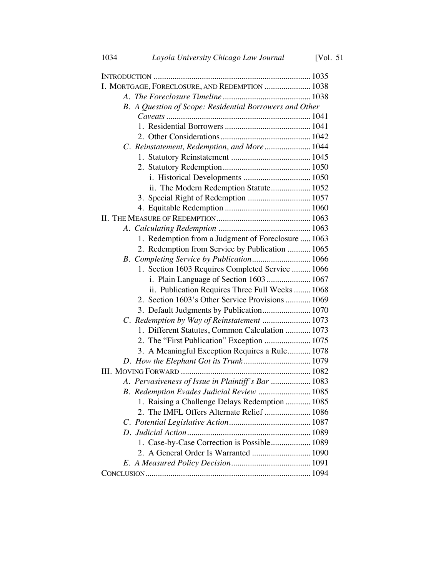| I. MORTGAGE, FORECLOSURE, AND REDEMPTION  1038          |  |
|---------------------------------------------------------|--|
|                                                         |  |
| B. A Question of Scope: Residential Borrowers and Other |  |
|                                                         |  |
|                                                         |  |
|                                                         |  |
| C. Reinstatement, Redemption, and More  1044            |  |
|                                                         |  |
|                                                         |  |
|                                                         |  |
| ii. The Modern Redemption Statute 1052                  |  |
| 3. Special Right of Redemption  1057                    |  |
|                                                         |  |
|                                                         |  |
|                                                         |  |
| 1. Redemption from a Judgment of Foreclosure  1063      |  |
| 2. Redemption from Service by Publication  1065         |  |
| B. Completing Service by Publication 1066               |  |
| 1. Section 1603 Requires Completed Service  1066        |  |
| i. Plain Language of Section 1603  1067                 |  |
| ii. Publication Requires Three Full Weeks  1068         |  |
| 2. Section 1603's Other Service Provisions  1069        |  |
| 3. Default Judgments by Publication 1070                |  |
| C. Redemption by Way of Reinstatement  1073             |  |
| 1. Different Statutes, Common Calculation  1073         |  |
| 2. The "First Publication" Exception  1075              |  |
| 3. A Meaningful Exception Requires a Rule 1078          |  |
|                                                         |  |
|                                                         |  |
| A. Pervasiveness of Issue in Plaintiff's Bar  1083      |  |
| B. Redemption Evades Judicial Review  1085              |  |
| 1. Raising a Challenge Delays Redemption  1085          |  |
| 2. The IMFL Offers Alternate Relief  1086               |  |
|                                                         |  |
|                                                         |  |
| 1. Case-by-Case Correction is Possible 1089             |  |
| 2. A General Order Is Warranted  1090                   |  |
|                                                         |  |
|                                                         |  |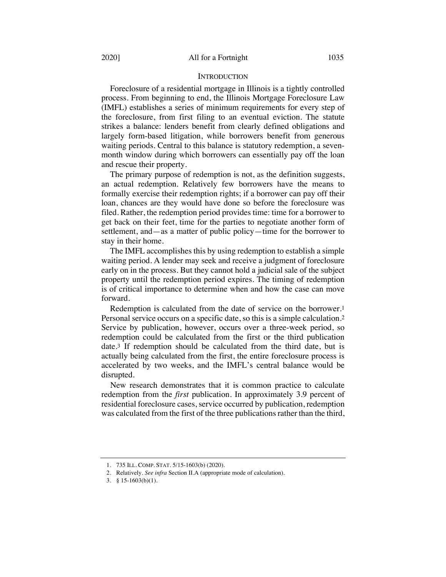#### **INTRODUCTION**

Foreclosure of a residential mortgage in Illinois is a tightly controlled process. From beginning to end, the Illinois Mortgage Foreclosure Law (IMFL) establishes a series of minimum requirements for every step of the foreclosure, from first filing to an eventual eviction. The statute strikes a balance: lenders benefit from clearly defined obligations and largely form-based litigation, while borrowers benefit from generous waiting periods. Central to this balance is statutory redemption, a sevenmonth window during which borrowers can essentially pay off the loan and rescue their property.

The primary purpose of redemption is not, as the definition suggests, an actual redemption. Relatively few borrowers have the means to formally exercise their redemption rights; if a borrower can pay off their loan, chances are they would have done so before the foreclosure was filed. Rather, the redemption period provides time: time for a borrower to get back on their feet, time for the parties to negotiate another form of settlement, and—as a matter of public policy—time for the borrower to stay in their home.

The IMFL accomplishes this by using redemption to establish a simple waiting period. A lender may seek and receive a judgment of foreclosure early on in the process. But they cannot hold a judicial sale of the subject property until the redemption period expires. The timing of redemption is of critical importance to determine when and how the case can move forward.

Redemption is calculated from the date of service on the borrower.1 Personal service occurs on a specific date, so this is a simple calculation.2 Service by publication, however, occurs over a three-week period, so redemption could be calculated from the first or the third publication date.3 If redemption should be calculated from the third date, but is actually being calculated from the first, the entire foreclosure process is accelerated by two weeks, and the IMFL's central balance would be disrupted.

New research demonstrates that it is common practice to calculate redemption from the *first* publication. In approximately 3.9 percent of residential foreclosure cases, service occurred by publication, redemption was calculated from the first of the three publications rather than the third,

<sup>1.</sup> 735 ILL. COMP. STAT. 5/15-1603(b) (2020).

<sup>2.</sup> Relatively. *See infra* Section II.A (appropriate mode of calculation).

<sup>3.</sup> § 15-1603(b)(1).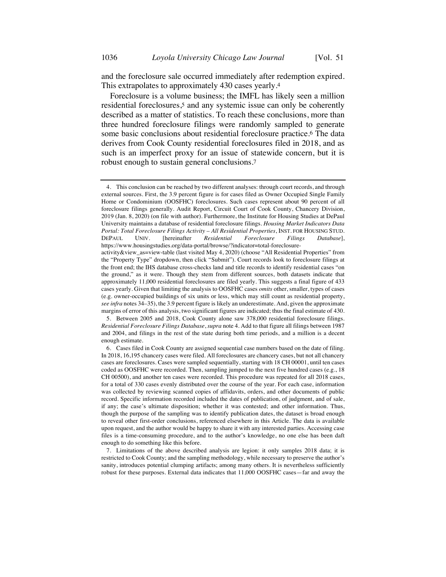and the foreclosure sale occurred immediately after redemption expired. This extrapolates to approximately 430 cases yearly.4

Foreclosure is a volume business; the IMFL has likely seen a million residential foreclosures,5 and any systemic issue can only be coherently described as a matter of statistics. To reach these conclusions, more than three hundred foreclosure filings were randomly sampled to generate some basic conclusions about residential foreclosure practice.6 The data derives from Cook County residential foreclosures filed in 2018, and as such is an imperfect proxy for an issue of statewide concern, but it is robust enough to sustain general conclusions.7

<sup>4.</sup> This conclusion can be reached by two different analyses: through court records, and through external sources. First, the 3.9 percent figure is for cases filed as Owner Occupied Single Family Home or Condominium (OOSFHC) foreclosures. Such cases represent about 90 percent of all foreclosure filings generally. Audit Report, Circuit Court of Cook County, Chancery Division, 2019 (Jan. 8, 2020) (on file with author). Furthermore, the Institute for Housing Studies at DePaul University maintains a database of residential foreclosure filings. *Housing Market Indicators Data Portal: Total Foreclosure Filings Activity – All Residential Properties*, INST. FOR HOUSING STUD. DEPAUL UNIV. [hereinafter *Residential Foreclosure Filings Database*], https://www.housingstudies.org/data-portal/browse/?indicator=total-foreclosure-

activity&view\_as=view-table (last visited May 4, 2020) (choose "All Residential Properties" from the "Property Type" dropdown, then click "Submit"). Court records look to foreclosure filings at the front end; the IHS database cross-checks land and title records to identify residential cases "on the ground," as it were. Though they stem from different sources, both datasets indicate that approximately 11,000 residential foreclosures are filed yearly. This suggests a final figure of 433 cases yearly. Given that limiting the analysis to OOSFHC cases *omits* other, smaller, types of cases (e.g. owner-occupied buildings of six units or less, which may still count as residential property, *see infra* notes 34–35), the 3.9 percent figure is likely an underestimate. And, given the approximate margins of error of this analysis, two significant figures are indicated; thus the final estimate of 430.

<sup>5.</sup> Between 2005 and 2018, Cook County alone saw 378,000 residential foreclosure filings. *Residential Foreclosure Filings Database*, *supra* note 4. Add to that figure all filings between 1987 and 2004, and filings in the rest of the state during both time periods, and a million is a decent enough estimate.

<sup>6.</sup> Cases filed in Cook County are assigned sequential case numbers based on the date of filing. In 2018, 16,195 chancery cases were filed. All foreclosures are chancery cases, but not all chancery cases are foreclosures. Cases were sampled sequentially, starting with 18 CH 00001, until ten cases coded as OOSFHC were recorded. Then, sampling jumped to the next five hundred cases (e.g., 18 CH 00500), and another ten cases were recorded. This procedure was repeated for all 2018 cases, for a total of 330 cases evenly distributed over the course of the year. For each case, information was collected by reviewing scanned copies of affidavits, orders, and other documents of public record. Specific information recorded included the dates of publication, of judgment, and of sale, if any; the case's ultimate disposition; whether it was contested; and other information. Thus, though the purpose of the sampling was to identify publication dates, the dataset is broad enough to reveal other first-order conclusions, referenced elsewhere in this Article. The data is available upon request, and the author would be happy to share it with any interested parties. Accessing case files is a time-consuming procedure, and to the author's knowledge, no one else has been daft enough to do something like this before.

<sup>7.</sup> Limitations of the above described analysis are legion: it only samples 2018 data; it is restricted to Cook County; and the sampling methodology, while necessary to preserve the author's sanity, introduces potential clumping artifacts; among many others. It is nevertheless sufficiently robust for these purposes. External data indicates that 11,000 OOSFHC cases—far and away the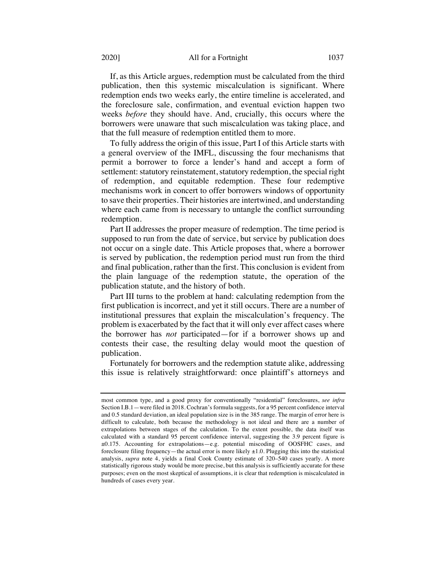#### 2020] All for a Fortnight 1037

If, as this Article argues, redemption must be calculated from the third publication, then this systemic miscalculation is significant. Where redemption ends two weeks early, the entire timeline is accelerated, and the foreclosure sale, confirmation, and eventual eviction happen two weeks *before* they should have. And, crucially, this occurs where the borrowers were unaware that such miscalculation was taking place, and that the full measure of redemption entitled them to more.

To fully address the origin of this issue, Part I of this Article starts with a general overview of the IMFL, discussing the four mechanisms that permit a borrower to force a lender's hand and accept a form of settlement: statutory reinstatement, statutory redemption, the special right of redemption, and equitable redemption. These four redemptive mechanisms work in concert to offer borrowers windows of opportunity to save their properties. Their histories are intertwined, and understanding where each came from is necessary to untangle the conflict surrounding redemption.

Part II addresses the proper measure of redemption. The time period is supposed to run from the date of service, but service by publication does not occur on a single date. This Article proposes that, where a borrower is served by publication, the redemption period must run from the third and final publication, rather than the first. This conclusion is evident from the plain language of the redemption statute, the operation of the publication statute, and the history of both.

Part III turns to the problem at hand: calculating redemption from the first publication is incorrect, and yet it still occurs. There are a number of institutional pressures that explain the miscalculation's frequency. The problem is exacerbated by the fact that it will only ever affect cases where the borrower has *not* participated—for if a borrower shows up and contests their case, the resulting delay would moot the question of publication.

Fortunately for borrowers and the redemption statute alike, addressing this issue is relatively straightforward: once plaintiff's attorneys and

most common type, and a good proxy for conventionally "residential" foreclosures, *see infra* Section I.B.1—were filed in 2018. Cochran's formula suggests, for a 95 percent confidence interval and 0.5 standard deviation, an ideal population size is in the 385 range. The margin of error here is difficult to calculate, both because the methodology is not ideal and there are a number of extrapolations between stages of the calculation. To the extent possible, the data itself was calculated with a standard 95 percent confidence interval, suggesting the 3.9 percent figure is ±0.175. Accounting for extrapolations—e.g. potential miscoding of OOSFHC cases, and foreclosure filing frequency—the actual error is more likely  $\pm 1.0$ . Plugging this into the statistical analysis, *supra* note 4, yields a final Cook County estimate of 320–540 cases yearly. A more statistically rigorous study would be more precise, but this analysis is sufficiently accurate for these purposes; even on the most skeptical of assumptions, it is clear that redemption is miscalculated in hundreds of cases every year.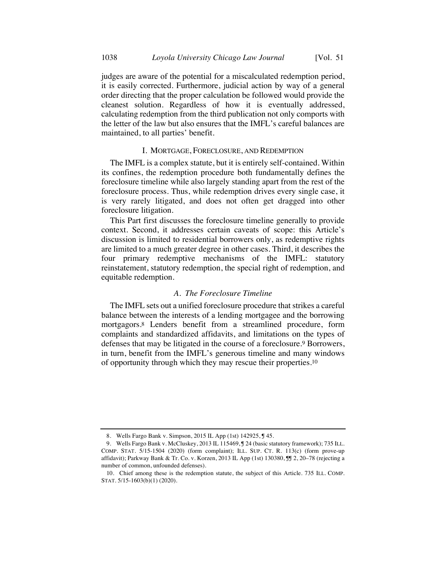judges are aware of the potential for a miscalculated redemption period, it is easily corrected. Furthermore, judicial action by way of a general order directing that the proper calculation be followed would provide the cleanest solution. Regardless of how it is eventually addressed, calculating redemption from the third publication not only comports with the letter of the law but also ensures that the IMFL's careful balances are maintained, to all parties' benefit.

#### I. MORTGAGE, FORECLOSURE, AND REDEMPTION

The IMFL is a complex statute, but it is entirely self-contained. Within its confines, the redemption procedure both fundamentally defines the foreclosure timeline while also largely standing apart from the rest of the foreclosure process. Thus, while redemption drives every single case, it is very rarely litigated, and does not often get dragged into other foreclosure litigation.

This Part first discusses the foreclosure timeline generally to provide context. Second, it addresses certain caveats of scope: this Article's discussion is limited to residential borrowers only, as redemptive rights are limited to a much greater degree in other cases. Third, it describes the four primary redemptive mechanisms of the IMFL: statutory reinstatement, statutory redemption, the special right of redemption, and equitable redemption.

### *A. The Foreclosure Timeline*

The IMFL sets out a unified foreclosure procedure that strikes a careful balance between the interests of a lending mortgagee and the borrowing mortgagors.8 Lenders benefit from a streamlined procedure, form complaints and standardized affidavits, and limitations on the types of defenses that may be litigated in the course of a foreclosure.9 Borrowers, in turn, benefit from the IMFL's generous timeline and many windows of opportunity through which they may rescue their properties.10

<sup>8.</sup> Wells Fargo Bank v. Simpson, 2015 IL App (1st) 142925,  $J$  45.

<sup>9.</sup> Wells Fargo Bank v. McCluskey, 2013 IL 115469, J 24 (basic statutory framework); 735 ILL. COMP. STAT. 5/15-1504 (2020) (form complaint); ILL. SUP. CT. R. 113(c) (form prove-up affidavit); Parkway Bank & Tr. Co. v. Korzen, 2013 IL App (1st) 130380, ¶¶ 2, 20–78 (rejecting a number of common, unfounded defenses).

<sup>10.</sup> Chief among these is the redemption statute, the subject of this Article. 735 ILL. COMP. STAT. 5/15-1603(b)(1) (2020).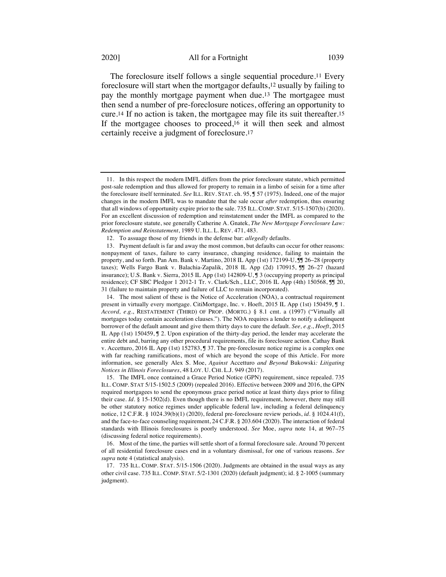The foreclosure itself follows a single sequential procedure.11 Every foreclosure will start when the mortgagor defaults,12 usually by failing to pay the monthly mortgage payment when due.13 The mortgagee must then send a number of pre-foreclosure notices, offering an opportunity to cure.14 If no action is taken, the mortgagee may file its suit thereafter.15 If the mortgagee chooses to proceed,16 it will then seek and almost certainly receive a judgment of foreclosure.17

15. The IMFL once contained a Grace Period Notice (GPN) requirement, since repealed. 735 ILL. COMP. STAT 5/15-1502.5 (2009) (repealed 2016). Effective between 2009 and 2016, the GPN required mortgagees to send the eponymous grace period notice at least thirty days prior to filing their case. *Id.* § 15-1502(d). Even though there is no IMFL requirement, however, there may still be other statutory notice regimes under applicable federal law, including a federal delinquency notice, 12 C.F.R. § 1024.39(b)(1) (2020), federal pre-foreclosure review periods, *id.* § 1024.41(f), and the face-to-face counseling requirement, 24 C.F.R. § 203.604 (2020). The interaction of federal standards with Illinois foreclosures is poorly understood. *See* Moe, *supra* note 14, at 967–75 (discussing federal notice requirements).

16. Most of the time, the parties will settle short of a formal foreclosure sale. Around 70 percent of all residential foreclosure cases end in a voluntary dismissal, for one of various reasons. *See supra* note 4 (statistical analysis).

17. 735 ILL. COMP. STAT. 5/15-1506 (2020). Judgments are obtained in the usual ways as any other civil case. 735 ILL. COMP. STAT. 5/2-1301 (2020) (default judgment); id. § 2-1005 (summary judgment).

<sup>11.</sup> In this respect the modern IMFL differs from the prior foreclosure statute, which permitted post-sale redemption and thus allowed for property to remain in a limbo of seisin for a time after the foreclosure itself terminated. *See* ILL. REV. STAT. ch. 95, ¶ 57 (1975). Indeed, one of the major changes in the modern IMFL was to mandate that the sale occur *after* redemption, thus ensuring that all windows of opportunity expire prior to the sale. 735 ILL. COMP. STAT. 5/15-1507(b) (2020). For an excellent discussion of redemption and reinstatement under the IMFL as compared to the prior foreclosure statute, see generally Catherine A. Gnatek, *The New Mortgage Foreclosure Law: Redemption and Reinstatement*, 1989 U. ILL. L. REV. 471, 483.

<sup>12.</sup> To assuage those of my friends in the defense bar: *allegedly* defaults.

<sup>13.</sup> Payment default is far and away the most common, but defaults can occur for other reasons: nonpayment of taxes, failure to carry insurance, changing residence, failing to maintain the property, and so forth. Pan Am. Bank v. Martino, 2018 IL App (1st) 172199-U,  $\overline{J}$  26–28 (property taxes); Wells Fargo Bank v. Balachia-Zapalik, 2018 IL App (2d) 170915, ¶¶ 26–27 (hazard insurance); U.S. Bank v. Sierra, 2015 IL App (1st) 142809-U, ¶ 3 (occupying property as principal residence); CF SBC Pledgor 1 2012-1 Tr. v. Clark/Sch., LLC, 2016 IL App (4th) 150568, ¶¶ 20, 31 (failure to maintain property and failure of LLC to remain incorporated).

<sup>14.</sup> The most salient of these is the Notice of Acceleration (NOA), a contractual requirement present in virtually every mortgage. CitiMortgage, Inc. v. Hoeft, 2015 IL App (1st) 150459, ¶ 1. *Accord, e.g.*, RESTATEMENT (THIRD) OF PROP. (MORTG.) § 8.1 cmt. a (1997) ("Virtually all mortgages today contain acceleration clauses."). The NOA requires a lender to notify a delinquent borrower of the default amount and give them thirty days to cure the default. *See, e.g.*, *Hoeft*, 2015 IL App (1st) 150459, ¶ 2. Upon expiration of the thirty-day period, the lender may accelerate the entire debt and, barring any other procedural requirements, file its foreclosure action. Cathay Bank v. Accetturo, 2016 IL App (1st) 152783, ¶ 37. The pre-foreclosure notice regime is a complex one with far reaching ramifications, most of which are beyond the scope of this Article. For more information, see generally Alex S. Moe, *Against* Accetturo *and Beyond* Bukowski*: Litigating Notices in Illinois Foreclosures*, 48 LOY. U. CHI. L.J. 949 (2017).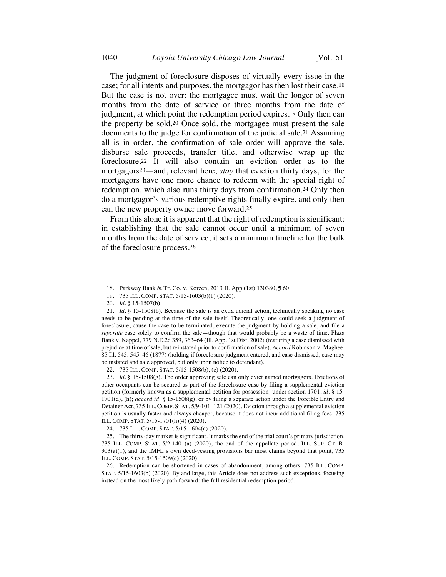The judgment of foreclosure disposes of virtually every issue in the case; for all intents and purposes, the mortgagor has then lost their case.18 But the case is not over: the mortgagee must wait the longer of seven months from the date of service or three months from the date of judgment, at which point the redemption period expires.19 Only then can the property be sold.20 Once sold, the mortgagee must present the sale documents to the judge for confirmation of the judicial sale.21 Assuming all is in order, the confirmation of sale order will approve the sale, disburse sale proceeds, transfer title, and otherwise wrap up the foreclosure.22 It will also contain an eviction order as to the mortgagors23—and, relevant here, *stay* that eviction thirty days, for the mortgagors have one more chance to redeem with the special right of redemption, which also runs thirty days from confirmation.24 Only then do a mortgagor's various redemptive rights finally expire, and only then can the new property owner move forward.25

From this alone it is apparent that the right of redemption is significant: in establishing that the sale cannot occur until a minimum of seven months from the date of service, it sets a minimum timeline for the bulk of the foreclosure process.26

<sup>18.</sup> Parkway Bank & Tr. Co. v. Korzen, 2013 IL App (1st) 130380, ¶ 60.

<sup>19.</sup> 735 ILL. COMP. STAT. 5/15-1603(b)(1) (2020).

<sup>20.</sup> *Id.* § 15-1507(b).

<sup>21.</sup> *Id.* § 15-1508(b). Because the sale is an extrajudicial action, technically speaking no case needs to be pending at the time of the sale itself. Theoretically, one could seek a judgment of foreclosure, cause the case to be terminated, execute the judgment by holding a sale, and file a *separate* case solely to confirm the sale—though that would probably be a waste of time. Plaza Bank v. Kappel*,* 779 N.E.2d 359, 363–64 (Ill. App. 1st Dist. 2002) (featuring a case dismissed with prejudice at time of sale, but reinstated prior to confirmation of sale). *Accord* Robinson v. Maghee, 85 Ill. 545, 545–46 (1877) (holding if foreclosure judgment entered, and case dismissed, case may be instated and sale approved, but only upon notice to defendant).

<sup>22.</sup> 735 ILL. COMP. STAT. 5/15-1508(b), (e) (2020).

<sup>23.</sup> *Id.* § 15-1508(g). The order approving sale can only evict named mortgagors. Evictions of other occupants can be secured as part of the foreclosure case by filing a supplemental eviction petition (formerly known as a supplemental petition for possession) under section 1701, *id.* § 15- 1701(d), (h); *accord id.* § 15-1508(g), or by filing a separate action under the Forcible Entry and Detainer Act, 735 ILL. COMP. STAT. 5/9-101–121 (2020). Eviction through a supplemental eviction petition is usually faster and always cheaper, because it does not incur additional filing fees. 735 ILL. COMP. STAT. 5/15-1701(h)(4) (2020).

<sup>24.</sup> 735 ILL. COMP. STAT. 5/15-1604(a) (2020).

<sup>25.</sup> The thirty-day marker is significant. It marks the end of the trial court's primary jurisdiction, 735 ILL. COMP. STAT. 5/2-1401(a) (2020), the end of the appellate period, ILL. SUP. CT. R. 303(a)(1), and the IMFL's own deed-vesting provisions bar most claims beyond that point, 735 ILL. COMP. STAT. 5/15-1509(c) (2020).

<sup>26.</sup> Redemption can be shortened in cases of abandonment, among others. 735 ILL. COMP. STAT. 5/15-1603(b) (2020). By and large, this Article does not address such exceptions, focusing instead on the most likely path forward: the full residential redemption period.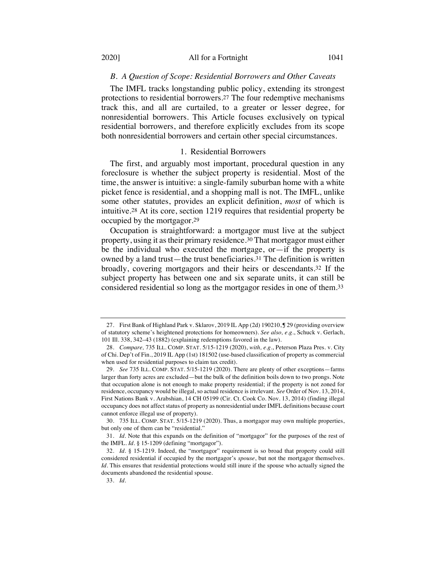### *B. A Question of Scope: Residential Borrowers and Other Caveats*

The IMFL tracks longstanding public policy, extending its strongest protections to residential borrowers.27 The four redemptive mechanisms track this, and all are curtailed, to a greater or lesser degree, for nonresidential borrowers. This Article focuses exclusively on typical residential borrowers, and therefore explicitly excludes from its scope both nonresidential borrowers and certain other special circumstances.

### 1. Residential Borrowers

The first, and arguably most important, procedural question in any foreclosure is whether the subject property is residential. Most of the time, the answer is intuitive: a single-family suburban home with a white picket fence is residential, and a shopping mall is not. The IMFL, unlike some other statutes, provides an explicit definition, *most* of which is intuitive.28 At its core, section 1219 requires that residential property be occupied by the mortgagor.29

Occupation is straightforward: a mortgagor must live at the subject property, using it as their primary residence.30 That mortgagor must either be the individual who executed the mortgage, or—if the property is owned by a land trust—the trust beneficiaries.31 The definition is written broadly, covering mortgagors and their heirs or descendants.32 If the subject property has between one and six separate units, it can still be considered residential so long as the mortgagor resides in one of them.33

<sup>27.</sup> First Bank of Highland Park v. Sklarov, 2019 IL App (2d) 190210, ¶ 29 (providing overview of statutory scheme's heightened protections for homeowners). *See also, e.g.*, Schuck v. Gerlach, 101 Ill. 338, 342–43 (1882) (explaining redemptions favored in the law).

<sup>28.</sup> *Compare,* 735 ILL. COMP. STAT. 5/15-1219 (2020), *with, e.g.*, Peterson Plaza Pres. v. City of Chi. Dep't of Fin., 2019 IL App (1st) 181502 (use-based classification of property as commercial when used for residential purposes to claim tax credit).

<sup>29.</sup> *See* 735 ILL. COMP. STAT. 5/15-1219 (2020). There are plenty of other exceptions—farms larger than forty acres are excluded—but the bulk of the definition boils down to two prongs. Note that occupation alone is not enough to make property residential; if the property is not zoned for residence, occupancy would be illegal, so actual residence is irrelevant. *See* Order of Nov. 13, 2014, First Nations Bank v. Arabshian, 14 CH 05199 (Cir. Ct. Cook Co. Nov. 13, 2014) (finding illegal occupancy does not affect status of property as nonresidential under IMFL definitions because court cannot enforce illegal use of property).

<sup>30.</sup> 735 ILL. COMP. STAT. 5/15-1219 (2020). Thus, a mortgagor may own multiple properties, but only one of them can be "residential."

<sup>31.</sup> *Id.* Note that this expands on the definition of "mortgagor" for the purposes of the rest of the IMFL. *Id.* § 15-1209 (defining "mortgagor").

<sup>32.</sup> *Id.* § 15-1219. Indeed, the "mortgagor" requirement is so broad that property could still considered residential if occupied by the mortgagor's *spouse*, but not the mortgagor themselves. *Id.* This ensures that residential protections would still inure if the spouse who actually signed the documents abandoned the residential spouse.

<sup>33.</sup> *Id.*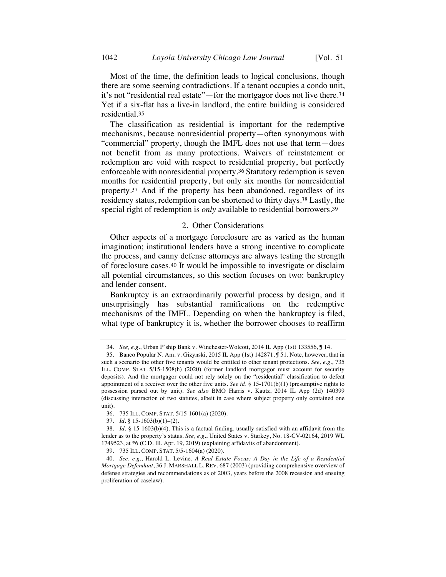Most of the time, the definition leads to logical conclusions, though there are some seeming contradictions. If a tenant occupies a condo unit, it's not "residential real estate"—for the mortgagor does not live there.34 Yet if a six-flat has a live-in landlord, the entire building is considered residential.35

The classification as residential is important for the redemptive mechanisms, because nonresidential property—often synonymous with "commercial" property, though the IMFL does not use that term—does not benefit from as many protections. Waivers of reinstatement or redemption are void with respect to residential property, but perfectly enforceable with nonresidential property.36 Statutory redemption is seven months for residential property, but only six months for nonresidential property.37 And if the property has been abandoned, regardless of its residency status, redemption can be shortened to thirty days.38 Lastly, the special right of redemption is *only* available to residential borrowers.39

### 2. Other Considerations

Other aspects of a mortgage foreclosure are as varied as the human imagination; institutional lenders have a strong incentive to complicate the process, and canny defense attorneys are always testing the strength of foreclosure cases.40 It would be impossible to investigate or disclaim all potential circumstances, so this section focuses on two: bankruptcy and lender consent.

Bankruptcy is an extraordinarily powerful process by design, and it unsurprisingly has substantial ramifications on the redemptive mechanisms of the IMFL. Depending on when the bankruptcy is filed, what type of bankruptcy it is, whether the borrower chooses to reaffirm

<sup>34.</sup> *See, e.g.*, Urban P'ship Bank v. Winchester-Wolcott, 2014 IL App (1st) 133556, ¶ 14.

<sup>35.</sup> Banco Popular N. Am. v. Gizynski, 2015 IL App (1st) 142871, ¶ 51. Note, however, that in such a scenario the other five tenants would be entitled to other tenant protections. *See, e.g.*, 735 ILL. COMP. STAT. 5/15-1508(h) (2020) (former landlord mortgagor must account for security deposits). And the mortgagor could not rely solely on the "residential" classification to defeat appointment of a receiver over the other five units. *See id.* § 15-1701(b)(1) (presumptive rights to possession parsed out by unit). *See also* BMO Harris v. Kautz, 2014 IL App (2d) 140399 (discussing interaction of two statutes, albeit in case where subject property only contained one unit).

<sup>36.</sup> 735 ILL. COMP. STAT. 5/15-1601(a) (2020).

<sup>37.</sup> *Id.* § 15-1603(b)(1)–(2).

<sup>38.</sup> *Id.* § 15-1603(b)(4). This is a factual finding, usually satisfied with an affidavit from the lender as to the property's status. *See, e.g.*, United States v. Starkey, No. 18-CV-02164, 2019 WL 1749523, at \*6 (C.D. Ill. Apr. 19, 2019) (explaining affidavits of abandonment).

<sup>39.</sup> 735 ILL. COMP. STAT. 5/5-1604(a) (2020).

<sup>40.</sup> *See, e.g.*, Harold L. Levine, *A Real Estate Focus: A Day in the Life of a Residential Mortgage Defendant*, 36 J. MARSHALL L. REV. 687 (2003) (providing comprehensive overview of defense strategies and recommendations as of 2003, years before the 2008 recession and ensuing proliferation of caselaw).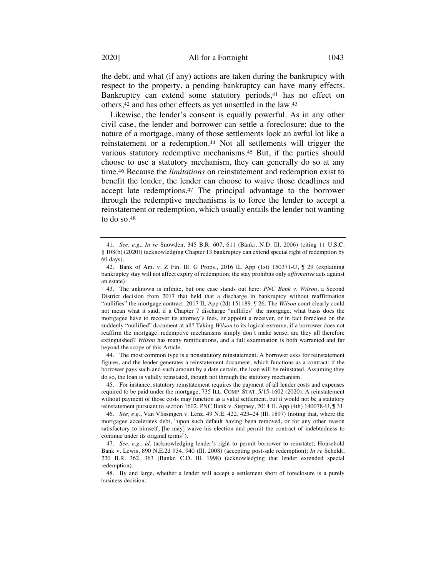the debt, and what (if any) actions are taken during the bankruptcy with respect to the property, a pending bankruptcy can have many effects. Bankruptcy can extend some statutory periods,<sup>41</sup> has no effect on others,42 and has other effects as yet unsettled in the law.43

Likewise, the lender's consent is equally powerful. As in any other civil case, the lender and borrower can settle a foreclosure; due to the nature of a mortgage, many of those settlements look an awful lot like a reinstatement or a redemption.<sup>44</sup> Not all settlements will trigger the various statutory redemptive mechanisms.45 But, if the parties should choose to use a statutory mechanism, they can generally do so at any time.46 Because the *limitations* on reinstatement and redemption exist to benefit the lender, the lender can choose to waive those deadlines and accept late redemptions.47 The principal advantage to the borrower through the redemptive mechanisms is to force the lender to accept a reinstatement or redemption, which usually entails the lender not wanting to do so.48

44. The most common type is a nonstatutory reinstatement. A borrower asks for reinstatement figures, and the lender generates a reinstatement document, which functions as a contract: if the borrower pays such-and-such amount by a date certain, the loan will be reinstated. Assuming they do so, the loan is validly reinstated, though not through the statutory mechanism.

45. For instance, statutory reinstatement requires the payment of all lender costs and expenses required to be paid under the mortgage. 735 ILL. COMP. STAT. 5/15-1602 (2020). A reinstatement without payment of those costs may function as a valid settlement, but it would not be a statutory reinstatement pursuant to section 1602. PNC Bank v. Stepney, 2014 IL App (4th) 140078-U, J 31.

46. *See, e.g.*, Van Vlissingen v. Lenz, 49 N.E. 422, 423–24 (Ill. 1897) (noting that, where the mortgagee accelerates debt, "upon such default having been removed, or for any other reason satisfactory to himself, [he may] waive his election and permit the contract of indebtedness to continue under its original terms").

47. *See, e.g.*, *id.* (acknowledging lender's right to permit borrower to reinstate); Household Bank v. Lewis, 890 N.E.2d 934, 940 (Ill. 2008) (accepting post-sale redemption); *In re* Scheldt, 220 B.R. 362, 363 (Bankr. C.D. Ill. 1998) (acknowledging that lender extended special redemption).

48. By and large, whether a lender will accept a settlement short of foreclosure is a purely business decision.

<sup>41.</sup> *See, e.g.*, *In re* Snowden, 345 B.R. 607, 611 (Bankr. N.D. Ill. 2006) (citing 11 U.S.C. § 108(b) (2020)) (acknowledging Chapter 13 bankruptcy can extend special right of redemption by 60 days).

<sup>42.</sup> Bank of Am. v. Z Fin. Ill. G Props., 2016 IL App (1st) 150371-U, ¶ 29 (explaining bankruptcy stay will not affect expiry of redemption; the stay prohibits only *affirmative* acts against an estate).

<sup>43.</sup> The unknown is infinite, but one case stands out here: *PNC Bank v. Wilson*, a Second District decision from 2017 that held that a discharge in bankruptcy without reaffirmation "nullifies" the mortgage contract. 2017 IL App (2d) 151189, ¶ 26. The *Wilson* court clearly could not mean what it said; if a Chapter 7 discharge "nullifies" the mortgage, what basis does the mortgagee have to recover its attorney's fees, or appoint a receiver, or in fact foreclose on the suddenly "nullified" document at all? Taking *Wilson* to its logical extreme, if a borrower does not reaffirm the mortgage, redemptive mechanisms simply don't make sense; are they all therefore extinguished? *Wilson* has many ramifications, and a full examination is both warranted and far beyond the scope of this Article.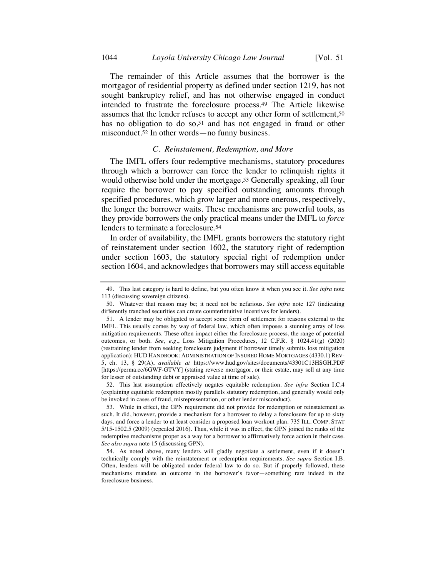The remainder of this Article assumes that the borrower is the mortgagor of residential property as defined under section 1219, has not sought bankruptcy relief, and has not otherwise engaged in conduct intended to frustrate the foreclosure process.49 The Article likewise assumes that the lender refuses to accept any other form of settlement,50 has no obligation to do so,<sup>51</sup> and has not engaged in fraud or other misconduct.52 In other words—no funny business.

#### *C. Reinstatement, Redemption, and More*

The IMFL offers four redemptive mechanisms, statutory procedures through which a borrower can force the lender to relinquish rights it would otherwise hold under the mortgage.53 Generally speaking, all four require the borrower to pay specified outstanding amounts through specified procedures, which grow larger and more onerous, respectively, the longer the borrower waits. These mechanisms are powerful tools, as they provide borrowers the only practical means under the IMFL to *force* lenders to terminate a foreclosure.54

In order of availability, the IMFL grants borrowers the statutory right of reinstatement under section 1602, the statutory right of redemption under section 1603, the statutory special right of redemption under section 1604, and acknowledges that borrowers may still access equitable

<sup>49.</sup> This last category is hard to define, but you often know it when you see it. *See infra* note 113 (discussing sovereign citizens).

<sup>50.</sup> Whatever that reason may be; it need not be nefarious. *See infra* note 127 (indicating differently tranched securities can create counterintuitive incentives for lenders).

<sup>51.</sup> A lender may be obligated to accept some form of settlement for reasons external to the IMFL. This usually comes by way of federal law, which often imposes a stunning array of loss mitigation requirements. These often impact either the foreclosure process, the range of potential outcomes, or both. *See, e.g.*, Loss Mitigation Procedures, 12 C.F.R. § 1024.41(g) (2020) (restraining lender from seeking foreclosure judgment if borrower timely submits loss mitigation application); HUD HANDBOOK: ADMINISTRATION OF INSURED HOME MORTGAGES (4330.1) REV-5, ch. 13, § 29(A), *available at* https://www.hud.gov/sites/documents/43301C13HSGH.PDF [https://perma.cc/6GWF-GTVY] (stating reverse mortgagor, or their estate, may sell at any time for lesser of outstanding debt or appraised value at time of sale).

<sup>52.</sup> This last assumption effectively negates equitable redemption. *See infra* Section I.C.4 (explaining equitable redemption mostly parallels statutory redemption, and generally would only be invoked in cases of fraud, misrepresentation, or other lender misconduct).

<sup>53.</sup> While in effect, the GPN requirement did not provide for redemption or reinstatement as such. It did, however, provide a mechanism for a borrower to delay a foreclosure for up to sixty days, and force a lender to at least consider a proposed loan workout plan. 735 ILL. COMP. STAT 5/15-1502.5 (2009) (repealed 2016). Thus, while it was in effect, the GPN joined the ranks of the redemptive mechanisms proper as a way for a borrower to affirmatively force action in their case. *See also supra* note 15 (discussing GPN).

<sup>54.</sup> As noted above, many lenders will gladly negotiate a settlement, even if it doesn't technically comply with the reinstatement or redemption requirements. *See supra* Section I.B. Often, lenders will be obligated under federal law to do so. But if properly followed, these mechanisms mandate an outcome in the borrower's favor—something rare indeed in the foreclosure business.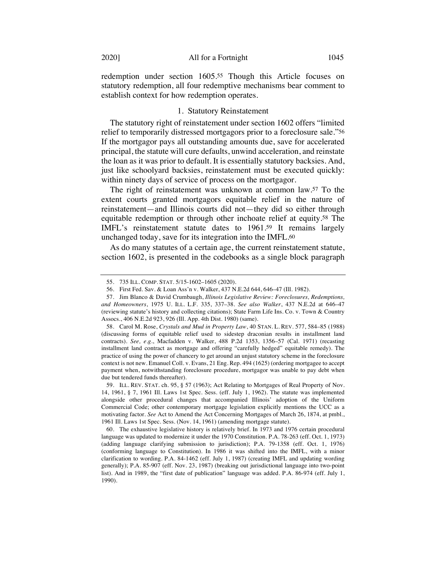redemption under section 1605.55 Though this Article focuses on statutory redemption, all four redemptive mechanisms bear comment to establish context for how redemption operates.

#### 1. Statutory Reinstatement

The statutory right of reinstatement under section 1602 offers "limited relief to temporarily distressed mortgagors prior to a foreclosure sale."56 If the mortgagor pays all outstanding amounts due, save for accelerated principal, the statute will cure defaults, unwind acceleration, and reinstate the loan as it was prior to default. It is essentially statutory backsies. And, just like schoolyard backsies, reinstatement must be executed quickly: within ninety days of service of process on the mortgagor.

The right of reinstatement was unknown at common law.57 To the extent courts granted mortgagors equitable relief in the nature of reinstatement—and Illinois courts did not—they did so either through equitable redemption or through other inchoate relief at equity.58 The IMFL's reinstatement statute dates to 1961.59 It remains largely unchanged today, save for its integration into the IMFL.60

As do many statutes of a certain age, the current reinstatement statute, section 1602, is presented in the codebooks as a single block paragraph

<sup>55.</sup> 735 ILL. COMP. STAT. 5/15-1602–1605 (2020).

<sup>56.</sup> First Fed. Sav. & Loan Ass'n v. Walker, 437 N.E.2d 644, 646–47 (Ill. 1982).

<sup>57.</sup> Jim Blanco & David Crumbaugh, *Illinois Legislative Review: Foreclosures, Redemptions, and Homeowners*, 1975 U. ILL. L.F. 335, 337–38. *See also Walker*, 437 N.E.2d at 646–47 (reviewing statute's history and collecting citations); State Farm Life Ins. Co. v. Town & Country Assocs., 406 N.E.2d 923, 926 (Ill. App. 4th Dist. 1980) (same).

<sup>58.</sup> Carol M. Rose, *Crystals and Mud in Property Law*, 40 STAN. L. REV. 577, 584–85 (1988) (discussing forms of equitable relief used to sidestep draconian results in installment land contracts). *See, e.g.*, Macfadden v. Walker, 488 P.2d 1353, 1356–57 (Cal. 1971) (recasting installment land contract as mortgage and offering "carefully hedged" equitable remedy). The practice of using the power of chancery to get around an unjust statutory scheme in the foreclosure context is not new. Emanuel Coll. v. Evans, 21 Eng. Rep. 494 (1625) (ordering mortgagee to accept payment when, notwithstanding foreclosure procedure, mortgagor was unable to pay debt when due but tendered funds thereafter).

<sup>59.</sup> ILL. REV. STAT. ch. 95, § 57 (1963); Act Relating to Mortgages of Real Property of Nov. 14, 1961, § 7, 1961 Ill. Laws 1st Spec. Sess. (eff. July 1, 1962). The statute was implemented alongside other procedural changes that accompanied Illinois' adoption of the Uniform Commercial Code; other contemporary mortgage legislation explicitly mentions the UCC as a motivating factor. *See* Act to Amend the Act Concerning Mortgages of March 26, 1874, at pmbl., 1961 Ill. Laws 1st Spec. Sess. (Nov. 14, 1961) (amending mortgage statute).

<sup>60.</sup> The exhaustive legislative history is relatively brief. In 1973 and 1976 certain procedural language was updated to modernize it under the 1970 Constitution. P.A. 78-263 (eff. Oct. 1, 1973) (adding language clarifying submission to jurisdiction); P.A. 79-1358 (eff. Oct. 1, 1976) (conforming language to Constitution). In 1986 it was shifted into the IMFL, with a minor clarification to wording. P.A. 84-1462 (eff. July 1, 1987) (creating IMFL and updating wording generally); P.A. 85-907 (eff. Nov. 23, 1987) (breaking out jurisdictional language into two-point list). And in 1989, the "first date of publication" language was added. P.A. 86-974 (eff. July 1, 1990).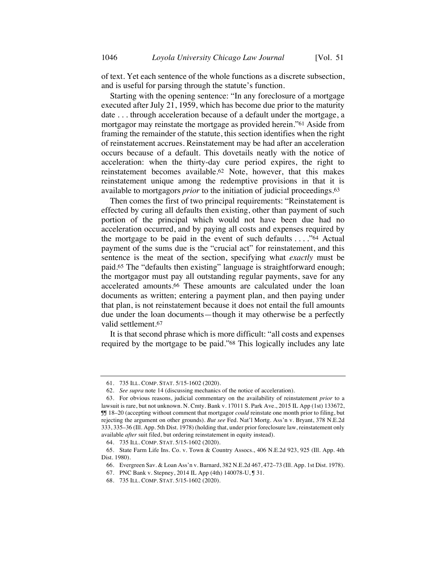of text. Yet each sentence of the whole functions as a discrete subsection, and is useful for parsing through the statute's function.

Starting with the opening sentence: "In any foreclosure of a mortgage executed after July 21, 1959, which has become due prior to the maturity date . . . through acceleration because of a default under the mortgage, a mortgagor may reinstate the mortgage as provided herein."61 Aside from framing the remainder of the statute, this section identifies when the right of reinstatement accrues. Reinstatement may be had after an acceleration occurs because of a default. This dovetails neatly with the notice of acceleration: when the thirty-day cure period expires, the right to reinstatement becomes available.62 Note, however, that this makes reinstatement unique among the redemptive provisions in that it is available to mortgagors *prior* to the initiation of judicial proceedings.63

Then comes the first of two principal requirements: "Reinstatement is effected by curing all defaults then existing, other than payment of such portion of the principal which would not have been due had no acceleration occurred, and by paying all costs and expenses required by the mortgage to be paid in the event of such defaults . . . ."64 Actual payment of the sums due is the "crucial act" for reinstatement, and this sentence is the meat of the section, specifying what *exactly* must be paid.65 The "defaults then existing" language is straightforward enough; the mortgagor must pay all outstanding regular payments, save for any accelerated amounts.66 These amounts are calculated under the loan documents as written; entering a payment plan, and then paying under that plan, is not reinstatement because it does not entail the full amounts due under the loan documents—though it may otherwise be a perfectly valid settlement.67

It is that second phrase which is more difficult: "all costs and expenses required by the mortgage to be paid."68 This logically includes any late

<sup>61.</sup> 735 ILL. COMP. STAT. 5/15-1602 (2020).

<sup>62.</sup> *See supra* note 14 (discussing mechanics of the notice of acceleration).

<sup>63.</sup> For obvious reasons, judicial commentary on the availability of reinstatement *prior* to a lawsuit is rare, but not unknown. N. Cmty. Bank v. 17011 S. Park Ave., 2015 IL App (1st) 133672, ¶¶ 18–20 (accepting without comment that mortgagor *could* reinstate one month prior to filing, but rejecting the argument on other grounds). *But see* Fed. Nat'l Mortg. Ass'n v. Bryant, 378 N.E.2d 333, 335–36 (Ill. App. 5th Dist. 1978) (holding that, under prior foreclosure law, reinstatement only available *after* suit filed, but ordering reinstatement in equity instead).

<sup>64.</sup> 735 ILL. COMP. STAT. 5/15-1602 (2020).

<sup>65.</sup> State Farm Life Ins. Co. v. Town & Country Assocs., 406 N.E.2d 923, 925 (Ill. App. 4th Dist. 1980).

<sup>66.</sup> Evergreen Sav. & Loan Ass'n v. Barnard, 382 N.E.2d 467, 472–73 (Ill. App. 1st Dist. 1978).

<sup>67.</sup> PNC Bank v. Stepney, 2014 IL App (4th) 140078-U, ¶ 31.

<sup>68.</sup> 735 ILL. COMP. STAT. 5/15-1602 (2020).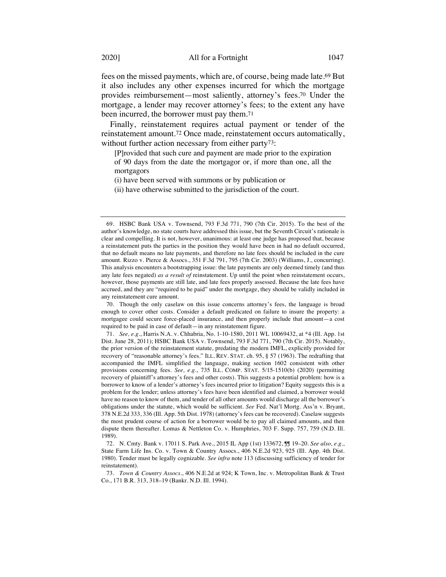fees on the missed payments, which are, of course, being made late.69 But it also includes any other expenses incurred for which the mortgage provides reimbursement—most saliently, attorney's fees.70 Under the mortgage, a lender may recover attorney's fees; to the extent any have been incurred, the borrower must pay them.71

Finally, reinstatement requires actual payment or tender of the reinstatement amount.72 Once made, reinstatement occurs automatically, without further action necessary from either party<sup>73</sup>:

[P]rovided that such cure and payment are made prior to the expiration of 90 days from the date the mortgagor or, if more than one, all the mortgagors

(i) have been served with summons or by publication or

(ii) have otherwise submitted to the jurisdiction of the court.

70. Though the only caselaw on this issue concerns attorney's fees, the language is broad enough to cover other costs. Consider a default predicated on failure to insure the property: a mortgagee could secure force-placed insurance, and then properly include that amount—a cost required to be paid in case of default—in any reinstatement figure.

71. *See, e.g.*, Harris N.A. v. Chhabria, No. 1-10-1580, 2011 WL 10069432, at \*4 (Ill. App. 1st Dist. June 28, 2011); HSBC Bank USA v. Townsend, 793 F.3d 771, 790 (7th Cir. 2015). Notably, the prior version of the reinstatement statute, predating the modern IMFL, explicitly provided for recovery of "reasonable attorney's fees." ILL. REV. STAT. ch. 95, § 57 (1963). The redrafting that accompanied the IMFL simplified the language, making section 1602 consistent with other provisions concerning fees. *See, e.g.*, 735 ILL. COMP. STAT. 5/15-1510(b) (2020) (permitting recovery of plaintiff's attorney's fees and other costs). This suggests a potential problem: how is a borrower to know of a lender's attorney's fees incurred prior to litigation? Equity suggests this is a problem for the lender; unless attorney's fees have been identified and claimed, a borrower would have no reason to know of them, and tender of all other amounts would discharge all the borrower's obligations under the statute, which would be sufficient. *See* Fed. Nat'l Mortg. Ass'n v. Bryant, 378 N.E.2d 333, 336 (Ill. App. 5th Dist. 1978) (attorney's fees can be recovered). Caselaw suggests the most prudent course of action for a borrower would be to pay all claimed amounts, and then dispute them thereafter. Lomas & Nettleton Co. v. Humphries, 703 F. Supp. 757, 759 (N.D. Ill. 1989).

72. N. Cmty. Bank v. 17011 S. Park Ave., 2015 IL App (1st) 133672, ¶¶ 19–20. *See also, e.g.*, State Farm Life Ins. Co. v. Town & Country Assocs., 406 N.E.2d 923, 925 (Ill. App. 4th Dist. 1980). Tender must be legally cognizable. *See infra* note 113 (discussing sufficiency of tender for reinstatement).

73. *Town & Country Assocs.*, 406 N.E.2d at 924; K Town, Inc. v. Metropolitan Bank & Trust Co., 171 B.R. 313, 318–19 (Bankr. N.D. Ill. 1994).

<sup>69.</sup> HSBC Bank USA v. Townsend, 793 F.3d 771, 790 (7th Cir. 2015). To the best of the author's knowledge, no state courts have addressed this issue, but the Seventh Circuit's rationale is clear and compelling. It is not, however, unanimous: at least one judge has proposed that, because a reinstatement puts the parties in the position they would have been in had no default occurred, that no default means no late payments, and therefore no late fees should be included in the cure amount. Rizzo v. Pierce & Assocs., 351 F.3d 791, 795 (7th Cir. 2003) (Williams, J., concurring). This analysis encounters a bootstrapping issue: the late payments are only deemed timely (and thus any late fees negated) *as a result of* reinstatement. Up until the point when reinstatement occurs, however, those payments are still late, and late fees properly assessed. Because the late fees have accrued, and they are "required to be paid" under the mortgage, they should be validly included in any reinstatement cure amount.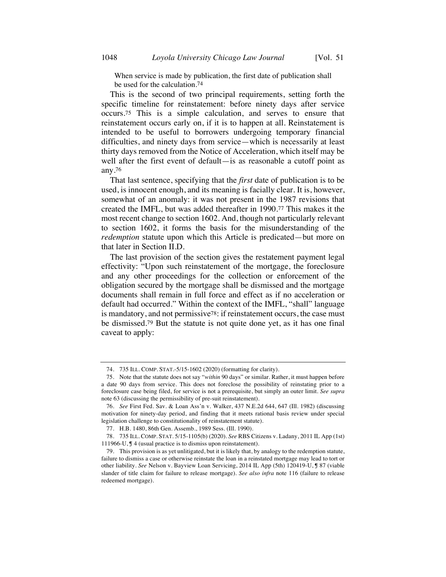When service is made by publication, the first date of publication shall be used for the calculation.74

This is the second of two principal requirements, setting forth the specific timeline for reinstatement: before ninety days after service occurs.75 This is a simple calculation, and serves to ensure that reinstatement occurs early on, if it is to happen at all. Reinstatement is intended to be useful to borrowers undergoing temporary financial difficulties, and ninety days from service—which is necessarily at least thirty days removed from the Notice of Acceleration, which itself may be well after the first event of default—is as reasonable a cutoff point as any.76

That last sentence, specifying that the *first* date of publication is to be used, is innocent enough, and its meaning is facially clear. It is, however, somewhat of an anomaly: it was not present in the 1987 revisions that created the IMFL, but was added thereafter in 1990.77 This makes it the most recent change to section 1602. And, though not particularly relevant to section 1602, it forms the basis for the misunderstanding of the *redemption* statute upon which this Article is predicated—but more on that later in Section II.D.

The last provision of the section gives the restatement payment legal effectivity: "Upon such reinstatement of the mortgage, the foreclosure and any other proceedings for the collection or enforcement of the obligation secured by the mortgage shall be dismissed and the mortgage documents shall remain in full force and effect as if no acceleration or default had occurred." Within the context of the IMFL, "shall" language is mandatory, and not permissive78: if reinstatement occurs, the case must be dismissed.79 But the statute is not quite done yet, as it has one final caveat to apply:

<sup>74.</sup> 735 ILL. COMP. STAT.-5/15-1602 (2020) (formatting for clarity).

<sup>75.</sup> Note that the statute does not say "*within* 90 days" or similar. Rather, it must happen before a date 90 days from service. This does not foreclose the possibility of reinstating prior to a foreclosure case being filed, for service is not a prerequisite, but simply an outer limit. *See supra* note 63 (discussing the permissibility of pre-suit reinstatement).

<sup>76.</sup> *See* First Fed. Sav. & Loan Ass'n v. Walker, 437 N.E.2d 644, 647 (Ill. 1982) (discussing motivation for ninety-day period, and finding that it meets rational basis review under special legislation challenge to constitutionality of reinstatement statute).

<sup>77.</sup> H.B. 1480, 86th Gen. Assemb., 1989 Sess. (Ill. 1990).

<sup>78.</sup> 735 ILL. COMP. STAT. 5/15-1105(b) (2020). *See* RBS Citizens v. Ladany, 2011 IL App (1st) 111966-U, ¶ 4 (usual practice is to dismiss upon reinstatement).

<sup>79.</sup> This provision is as yet unlitigated, but it is likely that, by analogy to the redemption statute, failure to dismiss a case or otherwise reinstate the loan in a reinstated mortgage may lead to tort or other liability. *See* Nelson v. Bayview Loan Servicing, 2014 IL App (5th) 120419-U, ¶ 87 (viable slander of title claim for failure to release mortgage). *See also infra* note 116 (failure to release redeemed mortgage).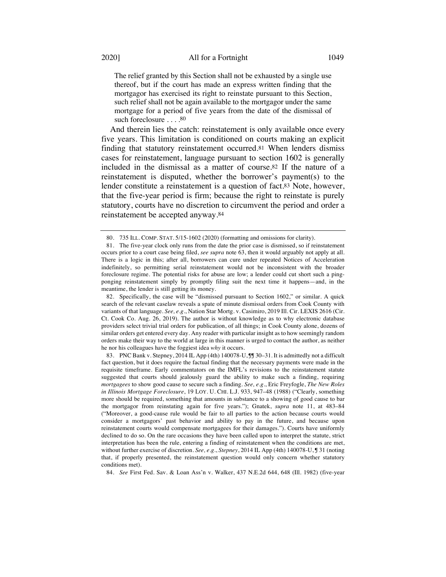The relief granted by this Section shall not be exhausted by a single use thereof, but if the court has made an express written finding that the mortgagor has exercised its right to reinstate pursuant to this Section, such relief shall not be again available to the mortgagor under the same mortgage for a period of five years from the date of the dismissal of such foreclosure . . . . 80

And therein lies the catch: reinstatement is only available once every five years. This limitation is conditioned on courts making an explicit finding that statutory reinstatement occurred.81 When lenders dismiss cases for reinstatement, language pursuant to section 1602 is generally included in the dismissal as a matter of course.82 If the nature of a reinstatement is disputed, whether the borrower's payment(s) to the lender constitute a reinstatement is a question of fact.83 Note, however, that the five-year period is firm; because the right to reinstate is purely statutory, courts have no discretion to circumvent the period and order a reinstatement be accepted anyway.84

82. Specifically, the case will be "dismissed pursuant to Section 1602," or similar. A quick search of the relevant caselaw reveals a spate of minute dismissal orders from Cook County with variants of that language. *See, e.g.*, Nation Star Mortg. v. Casimiro, 2019 Ill. Cir. LEXIS 2616 (Cir. Ct. Cook Co. Aug. 26, 2019). The author is without knowledge as to why electronic database providers select trivial trial orders for publication, of all things; in Cook County alone, dozens of similar orders get entered every day. Any reader with particular insight as to how seemingly random orders make their way to the world at large in this manner is urged to contact the author, as neither he nor his colleagues have the foggiest idea *why* it occurs.

84. *See* First Fed. Sav. & Loan Ass'n v. Walker, 437 N.E.2d 644, 648 (Ill. 1982) (five-year

<sup>80.</sup> 735 ILL. COMP. STAT. 5/15-1602 (2020) (formatting and omissions for clarity).

<sup>81.</sup> The five-year clock only runs from the date the prior case is dismissed, so if reinstatement occurs prior to a court case being filed, *see supra* note 63, then it would arguably not apply at all. There is a logic in this; after all, borrowers can cure under repeated Notices of Acceleration indefinitely, so permitting serial reinstatement would not be inconsistent with the broader foreclosure regime. The potential risks for abuse are low; a lender could cut short such a pingponging reinstatement simply by promptly filing suit the next time it happens—and, in the meantime, the lender is still getting its money.

<sup>83.</sup> PNC Bank v. Stepney, 2014 IL App (4th) 140078-U,  $\mathbb{J}$  30–31. It is admittedly not a difficult fact question, but it does require the factual finding that the necessary payments were made in the requisite timeframe. Early commentators on the IMFL's revisions to the reinstatement statute suggested that courts should jealously guard the ability to make such a finding, requiring *mortgagees* to show good cause to secure such a finding. *See, e.g.*, Eric Freyfogle, *The New Roles in Illinois Mortgage Foreclosure*, 19 LOY. U. CHI. L.J. 933, 947–48 (1988) ("Clearly, something more should be required, something that amounts in substance to a showing of good cause to bar the mortgagor from reinstating again for five years."); Gnatek, *supra* note 11, at 483–84 ("Moreover, a good-cause rule would be fair to all parties to the action because courts would consider a mortgagors' past behavior and ability to pay in the future, and because upon reinstatement courts would compensate mortgagees for their damages."). Courts have uniformly declined to do so. On the rare occasions they have been called upon to interpret the statute, strict interpretation has been the rule, entering a finding of reinstatement when the conditions are met, without further exercise of discretion. *See, e.g.*, *Stepney*, 2014 IL App (4th) 140078-U, ¶ 31 (noting that, if properly presented, the reinstatement question would only concern whether statutory conditions met).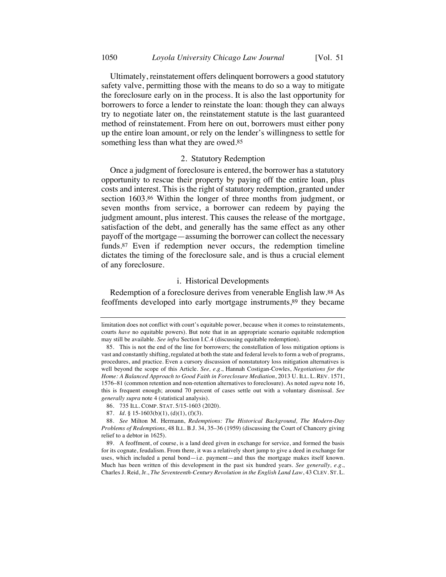Ultimately, reinstatement offers delinquent borrowers a good statutory safety valve, permitting those with the means to do so a way to mitigate the foreclosure early on in the process. It is also the last opportunity for borrowers to force a lender to reinstate the loan: though they can always try to negotiate later on, the reinstatement statute is the last guaranteed method of reinstatement. From here on out, borrowers must either pony up the entire loan amount, or rely on the lender's willingness to settle for something less than what they are owed.<sup>85</sup>

#### 2. Statutory Redemption

Once a judgment of foreclosure is entered, the borrower has a statutory opportunity to rescue their property by paying off the entire loan, plus costs and interest. This is the right of statutory redemption, granted under section 1603.86 Within the longer of three months from judgment, or seven months from service, a borrower can redeem by paying the judgment amount, plus interest. This causes the release of the mortgage, satisfaction of the debt, and generally has the same effect as any other payoff of the mortgage—assuming the borrower can collect the necessary funds.87 Even if redemption never occurs, the redemption timeline dictates the timing of the foreclosure sale, and is thus a crucial element of any foreclosure.

### i. Historical Developments

Redemption of a foreclosure derives from venerable English law.88 As feoffments developed into early mortgage instruments,89 they became

limitation does not conflict with court's equitable power, because when it comes to reinstatements, courts *have* no equitable powers). But note that in an appropriate scenario equitable redemption may still be available. *See infra* Section I.C.4 (discussing equitable redemption).

<sup>85.</sup> This is not the end of the line for borrowers; the constellation of loss mitigation options is vast and constantly shifting, regulated at both the state and federal levels to form a web of programs, procedures, and practice. Even a cursory discussion of nonstatutory loss mitigation alternatives is well beyond the scope of this Article. *See, e.g.*, Hannah Costigan-Cowles, *Negotiations for the Home: A Balanced Approach to Good Faith in Foreclosure Mediation*, 2013 U. ILL. L. REV. 1571, 1576–81 (common retention and non-retention alternatives to foreclosure). As noted *supra* note 16, this is frequent enough; around 70 percent of cases settle out with a voluntary dismissal. *See generally supra* note 4 (statistical analysis).

<sup>86.</sup> 735 ILL. COMP. STAT. 5/15-1603 (2020).

<sup>87.</sup> *Id.* § 15-1603(b)(1), (d)(1), (f)(3).

<sup>88.</sup> *See* Milton M. Hermann, *Redemptions: The Historical Background, The Modern-Day Problems of Redemptions*, 48 ILL. B.J. 34, 35–36 (1959) (discussing the Court of Chancery giving relief to a debtor in 1625).

<sup>89.</sup> A feoffment, of course, is a land deed given in exchange for service, and formed the basis for its cognate, feudalism. From there, it was a relatively short jump to give a deed in exchange for uses, which included a penal bond—i.e. payment—and thus the mortgage makes itself known. Much has been written of this development in the past six hundred years. *See generally, e.g.*, Charles J. Reid, Jr., *The Seventeenth-Century Revolution in the English Land Law*, 43 CLEV. ST. L.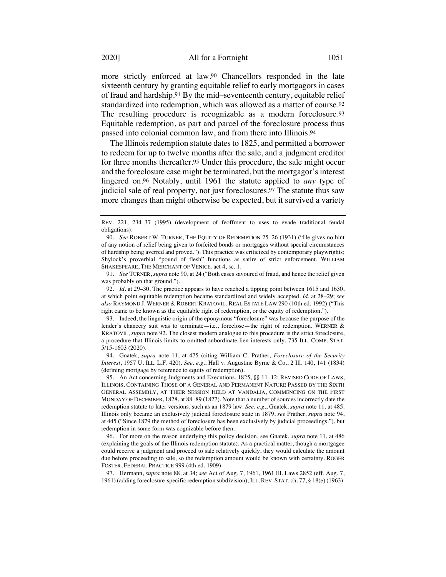more strictly enforced at law.90 Chancellors responded in the late sixteenth century by granting equitable relief to early mortgagors in cases of fraud and hardship.91 By the mid–seventeenth century, equitable relief standardized into redemption, which was allowed as a matter of course.92 The resulting procedure is recognizable as a modern foreclosure.93 Equitable redemption, as part and parcel of the foreclosure process thus passed into colonial common law, and from there into Illinois.94

The Illinois redemption statute dates to 1825, and permitted a borrower to redeem for up to twelve months after the sale, and a judgment creditor for three months thereafter.95 Under this procedure, the sale might occur and the foreclosure case might be terminated, but the mortgagor's interest lingered on.96 Notably, until 1961 the statute applied to *any* type of judicial sale of real property, not just foreclosures.97 The statute thus saw more changes than might otherwise be expected, but it survived a variety

91. *See* TURNER, *supra* note 90, at 24 ("Both cases savoured of fraud, and hence the relief given was probably on that ground.").

92. *Id.* at 29–30. The practice appears to have reached a tipping point between 1615 and 1630, at which point equitable redemption became standardized and widely accepted. *Id.* at 28–29; *see also* RAYMOND J. WERNER & ROBERT KRATOVIL, REAL ESTATE LAW 290 (10th ed. 1992) ("This right came to be known as the equitable right of redemption, or the equity of redemption.").

93. Indeed, the linguistic origin of the eponymous "foreclosure" was because the purpose of the lender's chancery suit was to terminate—i.e., foreclose—the right of redemption. WERNER & KRATOVIL, *supra* note 92. The closest modern analogue to this procedure is the strict foreclosure, a procedure that Illinois limits to omitted subordinate lien interests only. 735 ILL. COMP. STAT. 5/15-1603 (2020).

94. Gnatek, *supra* note 11, at 475 (citing William C. Prather, *Foreclosure of the Security Interest*, 1957 U. ILL. L.F. 420). *See, e.g.*, Hall v. Augustine Byrne & Co., 2 Ill. 140, 141 (1834) (defining mortgage by reference to equity of redemption).

95. An Act concerning Judgments and Executions, 1825, §§ 11–12; REVISED CODE OF LAWS, ILLINOIS, CONTAINING THOSE OF A GENERAL AND PERMANENT NATURE PASSED BY THE SIXTH GENERAL ASSEMBLY, AT THEIR SESSION HELD AT VANDALIA, COMMENCING ON THE FIRST MONDAY OF DECEMBER, 1828, at 88–89 (1827). Note that a number of sources incorrectly date the redemption statute to later versions, such as an 1879 law. *See, e.g.*, Gnatek, *supra* note 11, at 485. Illinois only became an exclusively judicial foreclosure state in 1879, *see* Prather, *supra* note 94, at 445 ("Since 1879 the method of foreclosure has been exclusively by judicial proceedings."), but redemption in some form was cognizable before then.

96. For more on the reason underlying this policy decision, see Gnatek, *supra* note 11, at 486 (explaining the goals of the Illinois redemption statute). As a practical matter, though a mortgagee could receive a judgment and proceed to sale relatively quickly, they would calculate the amount due before proceeding to sale, so the redemption amount would be known with certainty. ROGER FOSTER, FEDERAL PRACTICE 999 (4th ed. 1909).

97. Hermann, *supra* note 88, at 34; *see* Act of Aug. 7, 1961, 1961 Ill. Laws 2852 (eff. Aug. 7, 1961) (adding foreclosure-specific redemption subdivision); ILL.REV. STAT. ch. 77, § 18(e) (1963).

REV. 221, 234–37 (1995) (development of feoffment to uses to evade traditional feudal obligations).

<sup>90.</sup> *See* ROBERT W. TURNER, THE EQUITY OF REDEMPTION 25–26 (1931) ("He gives no hint of any notion of relief being given to forfeited bonds or mortgages without special circumstances of hardship being averred and proved."). This practice was criticized by contemporary playwrights; Shylock's proverbial "pound of flesh" functions as satire of strict enforcement. WILLIAM SHAKESPEARE, THE MERCHANT OF VENICE, act 4, sc. 1.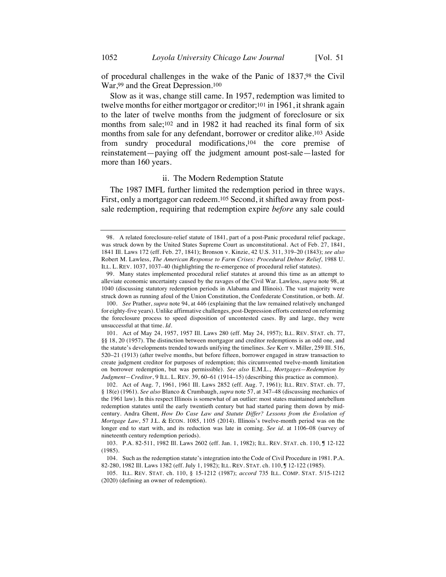of procedural challenges in the wake of the Panic of 1837,98 the Civil War,99 and the Great Depression.100

Slow as it was, change still came. In 1957, redemption was limited to twelve months for either mortgagor or creditor;101 in 1961, it shrank again to the later of twelve months from the judgment of foreclosure or six months from sale;102 and in 1982 it had reached its final form of six months from sale for any defendant, borrower or creditor alike.103 Aside from sundry procedural modifications,104 the core premise of reinstatement—paying off the judgment amount post-sale—lasted for more than 160 years.

#### ii. The Modern Redemption Statute

The 1987 IMFL further limited the redemption period in three ways. First, only a mortgagor can redeem.105 Second, it shifted away from postsale redemption, requiring that redemption expire *before* any sale could

<sup>98.</sup> A related foreclosure-relief statute of 1841, part of a post-Panic procedural relief package, was struck down by the United States Supreme Court as unconstitutional. Act of Feb. 27, 1841, 1841 Ill. Laws 172 (eff. Feb. 27, 1841); Bronson v. Kinzie, 42 U.S. 311, 319–20 (1843); *see also* Robert M. Lawless, *The American Response to Farm Crises: Procedural Debtor Relief*, 1988 U. ILL. L. REV. 1037, 1037–40 (highlighting the re-emergence of procedural relief statutes).

<sup>99.</sup> Many states implemented procedural relief statutes at around this time as an attempt to alleviate economic uncertainty caused by the ravages of the Civil War. Lawless, *supra* note 98, at 1040 (discussing statutory redemption periods in Alabama and Illinois). The vast majority were struck down as running afoul of the Union Constitution, the Confederate Constitution, or both. *Id.*

<sup>100.</sup> *See* Prather, *supra* note 94, at 446 (explaining that the law remained relatively unchanged for eighty-five years). Unlike affirmative challenges, post-Depression efforts centered on reforming the foreclosure process to speed disposition of uncontested cases. By and large, they were unsuccessful at that time. *Id.*

<sup>101.</sup> Act of May 24, 1957, 1957 Ill. Laws 280 (eff. May 24, 1957); ILL. REV. STAT. ch. 77, §§ 18, 20 (1957). The distinction between mortgagor and creditor redemptions is an odd one, and the statute's developments trended towards unifying the timelines. *See* Kerr v. Miller, 259 Ill. 516, 520–21 (1913) (after twelve months, but before fifteen, borrower engaged in straw transaction to create judgment creditor for purposes of redemption; this circumvented twelve-month limitation on borrower redemption, but was permissible). *See also* E.M.L., *Mortgages—Redemption by Judgment—Creditor*, 9 ILL. L. REV. 39, 60–61 (1914–15) (describing this practice as common).

<sup>102.</sup> Act of Aug. 7, 1961, 1961 Ill. Laws 2852 (eff. Aug. 7, 1961); ILL. REV. STAT. ch. 77, § 18(e) (1961). *See also* Blanco & Crumbaugh, *supra* note 57, at 347–48 (discussing mechanics of the 1961 law). In this respect Illinois is somewhat of an outlier: most states maintained antebellum redemption statutes until the early twentieth century but had started paring them down by midcentury. Andra Ghent, *How Do Case Law and Statute Differ? Lessons from the Evolution of Mortgage Law*, 57 J.L. & ECON. 1085, 1105 (2014). Illinois's twelve-month period was on the longer end to start with, and its reduction was late in coming. *See id.* at 1106–08 (survey of nineteenth century redemption periods).

<sup>103.</sup> P.A. 82-511, 1982 Ill. Laws 2602 (eff. Jan. 1, 1982); ILL. REV. STAT. ch. 110, ¶ 12-122 (1985).

<sup>104.</sup> Such as the redemption statute's integration into the Code of Civil Procedure in 1981. P.A. 82-280, 1982 Ill. Laws 1382 (eff. July 1, 1982); ILL. REV. STAT. ch. 110, ¶ 12-122 (1985).

<sup>105.</sup> ILL. REV. STAT. ch. 110, § 15-1212 (1987); *accord* 735 ILL. COMP. STAT. 5/15-1212 (2020) (defining an owner of redemption).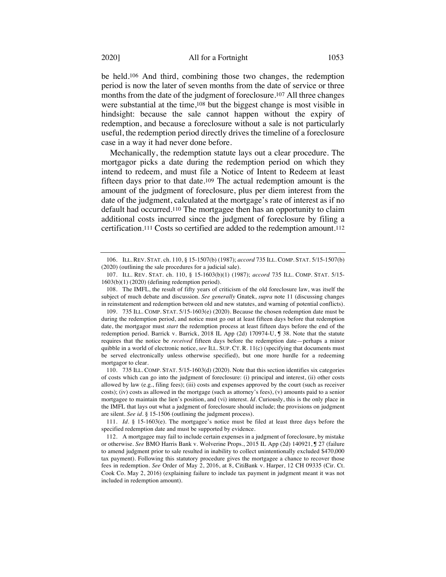be held.106 And third, combining those two changes, the redemption period is now the later of seven months from the date of service or three months from the date of the judgment of foreclosure.107 All three changes were substantial at the time,108 but the biggest change is most visible in hindsight: because the sale cannot happen without the expiry of redemption, and because a foreclosure without a sale is not particularly useful, the redemption period directly drives the timeline of a foreclosure case in a way it had never done before.

Mechanically, the redemption statute lays out a clear procedure. The mortgagor picks a date during the redemption period on which they intend to redeem, and must file a Notice of Intent to Redeem at least fifteen days prior to that date.109 The actual redemption amount is the amount of the judgment of foreclosure, plus per diem interest from the date of the judgment, calculated at the mortgage's rate of interest as if no default had occurred.110 The mortgagee then has an opportunity to claim additional costs incurred since the judgment of foreclosure by filing a certification.111 Costs so certified are added to the redemption amount.112

110. 735 ILL. COMP. STAT. 5/15-1603(d) (2020). Note that this section identifies six categories of costs which can go into the judgment of foreclosure: (i) principal and interest, (ii) other costs allowed by law (e.g., filing fees); (iii) costs and expenses approved by the court (such as receiver costs); (iv) costs as allowed in the mortgage (such as attorney's fees), (v) amounts paid to a senior mortgagee to maintain the lien's position, and (vi) interest. *Id.* Curiously, this is the only place in the IMFL that lays out what a judgment of foreclosure should include; the provisions on judgment are silent. *See id.* § 15-1506 (outlining the judgment process).

111. *Id.* § 15-1603(e). The mortgagee's notice must be filed at least three days before the specified redemption date and must be supported by evidence.

112. A mortgagee may fail to include certain expenses in a judgment of foreclosure, by mistake or otherwise. *See* BMO Harris Bank v. Wolverine Props., 2015 IL App (2d) 140921, ¶ 27 (failure to amend judgment prior to sale resulted in inability to collect unintentionally excluded \$470,000 tax payment). Following this statutory procedure gives the mortgagee a chance to recover those fees in redemption. *See* Order of May 2, 2016, at 8, CitiBank v. Harper, 12 CH 09335 (Cir. Ct. Cook Co. May 2, 2016) (explaining failure to include tax payment in judgment meant it was not included in redemption amount).

<sup>106.</sup> ILL. REV. STAT. ch. 110, § 15-1507(b) (1987); *accord* 735 ILL. COMP. STAT. 5/15-1507(b) (2020) (outlining the sale procedures for a judicial sale).

<sup>107.</sup> ILL. REV. STAT. ch. 110, § 15-1603(b)(1) (1987); *accord* 735 ILL. COMP. STAT. 5/15- 1603(b)(1) (2020) (defining redemption period).

<sup>108.</sup> The IMFL, the result of fifty years of criticism of the old foreclosure law, was itself the subject of much debate and discussion. *See generally* Gnatek, *supra* note 11 (discussing changes in reinstatement and redemption between old and new statutes, and warning of potential conflicts).

<sup>109.</sup> 735 ILL. COMP. STAT. 5/15-1603(e) (2020). Because the chosen redemption date must be during the redemption period, and notice must go out at least fifteen days before that redemption date, the mortgagor must *start* the redemption process at least fifteen days before the end of the redemption period. Barrick v. Barrick, 2018 IL App (2d) 170974-U, ¶ 38. Note that the statute requires that the notice be *received* fifteen days before the redemption date—perhaps a minor quibble in a world of electronic notice, *see* ILL. SUP. CT. R. 11(c) (specifying that documents must be served electronically unless otherwise specified), but one more hurdle for a redeeming mortgagor to clear.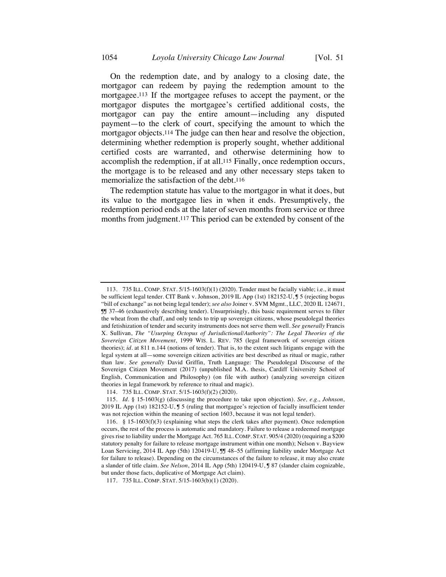On the redemption date, and by analogy to a closing date, the mortgagor can redeem by paying the redemption amount to the mortgagee.113 If the mortgagee refuses to accept the payment, or the mortgagor disputes the mortgagee's certified additional costs, the mortgagor can pay the entire amount—including any disputed payment—to the clerk of court, specifying the amount to which the mortgagor objects.114 The judge can then hear and resolve the objection, determining whether redemption is properly sought, whether additional certified costs are warranted, and otherwise determining how to accomplish the redemption, if at all.115 Finally, once redemption occurs, the mortgage is to be released and any other necessary steps taken to memorialize the satisfaction of the debt.116

The redemption statute has value to the mortgagor in what it does, but its value to the mortgagee lies in when it ends. Presumptively, the redemption period ends at the later of seven months from service or three months from judgment.117 This period can be extended by consent of the

<sup>113.</sup> 735 ILL. COMP. STAT. 5/15-1603(f)(1) (2020). Tender must be facially viable; i.e., it must be sufficient legal tender*.* CIT Bank v. Johnson, 2019 IL App (1st) 182152-U, ¶ 5 (rejecting bogus "bill of exchange" as not being legal tender); *see also* Joiner v. SVM Mgmt., LLC, 2020 IL 124671, ¶¶ 37–46 (exhaustively describing tender). Unsurprisingly, this basic requirement serves to filter the wheat from the chaff, and only tends to trip up sovereign citizens, whose pseudolegal theories and fetishization of tender and security instruments does not serve them well. *See generally* Francis X. Sullivan, *The "Usurping Octopus of Jurisdictional/Authority": The Legal Theories of the Sovereign Citizen Movement*, 1999 WIS. L. REV. 785 (legal framework of sovereign citizen theories); *id.* at 811 n.144 (notions of tender). That is, to the extent such litigants engage with the legal system at all—some sovereign citizen activities are best described as ritual or magic, rather than law. *See generally* David Griffin, Truth Language: The Pseudolegal Discourse of the Sovereign Citizen Movement (2017) (unpublished M.A. thesis, Cardiff University School of English, Communication and Philosophy) (on file with author) (analyzing sovereign citizen theories in legal framework by reference to ritual and magic).

<sup>114.</sup> 735 ILL. COMP. STAT. 5/15-1603(f)(2) (2020).

<sup>115.</sup> *Id.* § 15-1603(g) (discussing the procedure to take upon objection). *See, e.g.*, *Johnson*, 2019 IL App (1st) 182152-U, ¶ 5 (ruling that mortgagee's rejection of facially insufficient tender was not rejection within the meaning of section 1603, because it was not legal tender).

<sup>116.</sup> § 15-1603(f)(3) (explaining what steps the clerk takes after payment). Once redemption occurs, the rest of the process is automatic and mandatory. Failure to release a redeemed mortgage gives rise to liability under the Mortgage Act. 765 ILL. COMP. STAT. 905/4 (2020) (requiring a \$200 statutory penalty for failure to release mortgage instrument within one month); Nelson v. Bayview Loan Servicing, 2014 IL App (5th) 120419-U, JJ 48-55 (affirming liability under Mortgage Act for failure to release). Depending on the circumstances of the failure to release, it may also create a slander of title claim. *See Nelson*, 2014 IL App (5th) 120419-U, ¶ 87 (slander claim cognizable, but under those facts, duplicative of Mortgage Act claim).

<sup>117.</sup> 735 ILL. COMP. STAT. 5/15-1603(b)(1) (2020).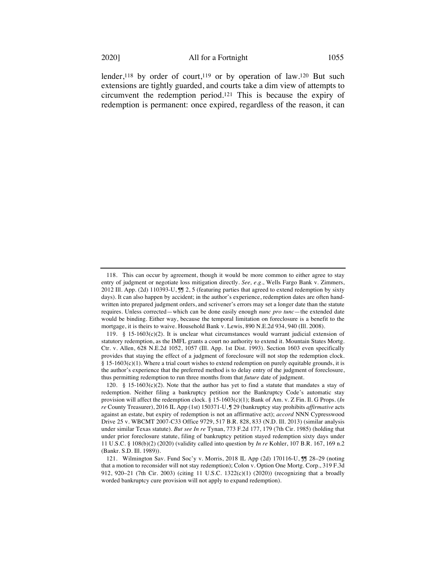lender,<sup>118</sup> by order of court,<sup>119</sup> or by operation of law.<sup>120</sup> But such extensions are tightly guarded, and courts take a dim view of attempts to circumvent the redemption period.121 This is because the expiry of redemption is permanent: once expired, regardless of the reason, it can

<sup>118.</sup> This can occur by agreement, though it would be more common to either agree to stay entry of judgment or negotiate loss mitigation directly. *See, e.g.*, Wells Fargo Bank v. Zimmers, 2012 Ill. App. (2d) 110393-U, II 2, 5 (featuring parties that agreed to extend redemption by sixty days). It can also happen by accident; in the author's experience, redemption dates are often handwritten into prepared judgment orders, and scrivener's errors may set a longer date than the statute requires. Unless corrected—which can be done easily enough *nunc pro tunc*—the extended date would be binding. Either way, because the temporal limitation on foreclosure is a benefit to the mortgage, it is theirs to waive. Household Bank v. Lewis, 890 N.E.2d 934, 940 (Ill. 2008).

<sup>119. § 15-1603(</sup>c)(2). It is unclear what circumstances would warrant judicial extension of statutory redemption, as the IMFL grants a court no authority to extend it. Mountain States Mortg. Ctr. v. Allen, 628 N.E.2d 1052, 1057 (Ill. App. 1st Dist. 1993). Section 1603 even specifically provides that staying the effect of a judgment of foreclosure will not stop the redemption clock. § 15-1603(c)(1). Where a trial court wishes to extend redemption on purely equitable grounds, it is the author's experience that the preferred method is to delay entry of the judgment of foreclosure, thus permitting redemption to run three months from that *future* date of judgment.

<sup>120.</sup> § 15-1603(c)(2). Note that the author has yet to find a statute that mandates a stay of redemption. Neither filing a bankruptcy petition nor the Bankruptcy Code's automatic stay provision will affect the redemption clock. § 15-1603(c)(1); Bank of Am. v. Z Fin. Il. G Props. (*In re* County Treasurer), 2016 IL App (1st) 150371-U, ¶ 29 (bankruptcy stay prohibits *affirmative* acts against an estate, but expiry of redemption is not an affirmative act); *accord* NNN Cypresswood Drive 25 v. WBCMT 2007-C33 Office 9729, 517 B.R. 828, 833 (N.D. Ill. 2013) (similar analysis under similar Texas statute). *But see In re* Tynan, 773 F.2d 177, 179 (7th Cir. 1985) (holding that under prior foreclosure statute, filing of bankruptcy petition stayed redemption sixty days under 11 U.S.C. § 108(b)(2) (2020) (validity called into question by *In re* Kohler, 107 B.R. 167, 169 n.2 (Bankr. S.D. Ill. 1989)).

<sup>121.</sup> Wilmington Sav. Fund Soc'y v. Morris, 2018 IL App (2d) 170116-U, JJ 28-29 (noting that a motion to reconsider will not stay redemption); Colon v. Option One Mortg. Corp., 319 F.3d 912, 920–21 (7th Cir. 2003) (citing 11 U.S.C. 1322(c)(1) (2020)) (recognizing that a broadly worded bankruptcy cure provision will not apply to expand redemption).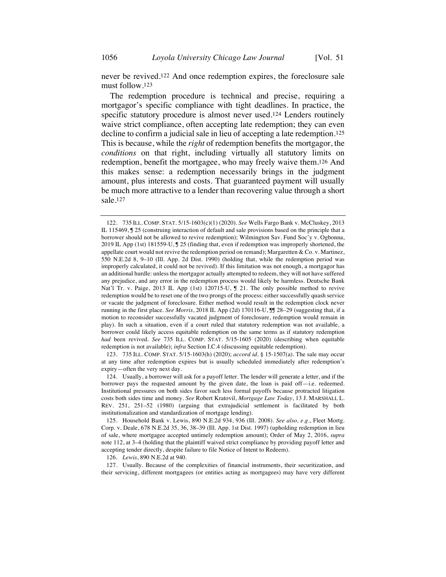never be revived.122 And once redemption expires, the foreclosure sale must follow.123

The redemption procedure is technical and precise, requiring a mortgagor's specific compliance with tight deadlines. In practice, the specific statutory procedure is almost never used.124 Lenders routinely waive strict compliance, often accepting late redemption; they can even decline to confirm a judicial sale in lieu of accepting a late redemption.125 This is because, while the *right* of redemption benefits the mortgagor, the *conditions* on that right, including virtually all statutory limits on redemption, benefit the mortgagee, who may freely waive them.126 And this makes sense: a redemption necessarily brings in the judgment amount, plus interests and costs. That guaranteed payment will usually be much more attractive to a lender than recovering value through a short sale.127

123. 735 ILL. COMP. STAT. 5/15-1603(h) (2020); *accord id.* § 15-1507(a). The sale may occur at any time after redemption expires but is usually scheduled immediately after redemption's expiry—often the very next day.

126. *Lewis*, 890 N.E.2d at 940.

127. Usually. Because of the complexities of financial instruments, their securitization, and their servicing, different mortgagees (or entities acting as mortgagees) may have very different

<sup>122.</sup> 735 ILL. COMP. STAT. 5/15-1603(c)(1) (2020). *See* Wells Fargo Bank v. McCluskey, 2013 IL 115469, ¶ 25 (construing interaction of default and sale provisions based on the principle that a borrower should not be allowed to revive redemption); Wilmington Sav. Fund Soc'y v. Ogbonna, 2019 IL App (1st) 181559-U, ¶ 25 (finding that, even if redemption was improperly shortened, the appellate court would not revive the redemption period on remand); Margaretten & Co. v. Martinez, 550 N.E.2d 8, 9–10 (Ill. App. 2d Dist. 1990) (holding that, while the redemption period was improperly calculated, it could not be revived). If this limitation was not enough, a mortgagor has an additional hurdle: unless the mortgagor actually attempted to redeem, they will not have suffered any prejudice, and any error in the redemption process would likely be harmless. Deutsche Bank Nat'l Tr. v. Paige, 2013 IL App (1st) 120715-U, ¶ 21. The only possible method to revive redemption would be to reset one of the two prongs of the process: either successfully quash service or vacate the judgment of foreclosure. Either method would result in the redemption clock never running in the first place. *See Morris*, 2018 IL App (2d) 170116-U, IJ 28–29 (suggesting that, if a motion to reconsider successfully vacated judgment of foreclosure, redemption would remain in play). In such a situation, even if a court ruled that statutory redemption was not available, a borrower could likely access equitable redemption on the same terms as if statutory redemption *had* been revived. *See* 735 ILL. COMP. STAT. 5/15-1605 (2020) (describing when equitable redemption is not available); *infra* Section I.C.4 (discussing equitable redemption).

<sup>124.</sup> Usually, a borrower will ask for a payoff letter. The lender will generate a letter, and if the borrower pays the requested amount by the given date, the loan is paid off—i.e. redeemed. Institutional pressures on both sides favor such less formal payoffs because protracted litigation costs both sides time and money. *See* Robert Kratovil, *Mortgage Law Today*, 13 J. MARSHALL L. REV. 251, 251–52 (1980) (arguing that extrajudicial settlement is facilitated by both institutionalization and standardization of mortgage lending).

<sup>125.</sup> Household Bank v. Lewis, 890 N.E.2d 934, 936 (Ill. 2008). *See also, e.g.*, Fleet Mortg. Corp. v. Deale, 678 N.E.2d 35, 36, 38–39 (Ill. App. 1st Dist. 1997) (upholding redemption in lieu of sale, where mortgagee accepted untimely redemption amount); Order of May 2, 2016, *supra* note 112, at 3–4 (holding that the plaintiff waived strict compliance by providing payoff letter and accepting tender directly, despite failure to file Notice of Intent to Redeem).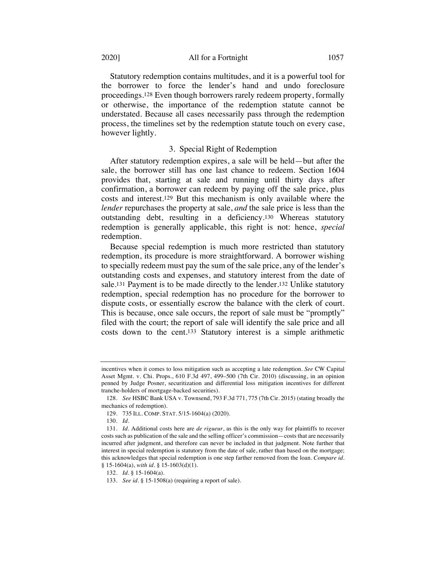Statutory redemption contains multitudes, and it is a powerful tool for the borrower to force the lender's hand and undo foreclosure proceedings.128 Even though borrowers rarely redeem property, formally or otherwise, the importance of the redemption statute cannot be understated. Because all cases necessarily pass through the redemption process, the timelines set by the redemption statute touch on every case, however lightly.

### 3. Special Right of Redemption

After statutory redemption expires, a sale will be held—but after the sale, the borrower still has one last chance to redeem. Section 1604 provides that, starting at sale and running until thirty days after confirmation, a borrower can redeem by paying off the sale price, plus costs and interest.129 But this mechanism is only available where the *lender* repurchases the property at sale, *and* the sale price is less than the outstanding debt, resulting in a deficiency.130 Whereas statutory redemption is generally applicable, this right is not: hence, *special* redemption.

Because special redemption is much more restricted than statutory redemption, its procedure is more straightforward. A borrower wishing to specially redeem must pay the sum of the sale price, any of the lender's outstanding costs and expenses, and statutory interest from the date of sale.<sup>131</sup> Payment is to be made directly to the lender.<sup>132</sup> Unlike statutory redemption, special redemption has no procedure for the borrower to dispute costs, or essentially escrow the balance with the clerk of court. This is because, once sale occurs, the report of sale must be "promptly" filed with the court; the report of sale will identify the sale price and all costs down to the cent.133 Statutory interest is a simple arithmetic

incentives when it comes to loss mitigation such as accepting a late redemption. *See* CW Capital Asset Mgmt. v. Chi. Props., 610 F.3d 497, 499–500 (7th Cir. 2010) (discussing, in an opinion penned by Judge Posner, securitization and differential loss mitigation incentives for different tranche-holders of mortgage-backed securities).

<sup>128.</sup> *See* HSBC Bank USA v. Townsend, 793 F.3d 771, 775 (7th Cir. 2015) (stating broadly the mechanics of redemption).

<sup>129.</sup> 735 ILL. COMP. STAT. 5/15-1604(a) (2020).

<sup>130.</sup> *Id.*

<sup>131.</sup> *Id.* Additional costs here are *de rigueur*, as this is the only way for plaintiffs to recover costs such as publication of the sale and the selling officer's commission—costs that are necessarily incurred after judgment, and therefore can never be included in that judgment. Note further that interest in special redemption is statutory from the date of sale, rather than based on the mortgage; this acknowledges that special redemption is one step farther removed from the loan. *Compare id.* § 15-1604(a), *with id.* § 15-1603(d)(1).

<sup>132.</sup> *Id.* § 15-1604(a).

<sup>133.</sup> *See id.* § 15-1508(a) (requiring a report of sale).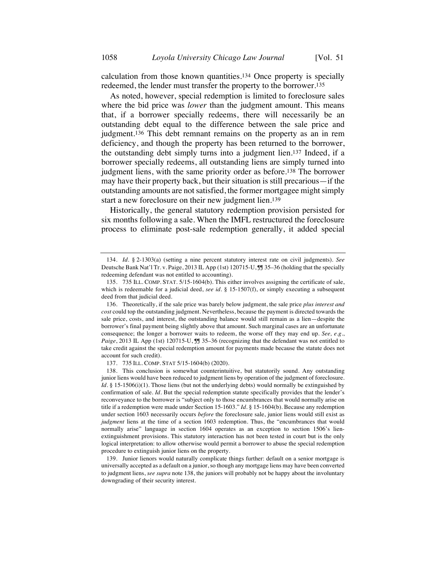calculation from those known quantities.134 Once property is specially redeemed, the lender must transfer the property to the borrower.135

As noted, however, special redemption is limited to foreclosure sales where the bid price was *lower* than the judgment amount. This means that, if a borrower specially redeems, there will necessarily be an outstanding debt equal to the difference between the sale price and judgment.136 This debt remnant remains on the property as an in rem deficiency, and though the property has been returned to the borrower, the outstanding debt simply turns into a judgment lien.137 Indeed, if a borrower specially redeems, all outstanding liens are simply turned into judgment liens, with the same priority order as before.138 The borrower may have their property back, but their situation is still precarious—if the outstanding amounts are not satisfied, the former mortgagee might simply start a new foreclosure on their new judgment lien.139

Historically, the general statutory redemption provision persisted for six months following a sale. When the IMFL restructured the foreclosure process to eliminate post-sale redemption generally, it added special

137. 735 ILL. COMP. STAT 5/15-1604(b) (2020).

<sup>134.</sup> *Id.* § 2-1303(a) (setting a nine percent statutory interest rate on civil judgments). *See* Deutsche Bank Nat'l Tr. v. Paige, 2013 IL App (1st) 120715-U, ¶¶ 35–36 (holding that the specially redeeming defendant was not entitled to accounting).

<sup>135.</sup> 735 ILL. COMP. STAT. 5/15-1604(b). This either involves assigning the certificate of sale, which is redeemable for a judicial deed, *see id.* § 15-1507(f), or simply executing a subsequent deed from that judicial deed.

<sup>136.</sup> Theoretically, if the sale price was barely below judgment, the sale price *plus interest and cost* could top the outstanding judgment. Nevertheless, because the payment is directed towards the sale price, costs, and interest, the outstanding balance would still remain as a lien—despite the borrower's final payment being slightly above that amount. Such marginal cases are an unfortunate consequence; the longer a borrower waits to redeem, the worse off they may end up. *See, e.g.*, Paige, 2013 IL App (1st) 120715-U, JJ 35-36 (recognizing that the defendant was not entitled to take credit against the special redemption amount for payments made because the statute does not account for such credit).

<sup>138.</sup> This conclusion is somewhat counterintuitive, but statutorily sound. Any outstanding junior liens would have been reduced to judgment liens by operation of the judgment of foreclosure. *Id.* § 15-1506(i)(1). Those liens (but not the underlying debts) would normally be extinguished by confirmation of sale. *Id.* But the special redemption statute specifically provides that the lender's reconveyance to the borrower is "subject only to those encumbrances that would normally arise on title if a redemption were made under Section 15-1603." *Id.* § 15-1604(b). Because any redemption under section 1603 necessarily occurs *before* the foreclosure sale, junior liens would still exist as *judgment* liens at the time of a section 1603 redemption. Thus, the "encumbrances that would normally arise" language in section 1604 operates as an exception to section 1506's lienextinguishment provisions. This statutory interaction has not been tested in court but is the only logical interpretation: to allow otherwise would permit a borrower to abuse the special redemption procedure to extinguish junior liens on the property.

<sup>139.</sup> Junior lienors would naturally complicate things further: default on a senior mortgage is universally accepted as a default on a junior, so though any mortgage liens may have been converted to judgment liens, *see supra* note 138, the juniors will probably not be happy about the involuntary downgrading of their security interest.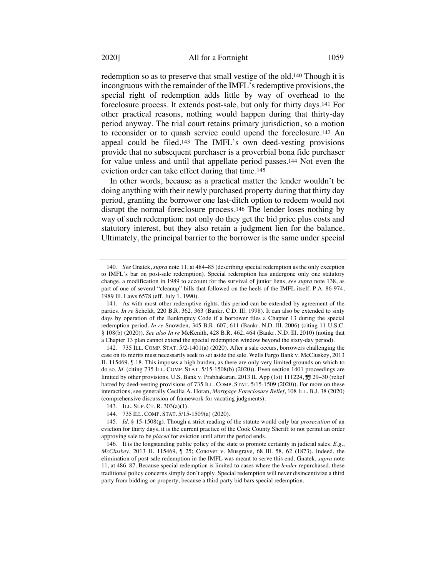redemption so as to preserve that small vestige of the old.140 Though it is incongruous with the remainder of the IMFL's redemptive provisions, the special right of redemption adds little by way of overhead to the foreclosure process. It extends post-sale, but only for thirty days.141 For other practical reasons, nothing would happen during that thirty-day period anyway. The trial court retains primary jurisdiction, so a motion to reconsider or to quash service could upend the foreclosure.142 An appeal could be filed.143 The IMFL's own deed-vesting provisions provide that no subsequent purchaser is a proverbial bona fide purchaser for value unless and until that appellate period passes.144 Not even the eviction order can take effect during that time.145

In other words, because as a practical matter the lender wouldn't be doing anything with their newly purchased property during that thirty day period, granting the borrower one last-ditch option to redeem would not disrupt the normal foreclosure process.146 The lender loses nothing by way of such redemption: not only do they get the bid price plus costs and statutory interest, but they also retain a judgment lien for the balance. Ultimately, the principal barrier to the borrower is the same under special

<sup>140.</sup> *See* Gnatek, *supra* note 11, at 484–85 (describing special redemption as the only exception to IMFL's bar on post-sale redemption). Special redemption has undergone only one statutory change, a modification in 1989 to account for the survival of junior liens, *see supra* note 138, as part of one of several "cleanup" bills that followed on the heels of the IMFL itself. P.A. 86-974, 1989 Ill. Laws 6578 (eff. July 1, 1990).

<sup>141.</sup> As with most other redemptive rights, this period can be extended by agreement of the parties. *In re* Scheldt, 220 B.R. 362, 363 (Bankr. C.D. Ill. 1998). It can also be extended to sixty days by operation of the Bankruptcy Code if a borrower files a Chapter 13 during the special redemption period. *In re* Snowden, 345 B.R. 607, 611 (Bankr. N.D. Ill. 2006) (citing 11 U.S.C. § 108(b) (2020)). *See also In re* McKenith, 428 B.R. 462, 464 (Bankr. N.D. Ill. 2010) (noting that a Chapter 13 plan cannot extend the special redemption window beyond the sixty-day period).

<sup>142.</sup> 735 ILL. COMP. STAT. 5/2-1401(a) (2020). After a sale occurs, borrowers challenging the case on its merits must necessarily seek to set aside the sale. Wells Fargo Bank v. McCluskey, 2013 IL 115469, ¶ 18. This imposes a high burden, as there are only very limited grounds on which to do so. *Id.* (citing 735 ILL. COMP. STAT. 5/15-1508(b) (2020)). Even section 1401 proceedings are limited by other provisions. U.S. Bank v. Prabhakaran, 2013 IL App (1st) 111224, IJ 29–30 (relief barred by deed-vesting provisions of 735 ILL. COMP. STAT. 5/15-1509 (2020)). For more on these interactions, see generally Cecilia A. Horan, *Mortgage Foreclosure Relief*, 108 ILL. B.J. 38 (2020) (comprehensive discussion of framework for vacating judgments).

<sup>143.</sup> ILL. SUP. CT. R. 303(a)(1).

<sup>144.</sup> 735 ILL. COMP. STAT. 5/15-1509(a) (2020).

<sup>145.</sup> *Id.* § 15-1508(g). Though a strict reading of the statute would only bar *prosecution* of an eviction for thirty days, it is the current practice of the Cook County Sheriff to not permit an order approving sale to be *placed* for eviction until after the period ends.

<sup>146.</sup> It is the longstanding public policy of the state to promote certainty in judicial sales. *E.g.*, *McCluskey*, 2013 IL 115469, ¶ 25; Conover v. Musgrave, 68 Ill. 58, 62 (1873). Indeed, the elimination of post-sale redemption in the IMFL was meant to serve this end. Gnatek, *supra* note 11, at 486–87. Because special redemption is limited to cases where the *lender* repurchased, these traditional policy concerns simply don't apply. Special redemption will never disincentivize a third party from bidding on property, because a third party bid bars special redemption.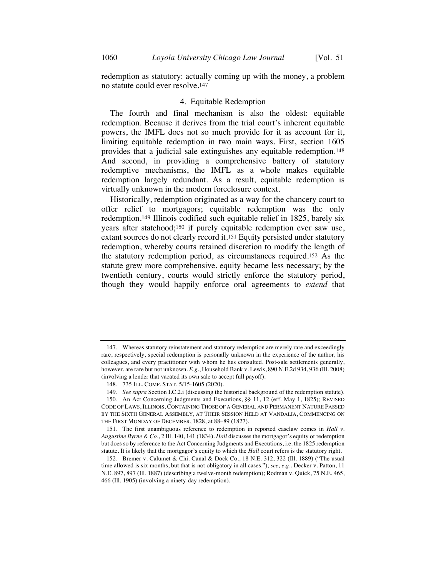redemption as statutory: actually coming up with the money, a problem no statute could ever resolve.147

#### 4. Equitable Redemption

The fourth and final mechanism is also the oldest: equitable redemption. Because it derives from the trial court's inherent equitable powers, the IMFL does not so much provide for it as account for it, limiting equitable redemption in two main ways. First, section 1605 provides that a judicial sale extinguishes any equitable redemption.148 And second, in providing a comprehensive battery of statutory redemptive mechanisms, the IMFL as a whole makes equitable redemption largely redundant. As a result, equitable redemption is virtually unknown in the modern foreclosure context.

Historically, redemption originated as a way for the chancery court to offer relief to mortgagors; equitable redemption was the only redemption.149 Illinois codified such equitable relief in 1825, barely six years after statehood;150 if purely equitable redemption ever saw use, extant sources do not clearly record it.151 Equity persisted under statutory redemption, whereby courts retained discretion to modify the length of the statutory redemption period, as circumstances required.152 As the statute grew more comprehensive, equity became less necessary; by the twentieth century, courts would strictly enforce the statutory period, though they would happily enforce oral agreements to *extend* that

<sup>147.</sup> Whereas statutory reinstatement and statutory redemption are merely rare and exceedingly rare, respectively, special redemption is personally unknown in the experience of the author, his colleagues, and every practitioner with whom he has consulted. Post-sale settlements generally, however, are rare but not unknown. *E.g.*, Household Bank v. Lewis, 890 N.E.2d 934, 936 (Ill. 2008) (involving a lender that vacated its own sale to accept full payoff).

<sup>148.</sup> 735 ILL. COMP. STAT. 5/15-1605 (2020).

<sup>149.</sup> *See supra* Section I.C.2.i (discussing the historical background of the redemption statute).

<sup>150.</sup> An Act Concerning Judgments and Executions, §§ 11, 12 (eff. May 1, 1825); REVISED CODE OF LAWS, ILLINOIS, CONTAINING THOSE OF A GENERAL AND PERMANENT NATURE PASSED BY THE SIXTH GENERAL ASSEMBLY, AT THEIR SESSION HELD AT VANDALIA, COMMENCING ON THE FIRST MONDAY OF DECEMBER, 1828, at 88–89 (1827).

<sup>151.</sup> The first unambiguous reference to redemption in reported caselaw comes in *Hall v. Augustine Byrne & Co.*, 2 Ill. 140, 141 (1834). *Hall* discusses the mortgagor's equity of redemption but does so by reference to the Act Concerning Judgments and Executions, i.e. the 1825 redemption statute. It is likely that the mortgagor's equity to which the *Hall* court refers is the statutory right.

<sup>152.</sup> Bremer v. Calumet & Chi. Canal & Dock Co., 18 N.E. 312, 322 (Ill. 1889) ("The usual time allowed is six months, but that is not obligatory in all cases."); *see, e.g.*, Decker v. Patton, 11 N.E. 897, 897 (Ill. 1887) (describing a twelve-month redemption); Rodman v. Quick, 75 N.E. 465, 466 (Ill. 1905) (involving a ninety-day redemption).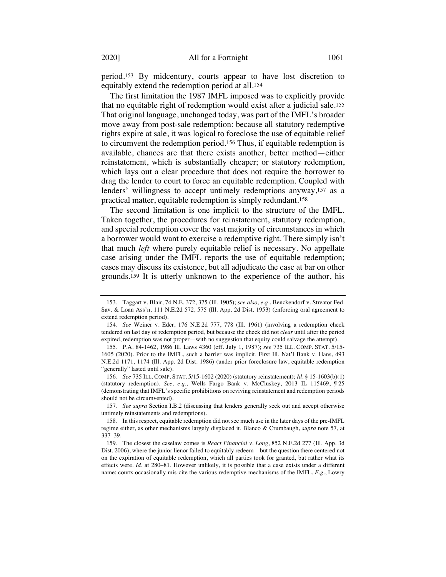period.153 By midcentury, courts appear to have lost discretion to equitably extend the redemption period at all.154

The first limitation the 1987 IMFL imposed was to explicitly provide that no equitable right of redemption would exist after a judicial sale.155 That original language, unchanged today, was part of the IMFL's broader move away from post-sale redemption: because all statutory redemptive rights expire at sale, it was logical to foreclose the use of equitable relief to circumvent the redemption period.156 Thus, if equitable redemption is available, chances are that there exists another, better method—either reinstatement, which is substantially cheaper; or statutory redemption, which lays out a clear procedure that does not require the borrower to drag the lender to court to force an equitable redemption. Coupled with lenders' willingness to accept untimely redemptions anyway,157 as a practical matter, equitable redemption is simply redundant.158

The second limitation is one implicit to the structure of the IMFL. Taken together, the procedures for reinstatement, statutory redemption, and special redemption cover the vast majority of circumstances in which a borrower would want to exercise a redemptive right. There simply isn't that much *left* where purely equitable relief is necessary. No appellate case arising under the IMFL reports the use of equitable redemption; cases may discuss its existence, but all adjudicate the case at bar on other grounds.159 It is utterly unknown to the experience of the author, his

156. *See* 735 ILL. COMP. STAT. 5/15-1602 (2020) (statutory reinstatement); *Id.* § 15-1603(b)(1) (statutory redemption). *See, e.g.*, Wells Fargo Bank v. McCluskey, 2013 IL 115469, ¶ 25 (demonstrating that IMFL's specific prohibitions on reviving reinstatement and redemption periods should not be circumvented).

157. *See supra* Section I.B.2 (discussing that lenders generally seek out and accept otherwise untimely reinstatements and redemptions).

<sup>153.</sup> Taggart v. Blair, 74 N.E. 372, 375 (Ill. 1905); *see also, e.g.*, Benckendorf v. Streator Fed. Sav. & Loan Ass'n, 111 N.E.2d 572, 575 (Ill. App. 2d Dist. 1953) (enforcing oral agreement to extend redemption period).

<sup>154.</sup> *See* Weiner v. Eder, 176 N.E.2d 777, 778 (Ill. 1961) (involving a redemption check tendered on last day of redemption period, but because the check did not *clear* until after the period expired, redemption was not proper—with no suggestion that equity could salvage the attempt).

<sup>155.</sup> P.A. 84-1462, 1986 Ill. Laws 4360 (eff. July 1, 1987); *see* 735 ILL. COMP. STAT. 5/15- 1605 (2020). Prior to the IMFL, such a barrier was implicit. First Ill. Nat'l Bank v. Hans, 493 N.E.2d 1171, 1174 (Ill. App. 2d Dist. 1986) (under prior foreclosure law, equitable redemption "generally" lasted until sale).

<sup>158.</sup> In this respect, equitable redemption did not see much use in the later days of the pre-IMFL regime either, as other mechanisms largely displaced it. Blanco & Crumbaugh, *supra* note 57, at 337–39.

<sup>159.</sup> The closest the caselaw comes is *React Financial v. Long*, 852 N.E.2d 277 (Ill. App. 3d Dist. 2006), where the junior lienor failed to equitably redeem—but the question there centered not on the expiration of equitable redemption, which all parties took for granted, but rather what its effects were. *Id.* at 280–81. However unlikely, it is possible that a case exists under a different name; courts occasionally mis-cite the various redemptive mechanisms of the IMFL. *E.g.*, Lowry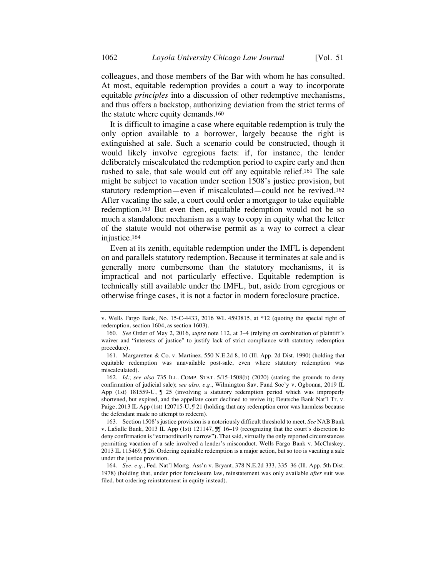colleagues, and those members of the Bar with whom he has consulted. At most, equitable redemption provides a court a way to incorporate equitable *principles* into a discussion of other redemptive mechanisms, and thus offers a backstop, authorizing deviation from the strict terms of the statute where equity demands.160

It is difficult to imagine a case where equitable redemption is truly the only option available to a borrower, largely because the right is extinguished at sale. Such a scenario could be constructed, though it would likely involve egregious facts: if, for instance, the lender deliberately miscalculated the redemption period to expire early and then rushed to sale, that sale would cut off any equitable relief.161 The sale might be subject to vacation under section 1508's justice provision, but statutory redemption—even if miscalculated—could not be revived.162 After vacating the sale, a court could order a mortgagor to take equitable redemption.163 But even then, equitable redemption would not be so much a standalone mechanism as a way to copy in equity what the letter of the statute would not otherwise permit as a way to correct a clear injustice.164

Even at its zenith, equitable redemption under the IMFL is dependent on and parallels statutory redemption. Because it terminates at sale and is generally more cumbersome than the statutory mechanisms, it is impractical and not particularly effective. Equitable redemption is technically still available under the IMFL, but, aside from egregious or otherwise fringe cases, it is not a factor in modern foreclosure practice.

v. Wells Fargo Bank, No. 15-C-4433, 2016 WL 4593815, at \*12 (quoting the special right of redemption, section 1604, as section 1603).

<sup>160.</sup> *See* Order of May 2, 2016, *supra* note 112, at 3–4 (relying on combination of plaintiff's waiver and "interests of justice" to justify lack of strict compliance with statutory redemption procedure).

<sup>161.</sup> Margaretten & Co. v. Martinez, 550 N.E.2d 8, 10 (Ill. App. 2d Dist. 1990) (holding that equitable redemption was unavailable post-sale, even where statutory redemption was miscalculated).

<sup>162.</sup> *Id.*; *see also* 735 ILL. COMP. STAT. 5/15-1508(b) (2020) (stating the grounds to deny confirmation of judicial sale); *see also, e.g.*, Wilmington Sav. Fund Soc'y v. Ogbonna, 2019 IL App (1st) 181559-U, ¶ 25 (involving a statutory redemption period which was improperly shortened, but expired, and the appellate court declined to revive it); Deutsche Bank Nat'l Tr. v. Paige, 2013 IL App (1st) 120715-U,  $\sqrt{9}$  21 (holding that any redemption error was harmless because the defendant made no attempt to redeem).

<sup>163.</sup> Section 1508's justice provision is a notoriously difficult threshold to meet. *See* NAB Bank v. LaSalle Bank, 2013 IL App (1st) 121147, ¶¶ 16–19 (recognizing that the court's discretion to deny confirmation is "extraordinarily narrow"). That said, virtually the only reported circumstances permitting vacation of a sale involved a lender's misconduct. Wells Fargo Bank v. McCluskey, 2013 IL 115469, ¶ 26. Ordering equitable redemption is a major action, but so too is vacating a sale under the justice provision.

<sup>164.</sup> *See, e.g.*, Fed. Nat'l Mortg. Ass'n v. Bryant, 378 N.E.2d 333, 335–36 (Ill. App. 5th Dist. 1978) (holding that, under prior foreclosure law, reinstatement was only available *after* suit was filed, but ordering reinstatement in equity instead).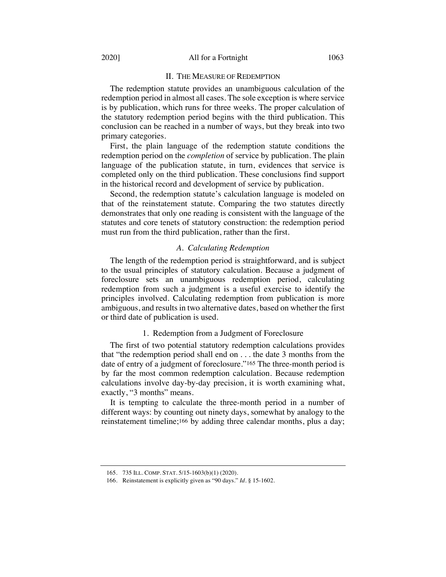#### 2020] All for a Fortnight 1063

#### II. THE MEASURE OF REDEMPTION

The redemption statute provides an unambiguous calculation of the redemption period in almost all cases. The sole exception is where service is by publication, which runs for three weeks. The proper calculation of the statutory redemption period begins with the third publication. This conclusion can be reached in a number of ways, but they break into two primary categories.

First, the plain language of the redemption statute conditions the redemption period on the *completion* of service by publication. The plain language of the publication statute, in turn, evidences that service is completed only on the third publication. These conclusions find support in the historical record and development of service by publication.

Second, the redemption statute's calculation language is modeled on that of the reinstatement statute. Comparing the two statutes directly demonstrates that only one reading is consistent with the language of the statutes and core tenets of statutory construction: the redemption period must run from the third publication, rather than the first.

### *A. Calculating Redemption*

The length of the redemption period is straightforward, and is subject to the usual principles of statutory calculation. Because a judgment of foreclosure sets an unambiguous redemption period, calculating redemption from such a judgment is a useful exercise to identify the principles involved. Calculating redemption from publication is more ambiguous, and results in two alternative dates, based on whether the first or third date of publication is used.

#### 1. Redemption from a Judgment of Foreclosure

The first of two potential statutory redemption calculations provides that "the redemption period shall end on . . . the date 3 months from the date of entry of a judgment of foreclosure."165 The three-month period is by far the most common redemption calculation. Because redemption calculations involve day-by-day precision, it is worth examining what, exactly, "3 months" means.

It is tempting to calculate the three-month period in a number of different ways: by counting out ninety days, somewhat by analogy to the reinstatement timeline;166 by adding three calendar months, plus a day;

<sup>165.</sup> 735 ILL. COMP. STAT. 5/15-1603(b)(1) (2020).

<sup>166.</sup> Reinstatement is explicitly given as "90 days." *Id.* § 15-1602.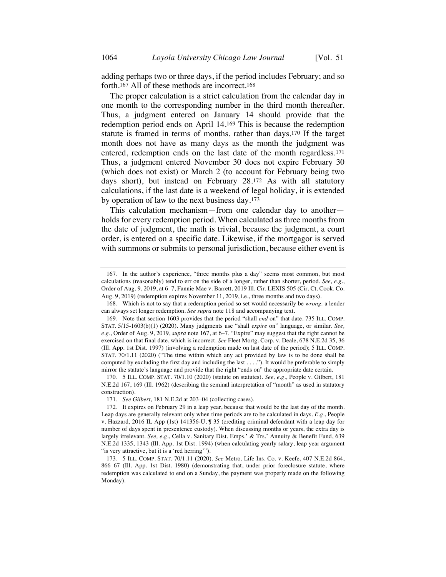adding perhaps two or three days, if the period includes February; and so forth.167 All of these methods are incorrect.168

The proper calculation is a strict calculation from the calendar day in one month to the corresponding number in the third month thereafter. Thus, a judgment entered on January 14 should provide that the redemption period ends on April 14.169 This is because the redemption statute is framed in terms of months, rather than days.170 If the target month does not have as many days as the month the judgment was entered, redemption ends on the last date of the month regardless.171 Thus, a judgment entered November 30 does not expire February 30 (which does not exist) or March 2 (to account for February being two days short), but instead on February 28.172 As with all statutory calculations, if the last date is a weekend of legal holiday, it is extended by operation of law to the next business day.173

This calculation mechanism—from one calendar day to another holds for every redemption period. When calculated as three months from the date of judgment, the math is trivial, because the judgment, a court order, is entered on a specific date. Likewise, if the mortgagor is served with summons or submits to personal jurisdiction, because either event is

<sup>167.</sup> In the author's experience, "three months plus a day" seems most common, but most calculations (reasonably) tend to err on the side of a longer, rather than shorter, period. *See, e.g.*, Order of Aug. 9, 2019, at 6–7, Fannie Mae v. Barrett, 2019 Ill. Cir. LEXIS 505 (Cir. Ct. Cook. Co. Aug. 9, 2019) (redemption expires November 11, 2019, i.e., three months and two days).

<sup>168.</sup> Which is not to say that a redemption period so set would necessarily be *wrong*: a lender can always set longer redemption. *See supra* note 118 and accompanying text.

<sup>169.</sup> Note that section 1603 provides that the period "shall *end* on" that date. 735 ILL. COMP. STAT. 5/15-1603(b)(1) (2020). Many judgments use "shall *expire* on" language, or similar. *See, e.g.*, Order of Aug. 9, 2019, *supra* note 167, at 6–7. "Expire" may suggest that the right cannot be exercised on that final date, which is incorrect. *See* Fleet Mortg. Corp. v. Deale, 678 N.E.2d 35, 36 (Ill. App. 1st Dist. 1997) (involving a redemption made on last date of the period); 5 ILL. COMP. STAT. 70/1.11 (2020) ("The time within which any act provided by law is to be done shall be computed by excluding the first day and including the last . . . ."). It would be preferable to simply mirror the statute's language and provide that the right "ends on" the appropriate date certain.

<sup>170.</sup> 5 ILL. COMP. STAT. 70/1.10 (2020) (statute on statutes). *See, e.g.*, People v. Gilbert, 181 N.E.2d 167, 169 (Ill. 1962) (describing the seminal interpretation of "month" as used in statutory construction).

<sup>171.</sup> *See Gilbert,* 181 N.E.2d at 203–04 (collecting cases).

<sup>172.</sup> It expires on February 29 in a leap year, because that would be the last day of the month. Leap days are generally relevant only when time periods are to be calculated in days. *E.g.*, People v. Hazzard, 2016 IL App (1st) 141356-U, ¶ 35 (crediting criminal defendant with a leap day for number of days spent in presentence custody). When discussing months or years, the extra day is largely irrelevant. *See, e.g.*, Cella v. Sanitary Dist. Emps.' & Trs.' Annuity & Benefit Fund, 639 N.E.2d 1335, 1343 (Ill. App. 1st Dist. 1994) (when calculating yearly salary, leap year argument "is very attractive, but it is a 'red herring"").

<sup>173.</sup> 5 ILL. COMP. STAT. 70/1.11 (2020). *See* Metro. Life Ins. Co. v. Keefe, 407 N.E.2d 864, 866–67 (Ill. App. 1st Dist. 1980) (demonstrating that, under prior foreclosure statute, where redemption was calculated to end on a Sunday, the payment was properly made on the following Monday).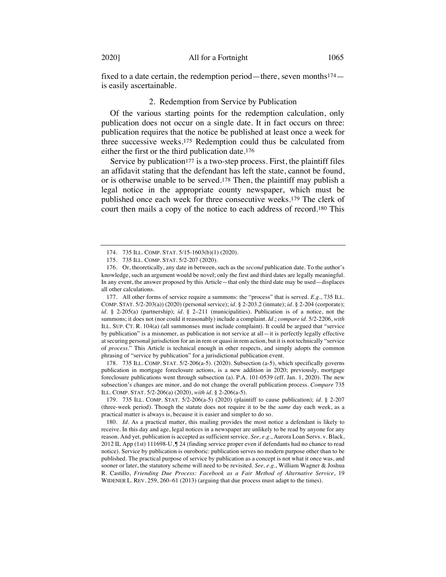fixed to a date certain, the redemption period—there, seven months174 is easily ascertainable.

### 2. Redemption from Service by Publication

Of the various starting points for the redemption calculation, only publication does not occur on a single date. It in fact occurs on three: publication requires that the notice be published at least once a week for three successive weeks.175 Redemption could thus be calculated from either the first or the third publication date.176

Service by publication<sup>177</sup> is a two-step process. First, the plaintiff files an affidavit stating that the defendant has left the state, cannot be found, or is otherwise unable to be served.178 Then, the plaintiff may publish a legal notice in the appropriate county newspaper, which must be published once each week for three consecutive weeks.179 The clerk of court then mails a copy of the notice to each address of record.180 This

177. All other forms of service require a summons: the "process" that is served. *E.g.*, 735 ILL. COMP. STAT. 5/2-203(a)) (2020) (personal service); *id.* § 2-203.2 (inmate); *id.* § 2-204 (corporate); *id.* § 2-205(a) (partnership); *id.* § 2–211 (municipalities). Publication is of a notice, not the summons; it does not (nor could it reasonably) include a complaint. *Id.*; *compare id.* 5/2-2206, *with*  ILL. SUP. CT. R. 104(a) (all summonses must include complaint). It could be argued that "service by publication" is a misnomer, as publication is not service at all—it is perfectly legally effective at securing personal jurisdiction for an in rem or quasi in rem action, but it is not technically "service of *process*." This Article is technical enough in other respects, and simply adopts the common phrasing of "service by publication" for a jurisdictional publication event.

178. 735 ILL. COMP. STAT. 5/2-206(a-5). (2020). Subsection (a-5), which specifically governs publication in mortgage foreclosure actions, is a new addition in 2020; previously, mortgage foreclosure publications went through subsection (a). P.A. 101-0539 (eff. Jan. 1, 2020). The new subsection's changes are minor, and do not change the overall publication process. *Compare* 735 ILL. COMP. STAT. 5/2-206(a) (2020), *with id.* § 2-206(a-5).

179. 735 ILL. COMP. STAT. 5/2-206(a-5) (2020) (plaintiff to cause publication); *id.* § 2-207 (three-week period). Though the statute does not require it to be the *same* day each week, as a practical matter is always is, because it is easier and simpler to do so.

180. *Id.* As a practical matter, this mailing provides the most notice a defendant is likely to receive. In this day and age, legal notices in a newspaper are unlikely to be read by anyone for any reason. And yet, publication is accepted as sufficient service. *See, e.g.*, Aurora Loan Servs. v. Black, 2012 IL App (1st) 111698-U, ¶ 24 (finding service proper even if defendants had no chance to read notice). Service by publication is ouroboric: publication serves no modern purpose other than to be published. The practical purpose of service by publication as a concept is not what it once was, and sooner or later, the statutory scheme will need to be revisited. *See, e.g.*, William Wagner & Joshua R. Castillo, *Friending Due Process: Facebook as a Fair Method of Alternative Service*, 19 WIDENER L. REV. 259, 260–61 (2013) (arguing that due process must adapt to the times).

<sup>174.</sup> 735 ILL. COMP. STAT. 5/15-1603(b)(1) (2020).

<sup>175.</sup> 735 ILL. COMP. STAT. 5/2-207 (2020).

<sup>176.</sup> Or, theoretically, any date in between, such as the *second* publication date. To the author's knowledge, such an argument would be novel; only the first and third dates are legally meaningful. In any event, the answer proposed by this Article—that only the third date may be used—displaces all other calculations.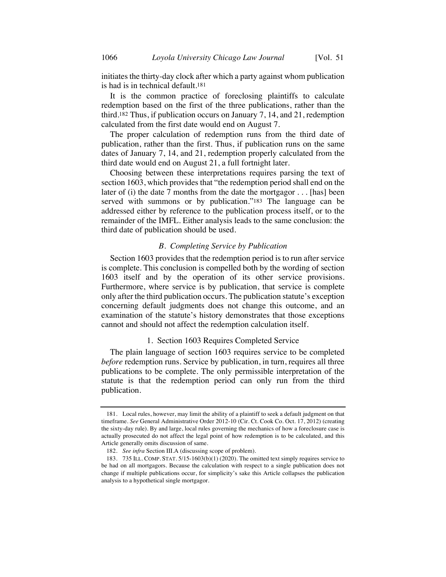initiates the thirty-day clock after which a party against whom publication is had is in technical default.181

It is the common practice of foreclosing plaintiffs to calculate redemption based on the first of the three publications, rather than the third.182 Thus, if publication occurs on January 7, 14, and 21, redemption calculated from the first date would end on August 7.

The proper calculation of redemption runs from the third date of publication, rather than the first. Thus, if publication runs on the same dates of January 7, 14, and 21, redemption properly calculated from the third date would end on August 21, a full fortnight later.

Choosing between these interpretations requires parsing the text of section 1603, which provides that "the redemption period shall end on the later of (i) the date 7 months from the date the mortgagor . . . [has] been served with summons or by publication."183 The language can be addressed either by reference to the publication process itself, or to the remainder of the IMFL. Either analysis leads to the same conclusion: the third date of publication should be used.

#### *B. Completing Service by Publication*

Section 1603 provides that the redemption period is to run after service is complete. This conclusion is compelled both by the wording of section 1603 itself and by the operation of its other service provisions. Furthermore, where service is by publication, that service is complete only after the third publication occurs. The publication statute's exception concerning default judgments does not change this outcome, and an examination of the statute's history demonstrates that those exceptions cannot and should not affect the redemption calculation itself.

#### 1. Section 1603 Requires Completed Service

The plain language of section 1603 requires service to be completed *before* redemption runs. Service by publication, in turn, requires all three publications to be complete. The only permissible interpretation of the statute is that the redemption period can only run from the third publication.

<sup>181.</sup> Local rules, however, may limit the ability of a plaintiff to seek a default judgment on that timeframe. *See* General Administrative Order 2012-10 (Cir. Ct. Cook Co. Oct. 17, 2012) (creating the sixty-day rule). By and large, local rules governing the mechanics of how a foreclosure case is actually prosecuted do not affect the legal point of how redemption is to be calculated, and this Article generally omits discussion of same.

<sup>182.</sup> *See infra* Section III.A (discussing scope of problem).

<sup>183.</sup> 735 ILL. COMP. STAT. 5/15-1603(b)(1) (2020). The omitted text simply requires service to be had on all mortgagors. Because the calculation with respect to a single publication does not change if multiple publications occur, for simplicity's sake this Article collapses the publication analysis to a hypothetical single mortgagor.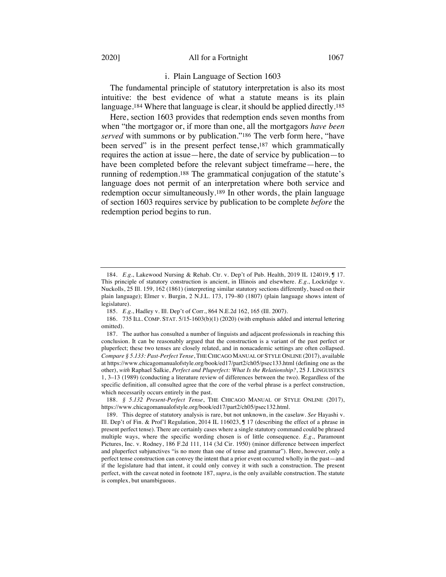#### 2020] All for a Fortnight 1067

### i. Plain Language of Section 1603

The fundamental principle of statutory interpretation is also its most intuitive: the best evidence of what a statute means is its plain language.<sup>184</sup> Where that language is clear, it should be applied directly.<sup>185</sup>

Here, section 1603 provides that redemption ends seven months from when "the mortgagor or, if more than one, all the mortgagors *have been served* with summons or by publication."186 The verb form here, "have been served" is in the present perfect tense,<sup>187</sup> which grammatically requires the action at issue—here, the date of service by publication—to have been completed before the relevant subject timeframe—here, the running of redemption.188 The grammatical conjugation of the statute's language does not permit of an interpretation where both service and redemption occur simultaneously.189 In other words, the plain language of section 1603 requires service by publication to be complete *before* the redemption period begins to run.

<sup>184.</sup> *E.g.*, Lakewood Nursing & Rehab. Ctr. v. Dep't of Pub. Health, 2019 IL 124019, ¶ 17. This principle of statutory construction is ancient, in Illinois and elsewhere. *E.g.*, Lockridge v. Nuckolls, 25 Ill. 159, 162 (1861) (interpreting similar statutory sections differently, based on their plain language); Elmer v. Burgin, 2 N.J.L. 173, 179–80 (1807) (plain language shows intent of legislature).

<sup>185.</sup> *E.g.*, Hadley v. Ill. Dep't of Corr*.*, 864 N.E.2d 162, 165 (Ill. 2007).

<sup>186.</sup> 735 ILL. COMP. STAT. 5/15-1603(b)(1) (2020) (with emphasis added and internal lettering omitted).

<sup>187.</sup> The author has consulted a number of linguists and adjacent professionals in reaching this conclusion. It can be reasonably argued that the construction is a variant of the past perfect or pluperfect; these two tenses are closely related, and in nonacademic settings are often collapsed. *Compare § 5.133: Past-Perfect Tense*, THE CHICAGO MANUAL OF STYLE ONLINE (2017), available at https://www.chicagomanualofstyle.org/book/ed17/part2/ch05/psec133.html (defining one as the other), *with* Raphael Salkie, *Perfect and Pluperfect: What Is the Relationship?*, 25 J. LINGUISTICS 1, 3–13 (1989) (conducting a literature review of differences between the two). Regardless of the specific definition, all consulted agree that the core of the verbal phrase is a perfect construction, which necessarily occurs entirely in the past.

<sup>188.</sup> *§ 5.132 Present-Perfect Tense*, THE CHICAGO MANUAL OF STYLE ONLINE (2017), https://www.chicagomanualofstyle.org/book/ed17/part2/ch05/psec132.html.

<sup>189.</sup> This degree of statutory analysis is rare, but not unknown, in the caselaw. *See* Hayashi v. Ill. Dep't of Fin. & Prof'l Regulation, 2014 IL 116023, ¶ 17 (describing the effect of a phrase in present perfect tense). There are certainly cases where a single statutory command could be phrased multiple ways, where the specific wording chosen is of little consequence. *E.g.*, Paramount Pictures, Inc. v. Rodney, 186 F.2d 111, 114 (3d Cir. 1950) (minor difference between imperfect and pluperfect subjunctives "is no more than one of tense and grammar"). Here, however, only a perfect tense construction can convey the intent that a prior event occurred wholly in the past—and if the legislature had that intent, it could only convey it with such a construction. The present perfect, with the caveat noted in footnote 187, *supra*, is the only available construction. The statute is complex, but unambiguous.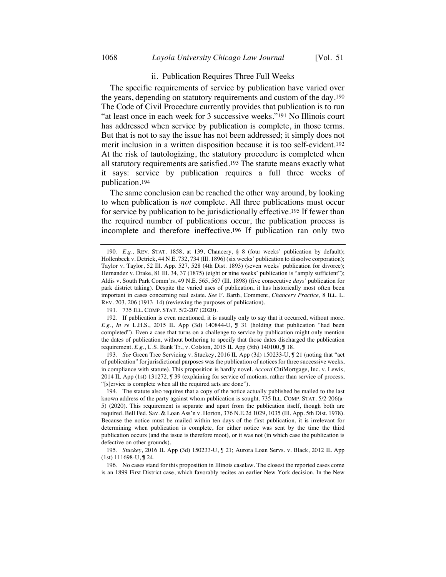### ii. Publication Requires Three Full Weeks

The specific requirements of service by publication have varied over the years, depending on statutory requirements and custom of the day.190 The Code of Civil Procedure currently provides that publication is to run "at least once in each week for 3 successive weeks."191 No Illinois court has addressed when service by publication is complete, in those terms. But that is not to say the issue has not been addressed; it simply does not merit inclusion in a written disposition because it is too self-evident.192 At the risk of tautologizing, the statutory procedure is completed when all statutory requirements are satisfied.193 The statute means exactly what it says: service by publication requires a full three weeks of publication.194

The same conclusion can be reached the other way around, by looking to when publication is *not* complete. All three publications must occur for service by publication to be jurisdictionally effective.195 If fewer than the required number of publications occur, the publication process is incomplete and therefore ineffective.196 If publication ran only two

<sup>190.</sup> *E.g.*, REV. STAT. 1858, at 139, Chancery, § 8 (four weeks' publication by default); Hollenbeck v. Detrick, 44 N.E. 732, 734 (Ill. 1896) (six weeks' publication to dissolve corporation); Taylor v. Taylor, 52 Ill. App. 527, 528 (4th Dist. 1893) (seven weeks' publication for divorce); Hernandez v. Drake, 81 III. 34, 37 (1875) (eight or nine weeks' publication is "amply sufficient"); Aldis v. South Park Comm'rs, 49 N.E. 565, 567 (Ill. 1898) (five consecutive *days'* publication for park district taking). Despite the varied uses of publication, it has historically most often been important in cases concerning real estate. *See* F. Barth, Comment, *Chancery Practice*, 8 ILL. L. REV. 203, 206 (1913–14) (reviewing the purposes of publication).

<sup>191.</sup> 735 ILL. COMP. STAT. 5/2-207 (2020).

<sup>192.</sup> If publication is even mentioned, it is usually only to say that it occurred, without more. *E.g.*, *In re* L.H.S., 2015 IL App (3d) 140844-U, ¶ 31 (holding that publication "had been completed"). Even a case that turns on a challenge to service by publication might only mention the dates of publication, without bothering to specify that those dates discharged the publication requirement. *E.g.*, U.S. Bank Tr., v. Colston, 2015 IL App (5th) 140100, ¶ 18.

<sup>193.</sup> *See* Green Tree Servicing v. Stuckey, 2016 IL App (3d) 150233-U, ¶ 21 (noting that "act of publication" for jurisdictional purposes was the publication of notices for three successive weeks, in compliance with statute). This proposition is hardly novel. *Accord* CitiMortgage, Inc. v. Lewis, 2014 IL App (1st) 131272, ¶ 39 (explaining for service of motions, rather than service of process, "[s]ervice is complete when all the required acts are done").

<sup>194.</sup> The statute also requires that a copy of the notice actually published be mailed to the last known address of the party against whom publication is sought. 735 ILL. COMP. STAT. 5/2-206(a-5) (2020). This requirement is separate and apart from the publication itself, though both are required. Bell Fed. Sav. & Loan Ass'n v. Horton, 376 N.E.2d 1029, 1035 (Ill. App. 5th Dist. 1978). Because the notice must be mailed within ten days of the first publication, it is irrelevant for determining when publication is complete, for either notice was sent by the time the third publication occurs (and the issue is therefore moot), or it was not (in which case the publication is defective on other grounds).

<sup>195.</sup> *Stuckey*, 2016 IL App (3d) 150233-U, ¶ 21; Aurora Loan Servs. v. Black, 2012 IL App (1st) 111698-U, ¶ 24.

<sup>196.</sup> No cases stand for this proposition in Illinois caselaw. The closest the reported cases come is an 1899 First District case, which favorably recites an earlier New York decision. In the New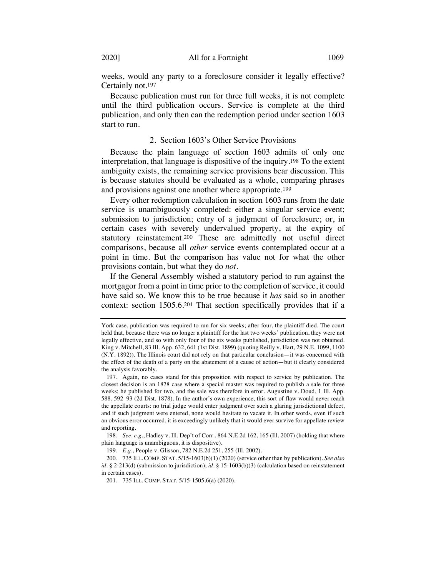weeks, would any party to a foreclosure consider it legally effective? Certainly not.197

Because publication must run for three full weeks, it is not complete until the third publication occurs. Service is complete at the third publication, and only then can the redemption period under section 1603 start to run.

#### 2. Section 1603's Other Service Provisions

Because the plain language of section 1603 admits of only one interpretation, that language is dispositive of the inquiry.198 To the extent ambiguity exists, the remaining service provisions bear discussion. This is because statutes should be evaluated as a whole, comparing phrases and provisions against one another where appropriate.199

Every other redemption calculation in section 1603 runs from the date service is unambiguously completed: either a singular service event; submission to jurisdiction; entry of a judgment of foreclosure; or, in certain cases with severely undervalued property, at the expiry of statutory reinstatement.200 These are admittedly not useful direct comparisons, because all *other* service events contemplated occur at a point in time. But the comparison has value not for what the other provisions contain, but what they do *not*.

If the General Assembly wished a statutory period to run against the mortgagor from a point in time prior to the completion of service, it could have said so. We know this to be true because it *has* said so in another context: section 1505.6.201 That section specifically provides that if a

York case, publication was required to run for six weeks; after four, the plaintiff died. The court held that, because there was no longer a plaintiff for the last two weeks' publication, they were not legally effective, and so with only four of the six weeks published, jurisdiction was not obtained. King v. Mitchell, 83 Ill. App. 632, 641 (1st Dist. 1899) (quoting Reilly v. Hart, 29 N.E. 1099, 1100 (N.Y. 1892)). The Illinois court did not rely on that particular conclusion—it was concerned with the effect of the death of a party on the abatement of a cause of action—but it clearly considered the analysis favorably.

<sup>197.</sup> Again, no cases stand for this proposition with respect to service by publication. The closest decision is an 1878 case where a special master was required to publish a sale for three weeks; he published for two, and the sale was therefore in error. Augustine v. Doud, 1 Ill. App. 588, 592–93 (2d Dist. 1878). In the author's own experience, this sort of flaw would never reach the appellate courts: no trial judge would enter judgment over such a glaring jurisdictional defect, and if such judgment were entered, none would hesitate to vacate it. In other words, even if such an obvious error occurred, it is exceedingly unlikely that it would ever survive for appellate review and reporting.

<sup>198.</sup> *See, e.g.*, Hadley v. Ill. Dep't of Corr., 864 N.E.2d 162, 165 (Ill. 2007) (holding that where plain language is unambiguous, it is dispositive).

<sup>199.</sup> *E.g.*, People v. Glisson, 782 N.E.2d 251, 255 (Ill. 2002).

<sup>200.</sup> 735 ILL. COMP. STAT. 5/15-1603(b)(1) (2020) (service other than by publication). *See also id.* § 2-213(d) (submission to jurisdiction); *id.* § 15-1603(b)(3) (calculation based on reinstatement in certain cases).

<sup>201.</sup> 735 ILL. COMP. STAT. 5/15-1505.6(a) (2020).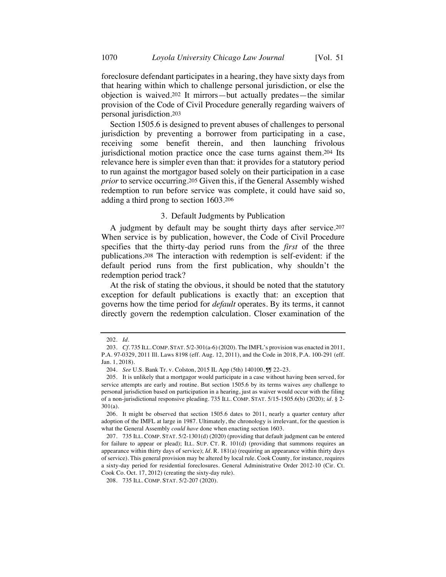foreclosure defendant participates in a hearing, they have sixty days from that hearing within which to challenge personal jurisdiction, or else the objection is waived.202 It mirrors—but actually predates—the similar provision of the Code of Civil Procedure generally regarding waivers of personal jurisdiction.203

Section 1505.6 is designed to prevent abuses of challenges to personal jurisdiction by preventing a borrower from participating in a case, receiving some benefit therein, and then launching frivolous jurisdictional motion practice once the case turns against them.204 Its relevance here is simpler even than that: it provides for a statutory period to run against the mortgagor based solely on their participation in a case *prior* to service occurring.205 Given this, if the General Assembly wished redemption to run before service was complete, it could have said so, adding a third prong to section 1603.206

### 3. Default Judgments by Publication

A judgment by default may be sought thirty days after service.207 When service is by publication, however, the Code of Civil Procedure specifies that the thirty-day period runs from the *first* of the three publications.208 The interaction with redemption is self-evident: if the default period runs from the first publication, why shouldn't the redemption period track?

At the risk of stating the obvious, it should be noted that the statutory exception for default publications is exactly that: an exception that governs how the time period for *default* operates. By its terms, it cannot directly govern the redemption calculation. Closer examination of the

<sup>202.</sup> *Id.*

<sup>203.</sup> *Cf.* 735 ILL.COMP. STAT. 5/2-301(a-6) (2020). The IMFL's provision was enacted in 2011, P.A. 97-0329, 2011 Ill. Laws 8198 (eff. Aug. 12, 2011), and the Code in 2018, P.A. 100-291 (eff. Jan. 1, 2018).

<sup>204.</sup> *See* U.S. Bank Tr. v. Colston, 2015 IL App (5th) 140100, ¶¶ 22–23.

<sup>205.</sup> It is unlikely that a mortgagor would participate in a case without having been served, for service attempts are early and routine. But section 1505.6 by its terms waives *any* challenge to personal jurisdiction based on participation in a hearing, just as waiver would occur with the filing of a non-jurisdictional responsive pleading. 735 ILL. COMP. STAT. 5/15-1505.6(b) (2020); *id.* § 2- 301(a).

<sup>206.</sup> It might be observed that section 1505.6 dates to 2011, nearly a quarter century after adoption of the IMFL at large in 1987. Ultimately, the chronology is irrelevant, for the question is what the General Assembly *could have* done when enacting section 1603.

<sup>207.</sup> 735 ILL. COMP. STAT. 5/2-1301(d) (2020) (providing that default judgment can be entered for failure to appear or plead); ILL. SUP. CT. R. 101(d) (providing that summons requires an appearance within thirty days of service); *Id.* R. 181(a) (requiring an appearance within thirty days of service). This general provision may be altered by local rule. Cook County, for instance, requires a sixty-day period for residential foreclosures. General Administrative Order 2012-10 (Cir. Ct. Cook Co. Oct. 17, 2012) (creating the sixty-day rule).

<sup>208.</sup> 735 ILL. COMP. STAT. 5/2-207 (2020).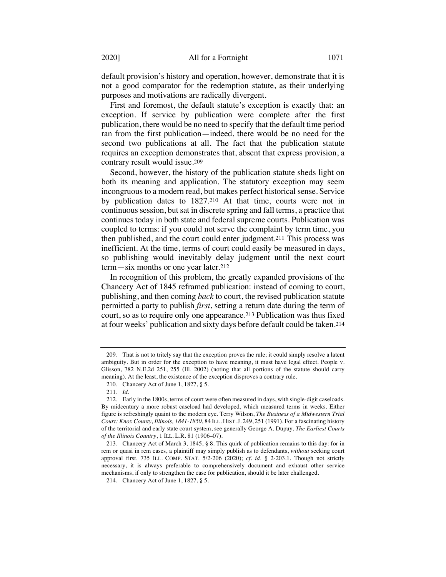default provision's history and operation, however, demonstrate that it is not a good comparator for the redemption statute, as their underlying purposes and motivations are radically divergent.

First and foremost, the default statute's exception is exactly that: an exception. If service by publication were complete after the first publication, there would be no need to specify that the default time period ran from the first publication—indeed, there would be no need for the second two publications at all. The fact that the publication statute requires an exception demonstrates that, absent that express provision, a contrary result would issue.209

Second, however, the history of the publication statute sheds light on both its meaning and application. The statutory exception may seem incongruous to a modern read, but makes perfect historical sense. Service by publication dates to 1827.210 At that time, courts were not in continuous session, but sat in discrete spring and fall terms, a practice that continues today in both state and federal supreme courts. Publication was coupled to terms: if you could not serve the complaint by term time, you then published, and the court could enter judgment.211 This process was inefficient. At the time, terms of court could easily be measured in days, so publishing would inevitably delay judgment until the next court term—six months or one year later.212

In recognition of this problem, the greatly expanded provisions of the Chancery Act of 1845 reframed publication: instead of coming to court, publishing, and then coming *back* to court, the revised publication statute permitted a party to publish *first*, setting a return date during the term of court, so as to require only one appearance.213 Publication was thus fixed at four weeks' publication and sixty days before default could be taken.214

<sup>209.</sup> That is not to tritely say that the exception proves the rule; it could simply resolve a latent ambiguity. But in order for the exception to have meaning, it must have legal effect. People v. Glisson, 782 N.E.2d 251, 255 (Ill. 2002) (noting that all portions of the statute should carry meaning). At the least, the existence of the exception disproves a contrary rule.

<sup>210.</sup> Chancery Act of June 1, 1827, § 5.

<sup>211.</sup> *Id.*

<sup>212.</sup> Early in the 1800s, terms of court were often measured in days, with single-digit caseloads. By midcentury a more robust caseload had developed, which measured terms in weeks. Either figure is refreshingly quaint to the modern eye. Terry Wilson, *The Business of a Midwestern Trial Court: Knox County, Illinois, 1841-1850*, 84 ILL. HIST.J. 249, 251 (1991). For a fascinating history of the territorial and early state court system, see generally George A. Dupuy, *The Earliest Courts of the Illinois Country*, 1 ILL. L.R. 81 (1906–07).

<sup>213.</sup> Chancery Act of March 3, 1845, § 8. This quirk of publication remains to this day: for in rem or quasi in rem cases, a plaintiff may simply publish as to defendants, *without* seeking court approval first. 735 ILL. COMP. STAT. 5/2-206 (2020); *cf. id.* § 2-203.1. Though not strictly necessary, it is always preferable to comprehensively document and exhaust other service mechanisms, if only to strengthen the case for publication, should it be later challenged.

<sup>214.</sup> Chancery Act of June 1, 1827, § 5.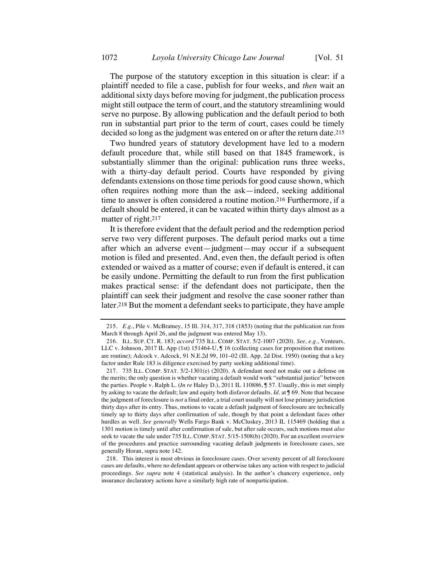The purpose of the statutory exception in this situation is clear: if a plaintiff needed to file a case, publish for four weeks, and *then* wait an additional sixty days before moving for judgment, the publication process might still outpace the term of court, and the statutory streamlining would serve no purpose. By allowing publication and the default period to both run in substantial part prior to the term of court, cases could be timely decided so long as the judgment was entered on or after the return date.215

Two hundred years of statutory development have led to a modern default procedure that, while still based on that 1845 framework, is substantially slimmer than the original: publication runs three weeks, with a thirty-day default period. Courts have responded by giving defendants extensions on those time periods for good cause shown, which often requires nothing more than the ask—indeed, seeking additional time to answer is often considered a routine motion.216 Furthermore, if a default should be entered, it can be vacated within thirty days almost as a matter of right.217

It is therefore evident that the default period and the redemption period serve two very different purposes. The default period marks out a time after which an adverse event—judgment—may occur if a subsequent motion is filed and presented. And, even then, the default period is often extended or waived as a matter of course; even if default is entered, it can be easily undone. Permitting the default to run from the first publication makes practical sense: if the defendant does not participate, then the plaintiff can seek their judgment and resolve the case sooner rather than later.218 But the moment a defendant seeks to participate, they have ample

<sup>215.</sup> *E.g.*, Pile v. McBratney, 15 Ill. 314, 317, 318 (1853) (noting that the publication ran from March 8 through April 26, and the judgment was entered May 13).

<sup>216.</sup> ILL. SUP. CT. R. 183; *accord* 735 ILL. COMP. STAT. 5/2-1007 (2020). *See, e.g.*, Venteurs, LLC v. Johnson, 2017 IL App (1st) 151464-U, ¶ 16 (collecting cases for proposition that motions are routine); Adcock v. Adcock, 91 N.E.2d 99, 101–02 (Ill. App. 2d Dist. 1950) (noting that a key factor under Rule 183 is diligence exercised by party seeking additional time).

<sup>217.</sup> 735 ILL. COMP. STAT. 5/2-1301(e) (2020). A defendant need not make out a defense on the merits; the only question is whether vacating a default would work "substantial justice" between the parties. People v. Ralph L. (*In re* Haley D.), 2011 IL 110886, ¶ 57. Usually, this is met simply by asking to vacate the default; law and equity both disfavor defaults. *Id.* at ¶ 69. Note that because the judgment of foreclosure is *not* a final order, a trial court usually will not lose primary jurisdiction thirty days after its entry. Thus, motions to vacate a default judgment of foreclosure are technically timely up to thirty days after confirmation of sale, though by that point a defendant faces other hurdles as well. *See generally* Wells Fargo Bank v. McCluskey, 2013 IL 115469 (holding that a 1301 motion is timely until after confirmation of sale, but after sale occurs, such motions must *also* seek to vacate the sale under 735 ILL. COMP. STAT. 5/15-1508(b) (2020). For an excellent overview of the procedures and practice surrounding vacating default judgments in foreclosure cases, see generally Horan, supra note 142.

<sup>218.</sup> This interest is most obvious in foreclosure cases. Over seventy percent of all foreclosure cases are defaults, where no defendant appears or otherwise takes any action with respect to judicial proceedings. *See supra* note 4 (statistical analysis). In the author's chancery experience, only insurance declaratory actions have a similarly high rate of nonparticipation.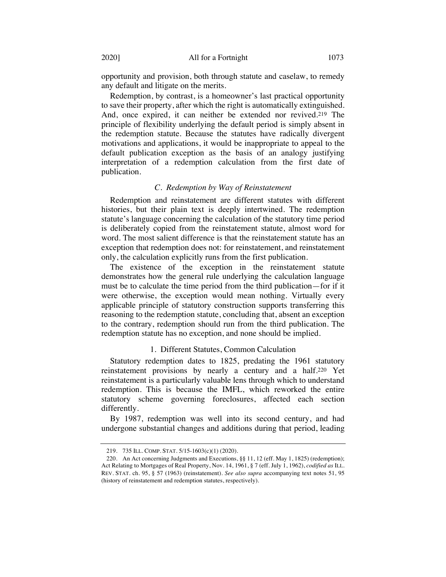opportunity and provision, both through statute and caselaw, to remedy any default and litigate on the merits.

Redemption, by contrast, is a homeowner's last practical opportunity to save their property, after which the right is automatically extinguished. And, once expired, it can neither be extended nor revived.219 The principle of flexibility underlying the default period is simply absent in the redemption statute. Because the statutes have radically divergent motivations and applications, it would be inappropriate to appeal to the default publication exception as the basis of an analogy justifying interpretation of a redemption calculation from the first date of publication.

#### *C. Redemption by Way of Reinstatement*

Redemption and reinstatement are different statutes with different histories, but their plain text is deeply intertwined. The redemption statute's language concerning the calculation of the statutory time period is deliberately copied from the reinstatement statute, almost word for word. The most salient difference is that the reinstatement statute has an exception that redemption does not: for reinstatement, and reinstatement only, the calculation explicitly runs from the first publication.

The existence of the exception in the reinstatement statute demonstrates how the general rule underlying the calculation language must be to calculate the time period from the third publication—for if it were otherwise, the exception would mean nothing. Virtually every applicable principle of statutory construction supports transferring this reasoning to the redemption statute, concluding that, absent an exception to the contrary, redemption should run from the third publication. The redemption statute has no exception, and none should be implied.

### 1. Different Statutes, Common Calculation

Statutory redemption dates to 1825, predating the 1961 statutory reinstatement provisions by nearly a century and a half.220 Yet reinstatement is a particularly valuable lens through which to understand redemption. This is because the IMFL, which reworked the entire statutory scheme governing foreclosures, affected each section differently.

By 1987, redemption was well into its second century, and had undergone substantial changes and additions during that period, leading

<sup>219.</sup> 735 ILL. COMP. STAT. 5/15-1603(c)(1) (2020).

<sup>220.</sup> An Act concerning Judgments and Executions, §§ 11, 12 (eff. May 1, 1825) (redemption); Act Relating to Mortgages of Real Property, Nov. 14, 1961, § 7 (eff. July 1, 1962), *codified as* ILL. REV. STAT. ch. 95, § 57 (1963) (reinstatement). *See also supra* accompanying text notes 51, 95 (history of reinstatement and redemption statutes, respectively).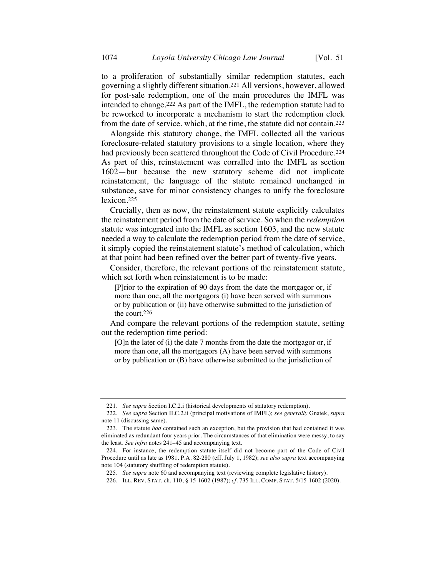to a proliferation of substantially similar redemption statutes, each governing a slightly different situation.221 All versions, however, allowed for post-sale redemption, one of the main procedures the IMFL was intended to change.222 As part of the IMFL, the redemption statute had to be reworked to incorporate a mechanism to start the redemption clock from the date of service, which, at the time, the statute did not contain.223

Alongside this statutory change, the IMFL collected all the various foreclosure-related statutory provisions to a single location, where they had previously been scattered throughout the Code of Civil Procedure.224 As part of this, reinstatement was corralled into the IMFL as section 1602—but because the new statutory scheme did not implicate reinstatement, the language of the statute remained unchanged in substance, save for minor consistency changes to unify the foreclosure lexicon.225

Crucially, then as now, the reinstatement statute explicitly calculates the reinstatement period from the date of service. So when the *redemption* statute was integrated into the IMFL as section 1603, and the new statute needed a way to calculate the redemption period from the date of service, it simply copied the reinstatement statute's method of calculation, which at that point had been refined over the better part of twenty-five years.

Consider, therefore, the relevant portions of the reinstatement statute, which set forth when reinstatement is to be made:

[P]rior to the expiration of 90 days from the date the mortgagor or, if more than one, all the mortgagors (i) have been served with summons or by publication or (ii) have otherwise submitted to the jurisdiction of the court.226

And compare the relevant portions of the redemption statute, setting out the redemption time period:

[O]n the later of (i) the date 7 months from the date the mortgagor or, if more than one, all the mortgagors (A) have been served with summons or by publication or (B) have otherwise submitted to the jurisdiction of

<sup>221.</sup> *See supra* Section I.C.2.i (historical developments of statutory redemption).

<sup>222.</sup> *See supra* Section II.C.2.ii (principal motivations of IMFL); *see generally* Gnatek, *supra* note 11 (discussing same).

<sup>223.</sup> The statute *had* contained such an exception, but the provision that had contained it was eliminated as redundant four years prior. The circumstances of that elimination were messy, to say the least. *See infra* notes 241–45 and accompanying text.

<sup>224.</sup> For instance, the redemption statute itself did not become part of the Code of Civil Procedure until as late as 1981. P.A. 82-280 (eff. July 1, 1982); *see also supra* text accompanying note 104 (statutory shuffling of redemption statute).

<sup>225.</sup> *See supra* note 60 and accompanying text (reviewing complete legislative history).

<sup>226.</sup> ILL. REV. STAT. ch. 110, § 15-1602 (1987); *cf.* 735 ILL. COMP. STAT. 5/15-1602 (2020).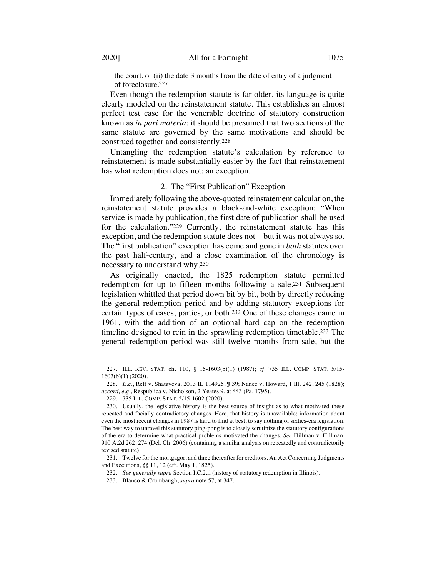the court, or (ii) the date 3 months from the date of entry of a judgment of foreclosure.227

Even though the redemption statute is far older, its language is quite clearly modeled on the reinstatement statute. This establishes an almost perfect test case for the venerable doctrine of statutory construction known as *in pari materia*: it should be presumed that two sections of the same statute are governed by the same motivations and should be construed together and consistently.228

Untangling the redemption statute's calculation by reference to reinstatement is made substantially easier by the fact that reinstatement has what redemption does not: an exception.

#### 2. The "First Publication" Exception

Immediately following the above-quoted reinstatement calculation, the reinstatement statute provides a black-and-white exception: "When service is made by publication, the first date of publication shall be used for the calculation."229 Currently, the reinstatement statute has this exception, and the redemption statute does not—but it was not always so. The "first publication" exception has come and gone in *both* statutes over the past half-century, and a close examination of the chronology is necessary to understand why.230

As originally enacted, the 1825 redemption statute permitted redemption for up to fifteen months following a sale.231 Subsequent legislation whittled that period down bit by bit, both by directly reducing the general redemption period and by adding statutory exceptions for certain types of cases, parties, or both.232 One of these changes came in 1961, with the addition of an optional hard cap on the redemption timeline designed to rein in the sprawling redemption timetable.233 The general redemption period was still twelve months from sale, but the

232. *See generally supra* Section I.C.2.ii (history of statutory redemption in Illinois).

233. Blanco & Crumbaugh, *supra* note 57, at 347.

<sup>227.</sup> ILL. REV. STAT. ch. 110, § 15-1603(b)(1) (1987); *cf.* 735 ILL. COMP. STAT. 5/15- 1603(b)(1) (2020).

<sup>228.</sup> *E.g.*, Relf v. Shatayeva, 2013 IL 114925, ¶ 39; Nance v. Howard, 1 Ill. 242, 245 (1828); *accord, e.g.*, Respublica v. Nicholson, 2 Yeates 9, at \*\*3 (Pa. 1795).

<sup>229.</sup> 735 ILL. COMP. STAT. 5/15-1602 (2020).

<sup>230.</sup> Usually, the legislative history is the best source of insight as to what motivated these repeated and facially contradictory changes. Here, that history is unavailable; information about even the most recent changes in 1987 is hard to find at best, to say nothing of sixties-era legislation. The best way to unravel this statutory ping-pong is to closely scrutinize the statutory configurations of the era to determine what practical problems motivated the changes. *See* Hillman v. Hillman, 910 A.2d 262, 274 (Del. Ch. 2006) (containing a similar analysis on repeatedly and contradictorily revised statute).

<sup>231.</sup> Twelve for the mortgagor, and three thereafter for creditors. An Act Concerning Judgments and Executions, §§ 11, 12 (eff. May 1, 1825).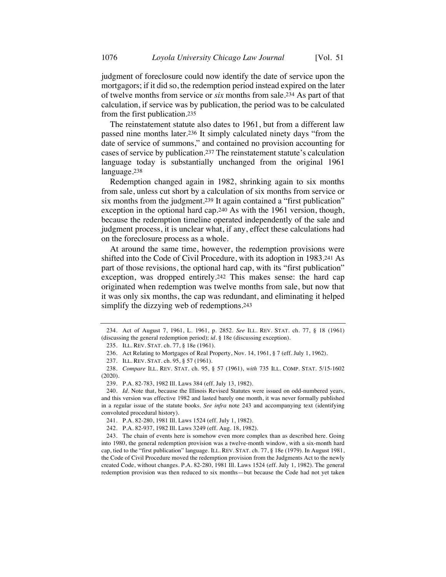judgment of foreclosure could now identify the date of service upon the mortgagors; if it did so, the redemption period instead expired on the later of twelve months from service or *six* months from sale.234 As part of that calculation, if service was by publication, the period was to be calculated from the first publication.235

The reinstatement statute also dates to 1961, but from a different law passed nine months later.236 It simply calculated ninety days "from the date of service of summons," and contained no provision accounting for cases of service by publication.237 The reinstatement statute's calculation language today is substantially unchanged from the original 1961 language.238

Redemption changed again in 1982, shrinking again to six months from sale, unless cut short by a calculation of six months from service or six months from the judgment.<sup>239</sup> It again contained a "first publication" exception in the optional hard cap.240 As with the 1961 version, though, because the redemption timeline operated independently of the sale and judgment process, it is unclear what, if any, effect these calculations had on the foreclosure process as a whole.

At around the same time, however, the redemption provisions were shifted into the Code of Civil Procedure, with its adoption in 1983.241 As part of those revisions, the optional hard cap, with its "first publication" exception, was dropped entirely.242 This makes sense: the hard cap originated when redemption was twelve months from sale, but now that it was only six months, the cap was redundant, and eliminating it helped simplify the dizzying web of redemptions.243

<sup>234.</sup> Act of August 7, 1961, L. 1961, p. 2852. *See* ILL. REV. STAT. ch. 77, § 18 (1961) (discussing the general redemption period); *id.* § 18e (discussing exception).

<sup>235.</sup> ILL. REV. STAT. ch. 77, § 18e (1961).

<sup>236.</sup> Act Relating to Mortgages of Real Property, Nov. 14, 1961, § 7 (eff. July 1, 1962).

<sup>237.</sup> ILL. REV. STAT. ch. 95, § 57 (1961).

<sup>238.</sup> *Compare* ILL. REV. STAT. ch. 95, § 57 (1961), *with* 735 ILL. COMP. STAT. 5/15-1602 (2020).

<sup>239.</sup> P.A. 82-783, 1982 Ill. Laws 384 (eff. July 13, 1982).

<sup>240.</sup> *Id.* Note that, because the Illinois Revised Statutes were issued on odd-numbered years, and this version was effective 1982 and lasted barely one month, it was never formally published in a regular issue of the statute books. *See infra* note 243 and accompanying text (identifying convoluted procedural history).

<sup>241.</sup> P.A. 82-280, 1981 Ill. Laws 1524 (eff. July 1, 1982).

<sup>242.</sup> P.A. 82-937, 1982 Ill. Laws 3249 (eff. Aug. 18, 1982).

<sup>243.</sup> The chain of events here is somehow even more complex than as described here. Going into 1980, the general redemption provision was a twelve-month window, with a six-month hard cap, tied to the "first publication" language. ILL. REV. STAT. ch. 77, § 18e (1979). In August 1981, the Code of Civil Procedure moved the redemption provision from the Judgments Act to the newly created Code, without changes. P.A. 82-280, 1981 Ill. Laws 1524 (eff. July 1, 1982). The general redemption provision was then reduced to six months—but because the Code had not yet taken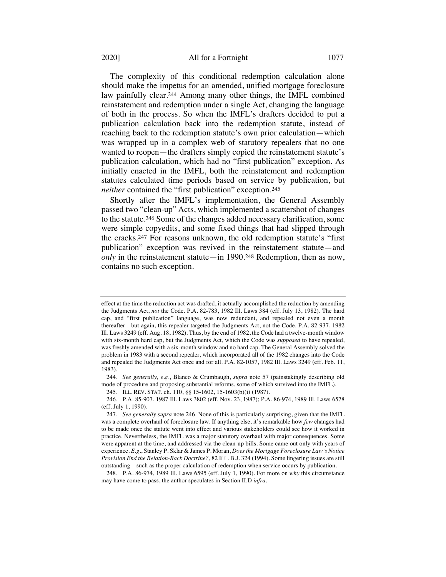#### 2020] All for a Fortnight 1077

The complexity of this conditional redemption calculation alone should make the impetus for an amended, unified mortgage foreclosure law painfully clear.244 Among many other things, the IMFL combined reinstatement and redemption under a single Act, changing the language of both in the process. So when the IMFL's drafters decided to put a publication calculation back into the redemption statute, instead of reaching back to the redemption statute's own prior calculation—which was wrapped up in a complex web of statutory repealers that no one wanted to reopen—the drafters simply copied the reinstatement statute's publication calculation, which had no "first publication" exception. As initially enacted in the IMFL, both the reinstatement and redemption statutes calculated time periods based on service by publication, but *neither* contained the "first publication" exception.245

Shortly after the IMFL's implementation, the General Assembly passed two "clean-up" Acts, which implemented a scattershot of changes to the statute.246 Some of the changes added necessary clarification, some were simple copyedits, and some fixed things that had slipped through the cracks.247 For reasons unknown, the old redemption statute's "first publication" exception was revived in the reinstatement statute—and *only* in the reinstatement statute—in 1990.248 Redemption, then as now, contains no such exception.

effect at the time the reduction act was drafted, it actually accomplished the reduction by amending the Judgments Act, *not* the Code. P.A. 82-783, 1982 Ill. Laws 384 (eff. July 13, 1982). The hard cap, and "first publication" language, was now redundant, and repealed not even a month thereafter—but again, this repealer targeted the Judgments Act, not the Code. P.A. 82-937, 1982 Ill. Laws 3249 (eff. Aug. 18, 1982). Thus, by the end of 1982, the Code had a twelve-month window with six-month hard cap, but the Judgments Act, which the Code was *supposed* to have repealed, was freshly amended with a six-month window and no hard cap. The General Assembly solved the problem in 1983 with a second repealer, which incorporated all of the 1982 changes into the Code and repealed the Judgments Act once and for all. P.A. 82-1057, 1982 Ill. Laws 3249 (eff. Feb. 11, 1983).

<sup>244.</sup> *See generally, e.g.*, Blanco & Crumbaugh, *supra* note 57 (painstakingly describing old mode of procedure and proposing substantial reforms, some of which survived into the IMFL).

<sup>245.</sup> ILL. REV. STAT. ch. 110, §§ 15-1602, 15-1603(b)(i) (1987).

<sup>246.</sup> P.A. 85-907, 1987 Ill. Laws 3802 (eff. Nov. 23, 1987); P.A. 86-974, 1989 Ill. Laws 6578 (eff. July 1, 1990).

<sup>247.</sup> *See generally supra* note 246. None of this is particularly surprising, given that the IMFL was a complete overhaul of foreclosure law. If anything else, it's remarkable how *few* changes had to be made once the statute went into effect and various stakeholders could see how it worked in practice. Nevertheless, the IMFL was a major statutory overhaul with major consequences. Some were apparent at the time, and addressed via the clean-up bills. Some came out only with years of experience. *E.g.*, Stanley P. Sklar & James P. Moran, *Does the Mortgage Foreclosure Law's Notice Provision End the Relation-Back Doctrine?*, 82 ILL. B.J. 324 (1994). Some lingering issues are still outstanding—such as the proper calculation of redemption when service occurs by publication.

<sup>248.</sup> P.A. 86-974, 1989 Ill. Laws 6595 (eff. July 1, 1990). For more on *why* this circumstance may have come to pass, the author speculates in Section II.D *infra*.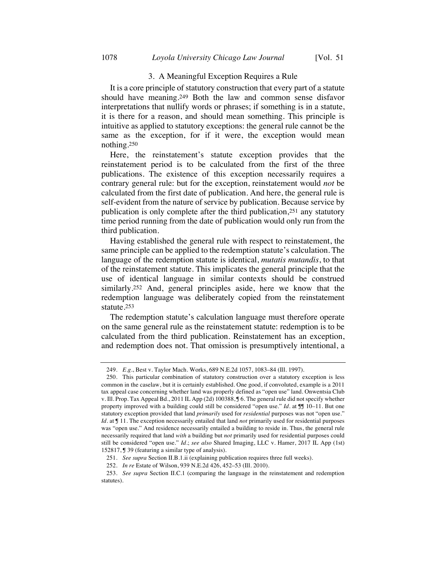### 3. A Meaningful Exception Requires a Rule

It is a core principle of statutory construction that every part of a statute should have meaning.249 Both the law and common sense disfavor interpretations that nullify words or phrases; if something is in a statute, it is there for a reason, and should mean something. This principle is intuitive as applied to statutory exceptions: the general rule cannot be the same as the exception, for if it were, the exception would mean nothing.250

Here, the reinstatement's statute exception provides that the reinstatement period is to be calculated from the first of the three publications. The existence of this exception necessarily requires a contrary general rule: but for the exception, reinstatement would *not* be calculated from the first date of publication. And here, the general rule is self-evident from the nature of service by publication. Because service by publication is only complete after the third publication,251 any statutory time period running from the date of publication would only run from the third publication.

Having established the general rule with respect to reinstatement, the same principle can be applied to the redemption statute's calculation. The language of the redemption statute is identical, *mutatis mutandis*, to that of the reinstatement statute. This implicates the general principle that the use of identical language in similar contexts should be construed similarly.252 And, general principles aside, here we know that the redemption language was deliberately copied from the reinstatement statute.253

The redemption statute's calculation language must therefore operate on the same general rule as the reinstatement statute: redemption is to be calculated from the third publication. Reinstatement has an exception, and redemption does not. That omission is presumptively intentional, a

<sup>249.</sup> *E.g.*, Best v. Taylor Mach. Works, 689 N.E.2d 1057, 1083–84 (Ill. 1997).

<sup>250.</sup> This particular combination of statutory construction over a statutory exception is less common in the caselaw, but it is certainly established. One good, if convoluted, example is a 2011 tax appeal case concerning whether land was properly defined as "open use" land. Onwentsia Club v. Ill. Prop. Tax Appeal Bd., 2011 IL App (2d) 100388, ¶ 6. The general rule did not specify whether property improved with a building could still be considered "open use." *Id.* at  $\mathbb{I} \mathbb{I}$  10–11. But one statutory exception provided that land *primarily* used for *residential* purposes was not "open use." *Id.* at  $\mathbb{I}$  11. The exception necessarily entailed that land *not* primarily used for residential purposes was "open use." And residence necessarily entailed a building to reside in. Thus, the general rule necessarily required that land *with* a building but *not* primarily used for residential purposes could still be considered "open use." *Id.*; *see also* Shared Imaging, LLC v. Hamer, 2017 IL App (1st) 152817, ¶ 39 (featuring a similar type of analysis).

<sup>251.</sup> *See supra* Section II.B.1.ii (explaining publication requires three full weeks).

<sup>252.</sup> *In re* Estate of Wilson, 939 N.E.2d 426, 452–53 (Ill. 2010).

<sup>253.</sup> *See supra* Section II.C.1 (comparing the language in the reinstatement and redemption statutes).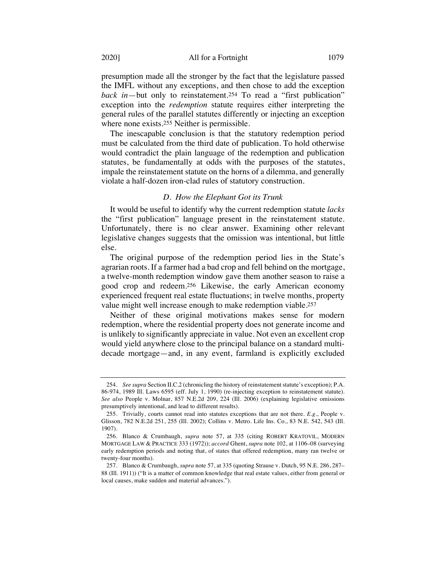presumption made all the stronger by the fact that the legislature passed the IMFL without any exceptions, and then chose to add the exception *back in*—but only to reinstatement.254 To read a "first publication" exception into the *redemption* statute requires either interpreting the general rules of the parallel statutes differently or injecting an exception where none exists.255 Neither is permissible.

The inescapable conclusion is that the statutory redemption period must be calculated from the third date of publication. To hold otherwise would contradict the plain language of the redemption and publication statutes, be fundamentally at odds with the purposes of the statutes, impale the reinstatement statute on the horns of a dilemma, and generally violate a half-dozen iron-clad rules of statutory construction.

### *D. How the Elephant Got its Trunk*

It would be useful to identify why the current redemption statute *lacks* the "first publication" language present in the reinstatement statute. Unfortunately, there is no clear answer. Examining other relevant legislative changes suggests that the omission was intentional, but little else.

The original purpose of the redemption period lies in the State's agrarian roots. If a farmer had a bad crop and fell behind on the mortgage, a twelve-month redemption window gave them another season to raise a good crop and redeem.256 Likewise, the early American economy experienced frequent real estate fluctuations; in twelve months, property value might well increase enough to make redemption viable.<sup>257</sup>

Neither of these original motivations makes sense for modern redemption, where the residential property does not generate income and is unlikely to significantly appreciate in value. Not even an excellent crop would yield anywhere close to the principal balance on a standard multidecade mortgage—and, in any event, farmland is explicitly excluded

<sup>254.</sup> *See supra* Section II.C.2 (chronicling the history of reinstatement statute's exception); P.A. 86-974, 1989 Ill. Laws 6595 (eff. July 1, 1990) (re-injecting exception to reinstatement statute). *See also* People v. Molnar, 857 N.E.2d 209, 224 (Ill. 2006) (explaining legislative omissions presumptively intentional, and lead to different results).

<sup>255.</sup> Trivially, courts cannot read into statutes exceptions that are not there. *E.g.*, People v. Glisson, 782 N.E.2d 251, 255 (Ill. 2002); Collins v. Metro. Life Ins. Co., 83 N.E. 542, 543 (Ill. 1907).

<sup>256.</sup> Blanco & Crumbaugh, *supra* note 57, at 335 (citing ROBERT KRATOVIL, MODERN MORTGAGE LAW & PRACTICE 333 (1972)); *accord* Ghent, *supra* note 102, at 1106–08 (surveying early redemption periods and noting that, of states that offered redemption, many ran twelve or twenty-four months).

<sup>257.</sup> Blanco & Crumbaugh, *supra* note 57, at 335 (quoting Strause v. Dutch, 95 N.E. 286, 287– 88 (Ill. 1911)) ("It is a matter of common knowledge that real estate values, either from general or local causes, make sudden and material advances.").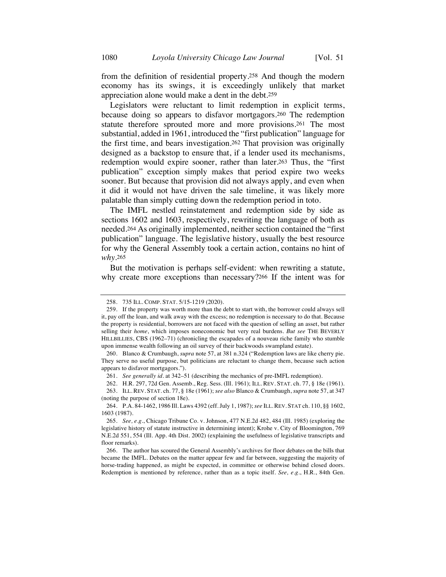from the definition of residential property.258 And though the modern economy has its swings, it is exceedingly unlikely that market appreciation alone would make a dent in the debt.259

Legislators were reluctant to limit redemption in explicit terms, because doing so appears to disfavor mortgagors.260 The redemption statute therefore sprouted more and more provisions.261 The most substantial, added in 1961, introduced the "first publication" language for the first time, and bears investigation.262 That provision was originally designed as a backstop to ensure that, if a lender used its mechanisms, redemption would expire sooner, rather than later.263 Thus, the "first publication" exception simply makes that period expire two weeks sooner. But because that provision did not always apply, and even when it did it would not have driven the sale timeline, it was likely more palatable than simply cutting down the redemption period in toto.

The IMFL nestled reinstatement and redemption side by side as sections 1602 and 1603, respectively, rewriting the language of both as needed.264 As originally implemented, neither section contained the "first publication" language. The legislative history, usually the best resource for why the General Assembly took a certain action, contains no hint of *why*.265

But the motivation is perhaps self-evident: when rewriting a statute, why create more exceptions than necessary?266 If the intent was for

264. P.A. 84-1462, 1986 Ill. Laws 4392 (eff. July 1, 1987); *see* ILL.REV. STAT ch. 110, §§ 1602, 1603 (1987).

<sup>258.</sup> 735 ILL. COMP. STAT. 5/15-1219 (2020).

<sup>259.</sup> If the property was worth more than the debt to start with, the borrower could always sell it, pay off the loan, and walk away with the excess; no redemption is necessary to do that. Because the property is residential, borrowers are not faced with the question of selling an asset, but rather selling their *home*, which imposes noneconomic but very real burdens. *But see* THE BEVERLY HILLBILLIES, CBS (1962–71) (chronicling the escapades of a nouveau riche family who stumble upon immense wealth following an oil survey of their backwoods swampland estate).

<sup>260.</sup> Blanco & Crumbaugh, *supra* note 57, at 381 n.324 ("Redemption laws are like cherry pie. They serve no useful purpose, but politicians are reluctant to change them, because such action appears to disfavor mortgagors.").

<sup>261.</sup> *See generally id.* at 342–51 (describing the mechanics of pre-IMFL redemption).

<sup>262.</sup> H.R. 297, 72d Gen. Assemb., Reg. Sess. (Ill. 1961); ILL. REV. STAT. ch. 77, § 18e (1961).

<sup>263.</sup> ILL. REV. STAT. ch. 77, § 18e (1961); *see also* Blanco & Crumbaugh, *supra* note 57, at 347 (noting the purpose of section 18e).

<sup>265.</sup> *See, e.g.*, Chicago Tribune Co. v. Johnson, 477 N.E.2d 482, 484 (Ill. 1985) (exploring the legislative history of statute instructive in determining intent); Krohe v. City of Bloomington, 769 N.E.2d 551, 554 (Ill. App. 4th Dist. 2002) (explaining the usefulness of legislative transcripts and floor remarks).

<sup>266.</sup> The author has scoured the General Assembly's archives for floor debates on the bills that became the IMFL. Debates on the matter appear few and far between, suggesting the majority of horse-trading happened, as might be expected, in committee or otherwise behind closed doors. Redemption is mentioned by reference, rather than as a topic itself. *See, e.g.*, H.R., 84th Gen.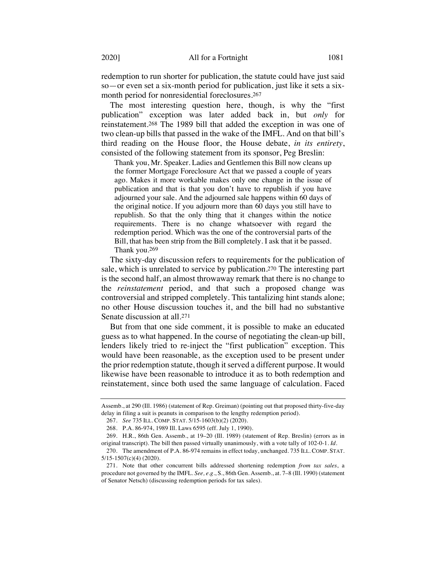redemption to run shorter for publication, the statute could have just said so—or even set a six-month period for publication, just like it sets a sixmonth period for nonresidential foreclosures.267

The most interesting question here, though, is why the "first publication" exception was later added back in, but *only* for reinstatement.268 The 1989 bill that added the exception in was one of two clean-up bills that passed in the wake of the IMFL. And on that bill's third reading on the House floor, the House debate, *in its entirety*, consisted of the following statement from its sponsor, Peg Breslin:

Thank you, Mr. Speaker. Ladies and Gentlemen this Bill now cleans up the former Mortgage Foreclosure Act that we passed a couple of years ago. Makes it more workable makes only one change in the issue of publication and that is that you don't have to republish if you have adjourned your sale. And the adjourned sale happens within 60 days of the original notice. If you adjourn more than 60 days you still have to republish. So that the only thing that it changes within the notice requirements. There is no change whatsoever with regard the redemption period. Which was the one of the controversial parts of the Bill, that has been strip from the Bill completely. I ask that it be passed. Thank you.269

The sixty-day discussion refers to requirements for the publication of sale, which is unrelated to service by publication.270 The interesting part is the second half, an almost throwaway remark that there is no change to the *reinstatement* period, and that such a proposed change was controversial and stripped completely. This tantalizing hint stands alone; no other House discussion touches it, and the bill had no substantive Senate discussion at all.271

But from that one side comment, it is possible to make an educated guess as to what happened. In the course of negotiating the clean-up bill, lenders likely tried to re-inject the "first publication" exception. This would have been reasonable, as the exception used to be present under the prior redemption statute, though it served a different purpose. It would likewise have been reasonable to introduce it as to both redemption and reinstatement, since both used the same language of calculation. Faced

Assemb., at 290 (Ill. 1986) (statement of Rep. Greiman) (pointing out that proposed thirty-five-day delay in filing a suit is peanuts in comparison to the lengthy redemption period).

<sup>267.</sup> *See* 735 ILL. COMP. STAT. 5/15-1603(b)(2) (2020).

<sup>268.</sup> P.A. 86-974, 1989 Ill. Laws 6595 (eff. July 1, 1990).

<sup>269.</sup> H.R., 86th Gen. Assemb., at 19–20 (Ill. 1989) (statement of Rep. Breslin) (errors as in original transcript). The bill then passed virtually unanimously, with a vote tally of 102-0-1. *Id.*

<sup>270.</sup> The amendment of P.A. 86-974 remains in effect today, unchanged. 735 ILL. COMP. STAT. 5/15-1507(c)(4) (2020).

<sup>271.</sup> Note that other concurrent bills addressed shortening redemption *from tax sales*, a procedure not governed by the IMFL. *See, e.g.*, S., 86th Gen. Assemb., at. 7–8 (Ill. 1990) (statement of Senator Netsch) (discussing redemption periods for tax sales).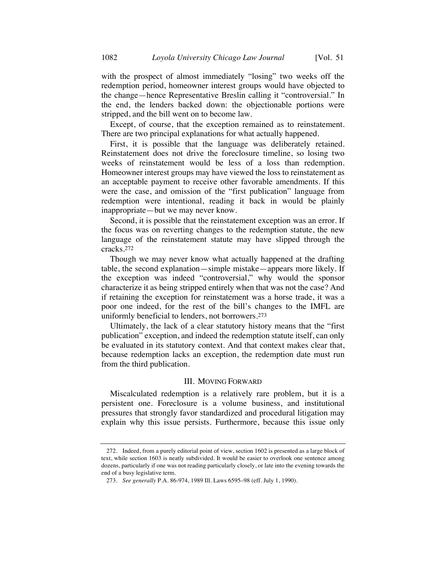with the prospect of almost immediately "losing" two weeks off the redemption period, homeowner interest groups would have objected to the change—hence Representative Breslin calling it "controversial." In the end, the lenders backed down: the objectionable portions were stripped, and the bill went on to become law.

Except, of course, that the exception remained as to reinstatement. There are two principal explanations for what actually happened.

First, it is possible that the language was deliberately retained. Reinstatement does not drive the foreclosure timeline, so losing two weeks of reinstatement would be less of a loss than redemption. Homeowner interest groups may have viewed the loss to reinstatement as an acceptable payment to receive other favorable amendments. If this were the case, and omission of the "first publication" language from redemption were intentional, reading it back in would be plainly inappropriate—but we may never know.

Second, it is possible that the reinstatement exception was an error. If the focus was on reverting changes to the redemption statute, the new language of the reinstatement statute may have slipped through the cracks.272

Though we may never know what actually happened at the drafting table, the second explanation—simple mistake—appears more likely. If the exception was indeed "controversial," why would the sponsor characterize it as being stripped entirely when that was not the case? And if retaining the exception for reinstatement was a horse trade, it was a poor one indeed, for the rest of the bill's changes to the IMFL are uniformly beneficial to lenders, not borrowers.273

Ultimately, the lack of a clear statutory history means that the "first publication" exception, and indeed the redemption statute itself, can only be evaluated in its statutory context. And that context makes clear that, because redemption lacks an exception, the redemption date must run from the third publication.

#### III. MOVING FORWARD

Miscalculated redemption is a relatively rare problem, but it is a persistent one. Foreclosure is a volume business, and institutional pressures that strongly favor standardized and procedural litigation may explain why this issue persists. Furthermore, because this issue only

<sup>272.</sup> Indeed, from a purely editorial point of view, section 1602 is presented as a large block of text, while section 1603 is neatly subdivided. It would be easier to overlook one sentence among dozens, particularly if one was not reading particularly closely, or late into the evening towards the end of a busy legislative term.

<sup>273.</sup> *See generally* P.A. 86-974, 1989 Ill. Laws 6595–98 (eff. July 1, 1990).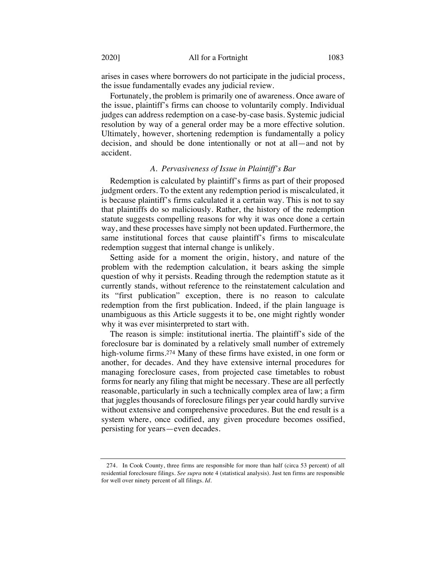arises in cases where borrowers do not participate in the judicial process, the issue fundamentally evades any judicial review.

Fortunately, the problem is primarily one of awareness. Once aware of the issue, plaintiff's firms can choose to voluntarily comply. Individual judges can address redemption on a case-by-case basis. Systemic judicial resolution by way of a general order may be a more effective solution. Ultimately, however, shortening redemption is fundamentally a policy decision, and should be done intentionally or not at all—and not by accident.

#### *A. Pervasiveness of Issue in Plaintiff's Bar*

Redemption is calculated by plaintiff's firms as part of their proposed judgment orders. To the extent any redemption period is miscalculated, it is because plaintiff's firms calculated it a certain way. This is not to say that plaintiffs do so maliciously. Rather, the history of the redemption statute suggests compelling reasons for why it was once done a certain way, and these processes have simply not been updated. Furthermore, the same institutional forces that cause plaintiff's firms to miscalculate redemption suggest that internal change is unlikely.

Setting aside for a moment the origin, history, and nature of the problem with the redemption calculation, it bears asking the simple question of why it persists. Reading through the redemption statute as it currently stands, without reference to the reinstatement calculation and its "first publication" exception, there is no reason to calculate redemption from the first publication. Indeed, if the plain language is unambiguous as this Article suggests it to be, one might rightly wonder why it was ever misinterpreted to start with.

The reason is simple: institutional inertia. The plaintiff's side of the foreclosure bar is dominated by a relatively small number of extremely high-volume firms.274 Many of these firms have existed, in one form or another, for decades. And they have extensive internal procedures for managing foreclosure cases, from projected case timetables to robust forms for nearly any filing that might be necessary. These are all perfectly reasonable, particularly in such a technically complex area of law; a firm that juggles thousands of foreclosure filings per year could hardly survive without extensive and comprehensive procedures. But the end result is a system where, once codified, any given procedure becomes ossified, persisting for years—even decades.

<sup>274.</sup> In Cook County, three firms are responsible for more than half (circa 53 percent) of all residential foreclosure filings. *See supra* note 4 (statistical analysis). Just ten firms are responsible for well over ninety percent of all filings. *Id.*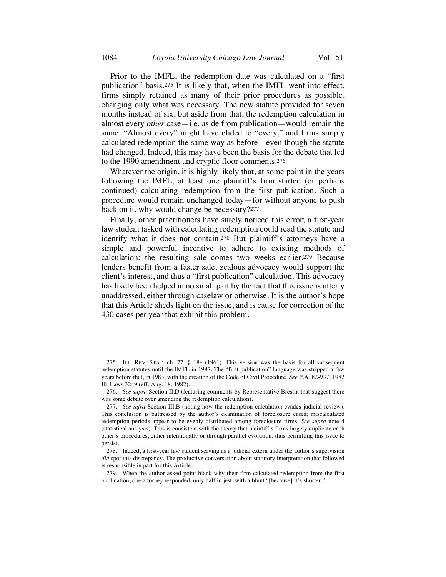Prior to the IMFL, the redemption date was calculated on a "first publication" basis.275 It is likely that, when the IMFL went into effect, firms simply retained as many of their prior procedures as possible, changing only what was necessary. The new statute provided for seven months instead of six, but aside from that, the redemption calculation in almost every *other* case—i.e. aside from publication—would remain the same. "Almost every" might have elided to "every," and firms simply calculated redemption the same way as before—even though the statute had changed. Indeed, this may have been the basis for the debate that led to the 1990 amendment and cryptic floor comments.276

Whatever the origin, it is highly likely that, at some point in the years following the IMFL, at least one plaintiff's firm started (or perhaps continued) calculating redemption from the first publication. Such a procedure would remain unchanged today—for without anyone to push back on it, why would change be necessary?277

Finally, other practitioners have surely noticed this error; a first-year law student tasked with calculating redemption could read the statute and identify what it does not contain.278 But plaintiff's attorneys have a simple and powerful incentive to adhere to existing methods of calculation: the resulting sale comes two weeks earlier.279 Because lenders benefit from a faster sale, zealous advocacy would support the client's interest, and thus a "first publication" calculation. This advocacy has likely been helped in no small part by the fact that this issue is utterly unaddressed, either through caselaw or otherwise. It is the author's hope that this Article sheds light on the issue, and is cause for correction of the 430 cases per year that exhibit this problem.

<sup>275.</sup> ILL. REV. STAT. ch. 77, § 18e (1961). This version was the basis for all subsequent redemption statutes until the IMFL in 1987. The "first publication" language was stripped a few years before that, in 1983, with the creation of the Code of Civil Procedure. *See* P.A. 82-937, 1982 Ill. Laws 3249 (eff. Aug. 18, 1982).

<sup>276.</sup> *See supra* Section II.D (featuring comments by Representative Breslin that suggest there was some debate over amending the redemption calculation).

<sup>277.</sup> *See infra* Section III.B (noting how the redemption calculation evades judicial review). This conclusion is buttressed by the author's examination of foreclosure cases; miscalculated redemption periods appear to be evenly distributed among foreclosure firms. *See supra* note 4 (statistical analysis). This is consistent with the theory that plaintiff's firms largely duplicate each other's procedures, either intentionally or through parallel evolution, thus permitting this issue to persist.

<sup>278.</sup> Indeed, a first-year law student serving as a judicial extern under the author's supervision *did* spot this discrepancy. The productive conversation about statutory interpretation that followed is responsible in part for this Article.

<sup>279.</sup> When the author asked point-blank why their firm calculated redemption from the first publication, one attorney responded, only half in jest, with a blunt "[because] it's shorter."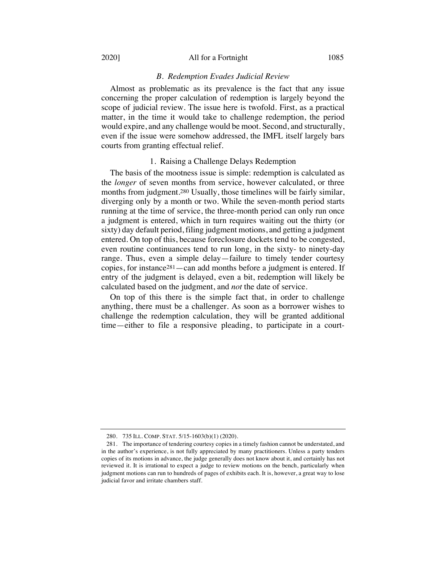#### 2020] All for a Fortnight 1085

#### *B. Redemption Evades Judicial Review*

Almost as problematic as its prevalence is the fact that any issue concerning the proper calculation of redemption is largely beyond the scope of judicial review. The issue here is twofold. First, as a practical matter, in the time it would take to challenge redemption, the period would expire, and any challenge would be moot. Second, and structurally, even if the issue were somehow addressed, the IMFL itself largely bars courts from granting effectual relief.

#### 1. Raising a Challenge Delays Redemption

The basis of the mootness issue is simple: redemption is calculated as the *longer* of seven months from service, however calculated, or three months from judgment.280 Usually, those timelines will be fairly similar, diverging only by a month or two. While the seven-month period starts running at the time of service, the three-month period can only run once a judgment is entered, which in turn requires waiting out the thirty (or sixty) day default period, filing judgment motions, and getting a judgment entered. On top of this, because foreclosure dockets tend to be congested, even routine continuances tend to run long, in the sixty- to ninety-day range. Thus, even a simple delay—failure to timely tender courtesy copies, for instance281—can add months before a judgment is entered. If entry of the judgment is delayed, even a bit, redemption will likely be calculated based on the judgment, and *not* the date of service.

On top of this there is the simple fact that, in order to challenge anything, there must be a challenger. As soon as a borrower wishes to challenge the redemption calculation, they will be granted additional time—either to file a responsive pleading, to participate in a court-

<sup>280.</sup> 735 ILL. COMP. STAT. 5/15-1603(b)(1) (2020).

<sup>281.</sup> The importance of tendering courtesy copies in a timely fashion cannot be understated, and in the author's experience, is not fully appreciated by many practitioners. Unless a party tenders copies of its motions in advance, the judge generally does not know about it, and certainly has not reviewed it. It is irrational to expect a judge to review motions on the bench, particularly when judgment motions can run to hundreds of pages of exhibits each. It is, however, a great way to lose judicial favor and irritate chambers staff.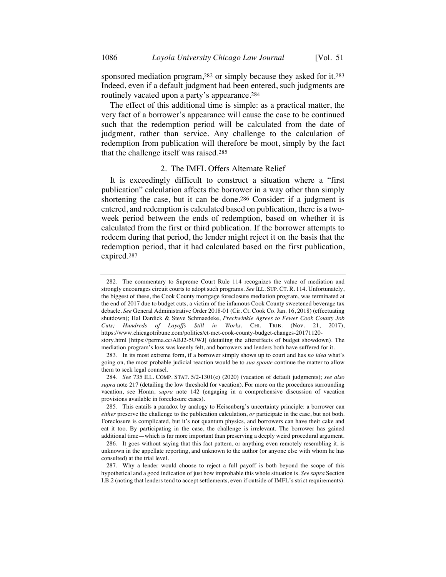sponsored mediation program,282 or simply because they asked for it.283 Indeed, even if a default judgment had been entered, such judgments are routinely vacated upon a party's appearance.284

The effect of this additional time is simple: as a practical matter, the very fact of a borrower's appearance will cause the case to be continued such that the redemption period will be calculated from the date of judgment, rather than service. Any challenge to the calculation of redemption from publication will therefore be moot, simply by the fact that the challenge itself was raised.285

#### 2. The IMFL Offers Alternate Relief

It is exceedingly difficult to construct a situation where a "first publication" calculation affects the borrower in a way other than simply shortening the case, but it can be done.286 Consider: if a judgment is entered, and redemption is calculated based on publication, there is a twoweek period between the ends of redemption, based on whether it is calculated from the first or third publication. If the borrower attempts to redeem during that period, the lender might reject it on the basis that the redemption period, that it had calculated based on the first publication, expired.287

<sup>282.</sup> The commentary to Supreme Court Rule 114 recognizes the value of mediation and strongly encourages circuit courts to adopt such programs. *See* ILL. SUP. CT. R. 114. Unfortunately, the biggest of these, the Cook County mortgage foreclosure mediation program, was terminated at the end of 2017 due to budget cuts, a victim of the infamous Cook County sweetened beverage tax debacle. *See* General Administrative Order 2018-01 (Cir. Ct. Cook Co. Jan. 16, 2018) (effectuating shutdown); Hal Dardick & Steve Schmaedeke, *Preckwinkle Agrees to Fewer Cook County Job Cuts; Hundreds of Layoffs Still in Works*, CHI. TRIB. (Nov. 21, 2017), https://www.chicagotribune.com/politics/ct-met-cook-county-budget-changes-20171120 story.html [https://perma.cc/ABJ2-5UWJ] (detailing the aftereffects of budget showdown). The

mediation program's loss was keenly felt, and borrowers and lenders both have suffered for it. 283. In its most extreme form, if a borrower simply shows up to court and has *no idea* what's

going on, the most probable judicial reaction would be to *sua sponte* continue the matter to allow them to seek legal counsel.

<sup>284.</sup> *See* 735 ILL. COMP. STAT. 5/2-1301(e) (2020) (vacation of default judgments); *see also supra* note 217 (detailing the low threshold for vacation). For more on the procedures surrounding vacation, see Horan, *supra* note 142 (engaging in a comprehensive discussion of vacation provisions available in foreclosure cases).

<sup>285.</sup> This entails a paradox by analogy to Heisenberg's uncertainty principle: a borrower can *either* preserve the challenge to the publication calculation, *or* participate in the case, but not both. Foreclosure is complicated, but it's not quantum physics, and borrowers can have their cake and eat it too. By participating in the case, the challenge is irrelevant. The borrower has gained additional time—which is far more important than preserving a deeply weird procedural argument.

<sup>286.</sup> It goes without saying that this fact pattern, or anything even remotely resembling it, is unknown in the appellate reporting, and unknown to the author (or anyone else with whom he has consulted) at the trial level.

<sup>287.</sup> Why a lender would choose to reject a full payoff is both beyond the scope of this hypothetical and a good indication of just how improbable this whole situation is. *See supra* Section I.B.2 (noting that lenders tend to accept settlements, even if outside of IMFL's strict requirements).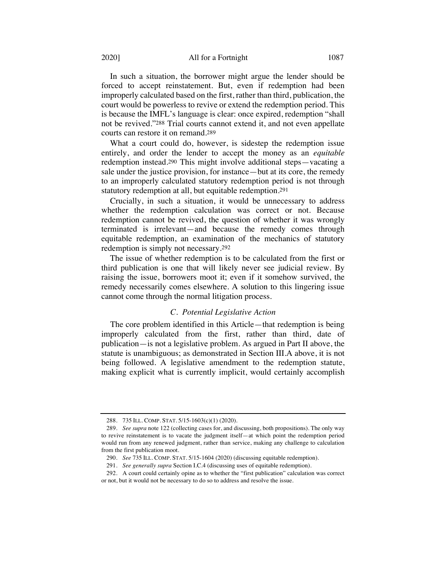#### 2020] **All for a Fortnight** 1087

In such a situation, the borrower might argue the lender should be forced to accept reinstatement. But, even if redemption had been improperly calculated based on the first, rather than third, publication, the court would be powerless to revive or extend the redemption period. This is because the IMFL's language is clear: once expired, redemption "shall not be revived."288 Trial courts cannot extend it, and not even appellate courts can restore it on remand.289

What a court could do, however, is sidestep the redemption issue entirely, and order the lender to accept the money as an *equitable*  redemption instead.290 This might involve additional steps—vacating a sale under the justice provision, for instance—but at its core, the remedy to an improperly calculated statutory redemption period is not through statutory redemption at all, but equitable redemption.291

Crucially, in such a situation, it would be unnecessary to address whether the redemption calculation was correct or not. Because redemption cannot be revived, the question of whether it was wrongly terminated is irrelevant—and because the remedy comes through equitable redemption, an examination of the mechanics of statutory redemption is simply not necessary.292

The issue of whether redemption is to be calculated from the first or third publication is one that will likely never see judicial review. By raising the issue, borrowers moot it; even if it somehow survived, the remedy necessarily comes elsewhere. A solution to this lingering issue cannot come through the normal litigation process.

### *C. Potential Legislative Action*

The core problem identified in this Article—that redemption is being improperly calculated from the first, rather than third, date of publication—is not a legislative problem. As argued in Part II above, the statute is unambiguous; as demonstrated in Section III.A above, it is not being followed. A legislative amendment to the redemption statute, making explicit what is currently implicit, would certainly accomplish

<sup>288.</sup> 735 ILL. COMP. STAT. 5/15-1603(c)(1) (2020).

<sup>289.</sup> *See supra* note 122 (collecting cases for, and discussing, both propositions). The only way to revive reinstatement is to vacate the judgment itself—at which point the redemption period would run from any renewed judgment, rather than service, making any challenge to calculation from the first publication moot.

<sup>290.</sup> *See* 735 ILL. COMP. STAT. 5/15-1604 (2020) (discussing equitable redemption).

<sup>291.</sup> *See generally supra* Section I.C.4 (discussing uses of equitable redemption).

<sup>292.</sup> A court could certainly opine as to whether the "first publication" calculation was correct or not, but it would not be necessary to do so to address and resolve the issue.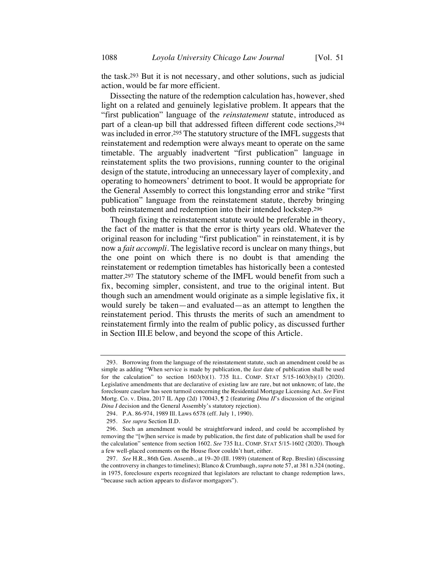the task.293 But it is not necessary, and other solutions, such as judicial action, would be far more efficient.

Dissecting the nature of the redemption calculation has, however, shed light on a related and genuinely legislative problem. It appears that the "first publication" language of the *reinstatement* statute, introduced as part of a clean-up bill that addressed fifteen different code sections,294 was included in error.<sup>295</sup> The statutory structure of the IMFL suggests that reinstatement and redemption were always meant to operate on the same timetable. The arguably inadvertent "first publication" language in reinstatement splits the two provisions, running counter to the original design of the statute, introducing an unnecessary layer of complexity, and operating to homeowners' detriment to boot. It would be appropriate for the General Assembly to correct this longstanding error and strike "first publication" language from the reinstatement statute, thereby bringing both reinstatement and redemption into their intended lockstep.296

Though fixing the reinstatement statute would be preferable in theory, the fact of the matter is that the error is thirty years old. Whatever the original reason for including "first publication" in reinstatement, it is by now a *fait accompli*. The legislative record is unclear on many things, but the one point on which there is no doubt is that amending the reinstatement or redemption timetables has historically been a contested matter.297 The statutory scheme of the IMFL would benefit from such a fix, becoming simpler, consistent, and true to the original intent. But though such an amendment would originate as a simple legislative fix, it would surely be taken—and evaluated—as an attempt to lengthen the reinstatement period. This thrusts the merits of such an amendment to reinstatement firmly into the realm of public policy, as discussed further in Section III.E below, and beyond the scope of this Article.

<sup>293.</sup> Borrowing from the language of the reinstatement statute, such an amendment could be as simple as adding "When service is made by publication, the *last* date of publication shall be used for the calculation" to section 1603(b)(1). 735 ILL. COMP. STAT 5/15-1603(b)(1) (2020). Legislative amendments that are declarative of existing law are rare, but not unknown; of late, the foreclosure caselaw has seen turmoil concerning the Residential Mortgage Licensing Act. *See* First Mortg. Co. v. Dina, 2017 IL App (2d) 170043, ¶ 2 (featuring *Dina II*'s discussion of the original *Dina I* decision and the General Assembly's statutory rejection).

<sup>294.</sup> P.A. 86-974, 1989 Ill. Laws 6578 (eff. July 1, 1990).

<sup>295.</sup> *See supra* Section II.D.

<sup>296.</sup> Such an amendment would be straightforward indeed, and could be accomplished by removing the "[w]hen service is made by publication, the first date of publication shall be used for the calculation" sentence from section 1602. *See* 735 ILL. COMP. STAT 5/15-1602 (2020). Though a few well-placed comments on the House floor couldn't hurt, either.

<sup>297.</sup> *See* H.R., 86th Gen. Assemb., at 19–20 (Ill. 1989) (statement of Rep. Breslin) (discussing the controversy in changes to timelines); Blanco & Crumbaugh, *supra* note 57, at 381 n.324 (noting, in 1975, foreclosure experts recognized that legislators are reluctant to change redemption laws, "because such action appears to disfavor mortgagors").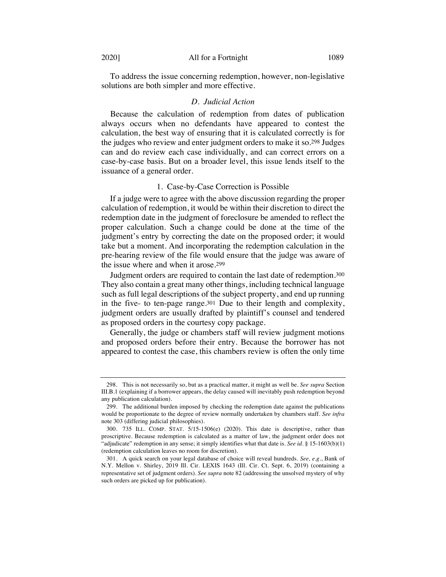To address the issue concerning redemption, however, non-legislative solutions are both simpler and more effective.

#### *D. Judicial Action*

Because the calculation of redemption from dates of publication always occurs when no defendants have appeared to contest the calculation, the best way of ensuring that it is calculated correctly is for the judges who review and enter judgment orders to make it so.298 Judges can and do review each case individually, and can correct errors on a case-by-case basis. But on a broader level, this issue lends itself to the issuance of a general order.

#### 1. Case-by-Case Correction is Possible

If a judge were to agree with the above discussion regarding the proper calculation of redemption, it would be within their discretion to direct the redemption date in the judgment of foreclosure be amended to reflect the proper calculation. Such a change could be done at the time of the judgment's entry by correcting the date on the proposed order; it would take but a moment. And incorporating the redemption calculation in the pre-hearing review of the file would ensure that the judge was aware of the issue where and when it arose.299

Judgment orders are required to contain the last date of redemption.300 They also contain a great many other things, including technical language such as full legal descriptions of the subject property, and end up running in the five- to ten-page range.301 Due to their length and complexity, judgment orders are usually drafted by plaintiff's counsel and tendered as proposed orders in the courtesy copy package.

Generally, the judge or chambers staff will review judgment motions and proposed orders before their entry. Because the borrower has not appeared to contest the case, this chambers review is often the only time

<sup>298.</sup> This is not necessarily so, but as a practical matter, it might as well be. *See supra* Section III.B.1 (explaining if a borrower appears, the delay caused will inevitably push redemption beyond any publication calculation).

<sup>299.</sup> The additional burden imposed by checking the redemption date against the publications would be proportionate to the degree of review normally undertaken by chambers staff. *See infra* note 303 (differing judicial philosophies).

<sup>300.</sup> 735 ILL. COMP. STAT. 5/15-1506(e) (2020). This date is descriptive, rather than proscriptive. Because redemption is calculated as a matter of law, the judgment order does not "adjudicate" redemption in any sense; it simply identifies what that date is. *See id.* § 15-1603(b)(1) (redemption calculation leaves no room for discretion).

<sup>301.</sup> A quick search on your legal database of choice will reveal hundreds. *See, e.g.*, Bank of N.Y. Mellon v. Shirley, 2019 Ill. Cir. LEXIS 1643 (Ill. Cir. Ct. Sept. 6, 2019) (containing a representative set of judgment orders). *See supra* note 82 (addressing the unsolved mystery of why such orders are picked up for publication).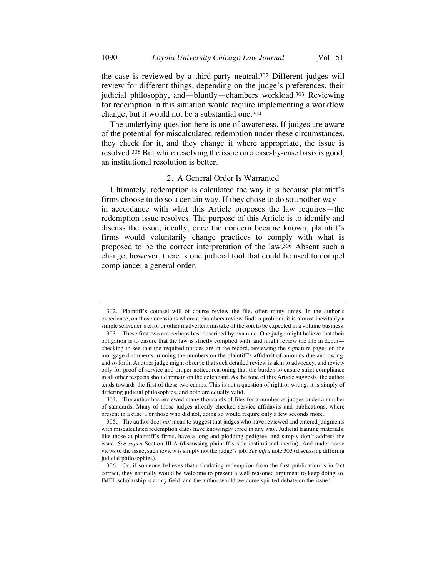the case is reviewed by a third-party neutral.302 Different judges will review for different things, depending on the judge's preferences, their judicial philosophy, and—bluntly—chambers workload.303 Reviewing for redemption in this situation would require implementing a workflow change, but it would not be a substantial one.304

The underlying question here is one of awareness. If judges are aware of the potential for miscalculated redemption under these circumstances, they check for it, and they change it where appropriate, the issue is resolved.305 But while resolving the issue on a case-by-case basis is good, an institutional resolution is better.

### 2. A General Order Is Warranted

Ultimately, redemption is calculated the way it is because plaintiff's firms choose to do so a certain way. If they chose to do so another way in accordance with what this Article proposes the law requires—the redemption issue resolves. The purpose of this Article is to identify and discuss the issue; ideally, once the concern became known, plaintiff's firms would voluntarily change practices to comply with what is proposed to be the correct interpretation of the law.306 Absent such a change, however, there is one judicial tool that could be used to compel compliance: a general order.

<sup>302.</sup> Plaintiff's counsel will of course review the file, often many times. In the author's experience, on those occasions where a chambers review finds a problem, it is almost inevitably a simple scrivener's error or other inadvertent mistake of the sort to be expected in a volume business.

<sup>303.</sup> These first two are perhaps best described by example. One judge might believe that their obligation is to ensure that the law is strictly complied with, and might review the file in depth checking to see that the required notices are in the record, reviewing the signature pages on the mortgage documents, running the numbers on the plaintiff's affidavit of amounts due and owing, and so forth. Another judge might observe that such detailed review is akin to advocacy, and review only for proof of service and proper notice, reasoning that the burden to ensure strict compliance in all other respects should remain on the defendant. As the tone of this Article suggests, the author tends towards the first of these two camps. This is not a question of right or wrong; it is simply of differing judicial philosophies, and both are equally valid.

<sup>304.</sup> The author has reviewed many thousands of files for a number of judges under a number of standards. Many of those judges already checked service affidavits and publications, where present in a case. For those who did not, doing so would require only a few seconds more.

<sup>305.</sup> The author does *not* mean to suggest that judges who have reviewed and entered judgments with miscalculated redemption dates have knowingly erred in any way. Judicial training materials, like those at plaintiff's firms, have a long and plodding pedigree, and simply don't address the issue. *See supra* Section III.A (discussing plaintiff's-side institutional inertia). And under some views of the issue, such review is simply not the judge's job. *See infra* note 303 (discussing differing judicial philosophies).

<sup>306.</sup> Or, if someone believes that calculating redemption from the first publication is in fact correct, they naturally would be welcome to present a well-reasoned argument to keep doing so. IMFL scholarship is a tiny field, and the author would welcome spirited debate on the issue!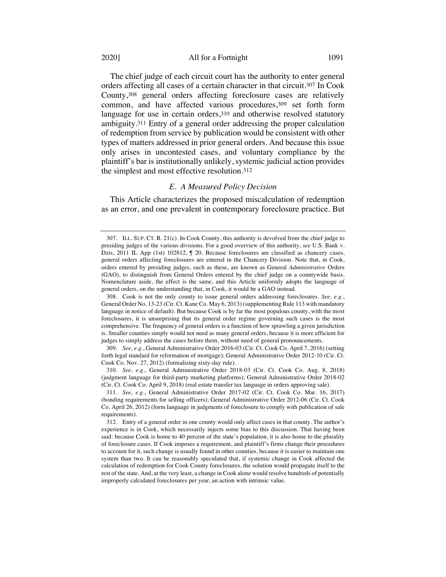The chief judge of each circuit court has the authority to enter general orders affecting all cases of a certain character in that circuit.307 In Cook County,308 general orders affecting foreclosure cases are relatively common, and have affected various procedures,309 set forth form language for use in certain orders, 310 and otherwise resolved statutory ambiguity.311 Entry of a general order addressing the proper calculation of redemption from service by publication would be consistent with other types of matters addressed in prior general orders. And because this issue only arises in uncontested cases, and voluntary compliance by the plaintiff's bar is institutionally unlikely, systemic judicial action provides the simplest and most effective resolution.312

#### *E. A Measured Policy Decision*

This Article characterizes the proposed miscalculation of redemption as an error, and one prevalent in contemporary foreclosure practice. But

308. Cook is not the only county to issue general orders addressing foreclosures. *See, e.g.*, General Order No. 13-23 (Cir. Ct. Kane Co. May 6, 2013) (supplementing Rule 113 with mandatory language in notice of default). But because Cook is by far the most populous county, with the most foreclosures, it is unsurprising that its general order regime governing such cases is the most comprehensive. The frequency of general orders is a function of how sprawling a given jurisdiction is. Smaller counties simply would not need as many general orders, because it is more efficient for judges to simply address the cases before them, without need of general pronouncements.

309. *See, e.g.*, General Administrative Order 2016-03 (Cir. Ct. Cook Co. April 7, 2016) (setting forth legal standard for reformation of mortgage); General Administrative Order 2012-10 (Cir. Ct. Cook Co. Nov. 27, 2012) (formalizing sixty-day rule).

310. *See, e.g.*, General Administrative Order 2018-03 (Cir. Ct. Cook Co. Aug. 8, 2018) (judgment language for third-party marketing platforms); General Administrative Order 2018-02 (Cir. Ct. Cook Co. April 9, 2018) (real estate transfer tax language in orders approving sale).

311. *See, e.g.*, General Administrative Order 2017-02 (Cir. Ct. Cook Co. Mar. 16, 2017) (bonding requirements for selling officers); General Administrative Order 2012-06 (Cir. Ct. Cook Co. April 26, 2012) (form language in judgments of foreclosure to comply with publication of sale requirements).

<sup>307.</sup> ILL. SUP. CT. R. 21(c). In Cook County, this authority is devolved from the chief judge to presiding judges of the various divisions. For a good overview of this authority, *see* U.S. Bank v. Dzis, 2011 IL App (1st) 102812,  $\sqrt{ }$  20. Because foreclosures are classified as chancery cases, general orders affecting foreclosures are entered in the Chancery Division. Note that, in Cook, orders entered by presiding judges, such as these, are known as General *Administrative* Orders (GAO), to distinguish from General Orders entered by the chief judge on a countywide basis. Nomenclature aside, the effect is the same, and this Article uniformly adopts the language of general orders, on the understanding that, in Cook, it would be a GAO instead.

<sup>312.</sup> Entry of a general order in one county would only affect cases in that county. The author's experience is in Cook, which necessarily injects some bias to this discussion. That having been said: because Cook is home to 40 percent of the state's population, it is also home to the plurality of foreclosure cases. If Cook imposes a requirement, and plaintiff's firms change their procedures to account for it, such change is usually found in other counties, because it is easier to maintain one system than two. It can be reasonably speculated that, if systemic change in Cook affected the calculation of redemption for Cook County foreclosures, the solution would propagate itself to the rest of the state. And, at the very least, a change in Cook alone would resolve hundreds of potentially improperly calculated foreclosures per year, an action with intrinsic value.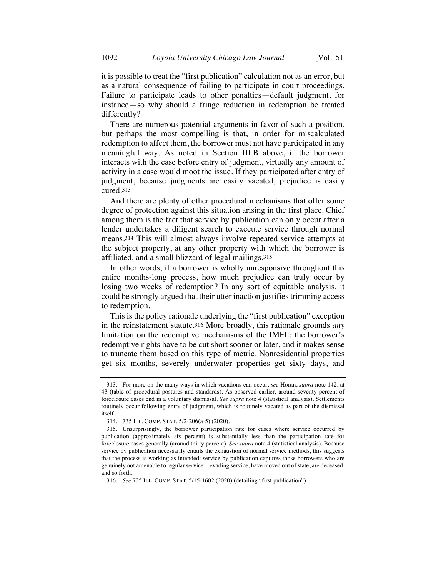it is possible to treat the "first publication" calculation not as an error, but as a natural consequence of failing to participate in court proceedings. Failure to participate leads to other penalties—default judgment, for instance—so why should a fringe reduction in redemption be treated differently?

There are numerous potential arguments in favor of such a position, but perhaps the most compelling is that, in order for miscalculated redemption to affect them, the borrower must not have participated in any meaningful way. As noted in Section III.B above, if the borrower interacts with the case before entry of judgment, virtually any amount of activity in a case would moot the issue. If they participated after entry of judgment, because judgments are easily vacated, prejudice is easily cured.313

And there are plenty of other procedural mechanisms that offer some degree of protection against this situation arising in the first place. Chief among them is the fact that service by publication can only occur after a lender undertakes a diligent search to execute service through normal means.314 This will almost always involve repeated service attempts at the subject property, at any other property with which the borrower is affiliated, and a small blizzard of legal mailings.315

In other words, if a borrower is wholly unresponsive throughout this entire months-long process, how much prejudice can truly occur by losing two weeks of redemption? In any sort of equitable analysis, it could be strongly argued that their utter inaction justifies trimming access to redemption.

This is the policy rationale underlying the "first publication" exception in the reinstatement statute.316 More broadly, this rationale grounds *any* limitation on the redemptive mechanisms of the IMFL: the borrower's redemptive rights have to be cut short sooner or later, and it makes sense to truncate them based on this type of metric. Nonresidential properties get six months, severely underwater properties get sixty days, and

<sup>313.</sup> For more on the many ways in which vacations can occur, *see* Horan, *supra* note 142, at 43 (table of procedural postures and standards). As observed earlier, around seventy percent of foreclosure cases end in a voluntary dismissal. *See supra* note 4 (statistical analysis). Settlements routinely occur following entry of judgment, which is routinely vacated as part of the dismissal itself.

<sup>314.</sup> 735 ILL. COMP. STAT. 5/2-206(a-5) (2020).

<sup>315.</sup> Unsurprisingly, the borrower participation rate for cases where service occurred by publication (approximately six percent) is substantially less than the participation rate for foreclosure cases generally (around thirty percent). *See supra* note 4 (statistical analysis). Because service by publication necessarily entails the exhaustion of normal service methods, this suggests that the process is working as intended: service by publication captures those borrowers who are genuinely not amenable to regular service—evading service, have moved out of state, are deceased, and so forth.

<sup>316.</sup> *See* 735 ILL. COMP. STAT. 5/15-1602 (2020) (detailing "first publication").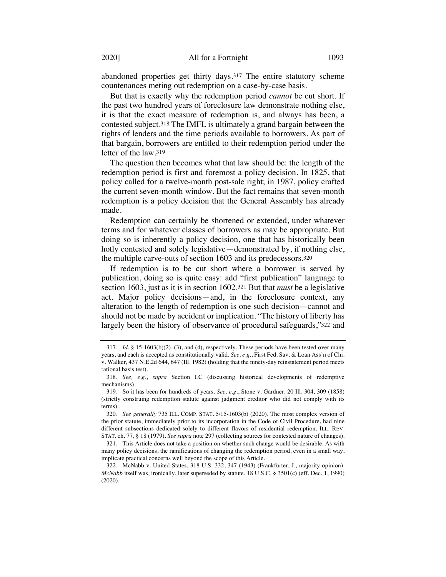abandoned properties get thirty days.317 The entire statutory scheme countenances meting out redemption on a case-by-case basis.

But that is exactly why the redemption period *cannot* be cut short. If the past two hundred years of foreclosure law demonstrate nothing else, it is that the exact measure of redemption is, and always has been, a contested subject.318 The IMFL is ultimately a grand bargain between the rights of lenders and the time periods available to borrowers. As part of that bargain, borrowers are entitled to their redemption period under the letter of the law.319

The question then becomes what that law should be: the length of the redemption period is first and foremost a policy decision. In 1825, that policy called for a twelve-month post-sale right; in 1987, policy crafted the current seven-month window. But the fact remains that seven-month redemption is a policy decision that the General Assembly has already made.

Redemption can certainly be shortened or extended, under whatever terms and for whatever classes of borrowers as may be appropriate. But doing so is inherently a policy decision, one that has historically been hotly contested and solely legislative—demonstrated by, if nothing else, the multiple carve-outs of section 1603 and its predecessors.320

If redemption is to be cut short where a borrower is served by publication, doing so is quite easy: add "first publication" language to section 1603, just as it is in section 1602.321 But that *must* be a legislative act. Major policy decisions—and, in the foreclosure context, any alteration to the length of redemption is one such decision—cannot and should not be made by accident or implication. "The history of liberty has largely been the history of observance of procedural safeguards,"322 and

<sup>317.</sup> *Id.* § 15-1603(b)(2), (3), and (4), respectively. These periods have been tested over many years, and each is accepted as constitutionally valid. *See, e.g.*, First Fed. Sav. & Loan Ass'n of Chi. v. Walker, 437 N.E.2d 644, 647 (Ill. 1982) (holding that the ninety-day reinstatement period meets rational basis test).

<sup>318.</sup> *See, e.g.*, *supra* Section I.C (discussing historical developments of redemptive mechanisms).

<sup>319.</sup> So it has been for hundreds of years. *See, e.g.*, Stone v. Gardner, 20 Ill. 304, 309 (1858) (strictly construing redemption statute against judgment creditor who did not comply with its terms).

<sup>320.</sup> *See generally* 735 ILL. COMP. STAT. 5/15-1603(b) (2020). The most complex version of the prior statute, immediately prior to its incorporation in the Code of Civil Procedure, had nine different subsections dedicated solely to different flavors of residential redemption. ILL. REV. STAT. ch. 77, § 18 (1979). *See supra* note 297 (collecting sources for contested nature of changes).

<sup>321.</sup> This Article does not take a position on whether such change would be desirable. As with many policy decisions, the ramifications of changing the redemption period, even in a small way, implicate practical concerns well beyond the scope of this Article.

<sup>322.</sup> McNabb v. United States, 318 U.S. 332, 347 (1943) (Frankfurter, J., majority opinion). *McNabb* itself was, ironically, later superseded by statute. 18 U.S.C. § 3501(c) (eff. Dec. 1, 1990) (2020).